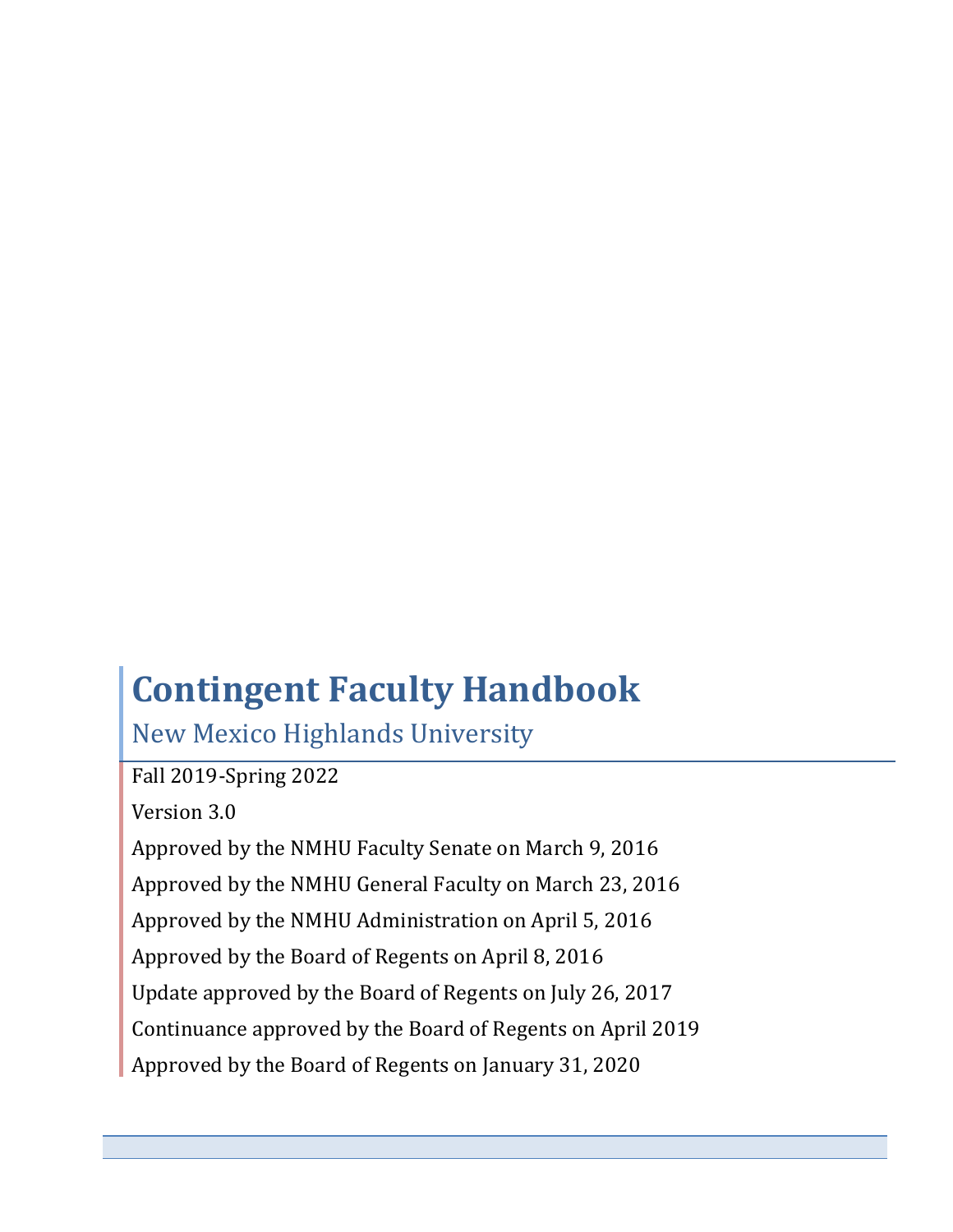# **Contingent Faculty Handbook**

New Mexico Highlands University

Fall 2019-Spring 2022

Version 3.0

Approved by the NMHU Faculty Senate on March 9, 2016 Approved by the NMHU General Faculty on March 23, 2016 Approved by the NMHU Administration on April 5, 2016 Approved by the Board of Regents on April 8, 2016 Update approved by the Board of Regents on July 26, 2017 Continuance approved by the Board of Regents on April 2019 Approved by the Board of Regents on January 31, 2020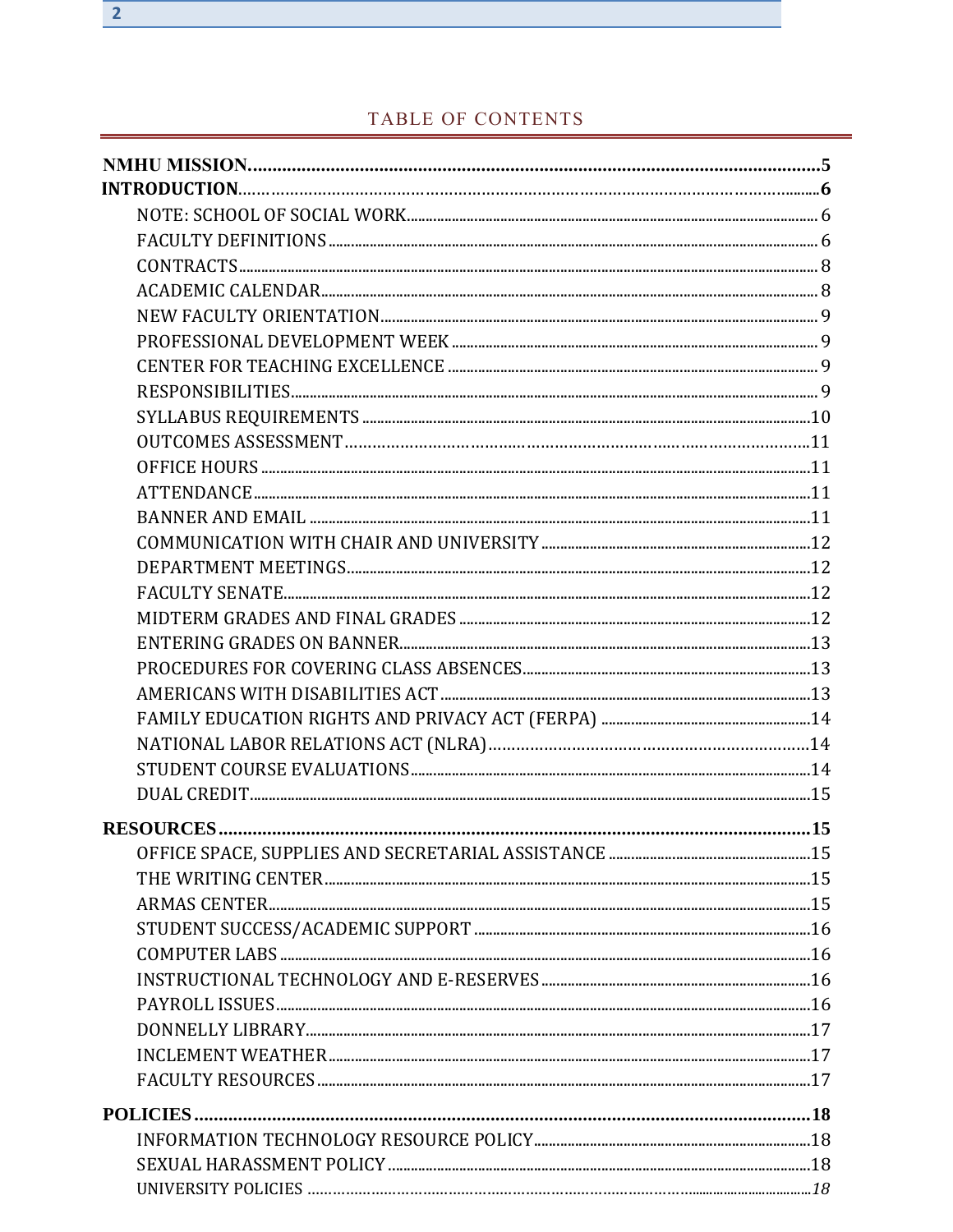# TABLE OF CONTENTS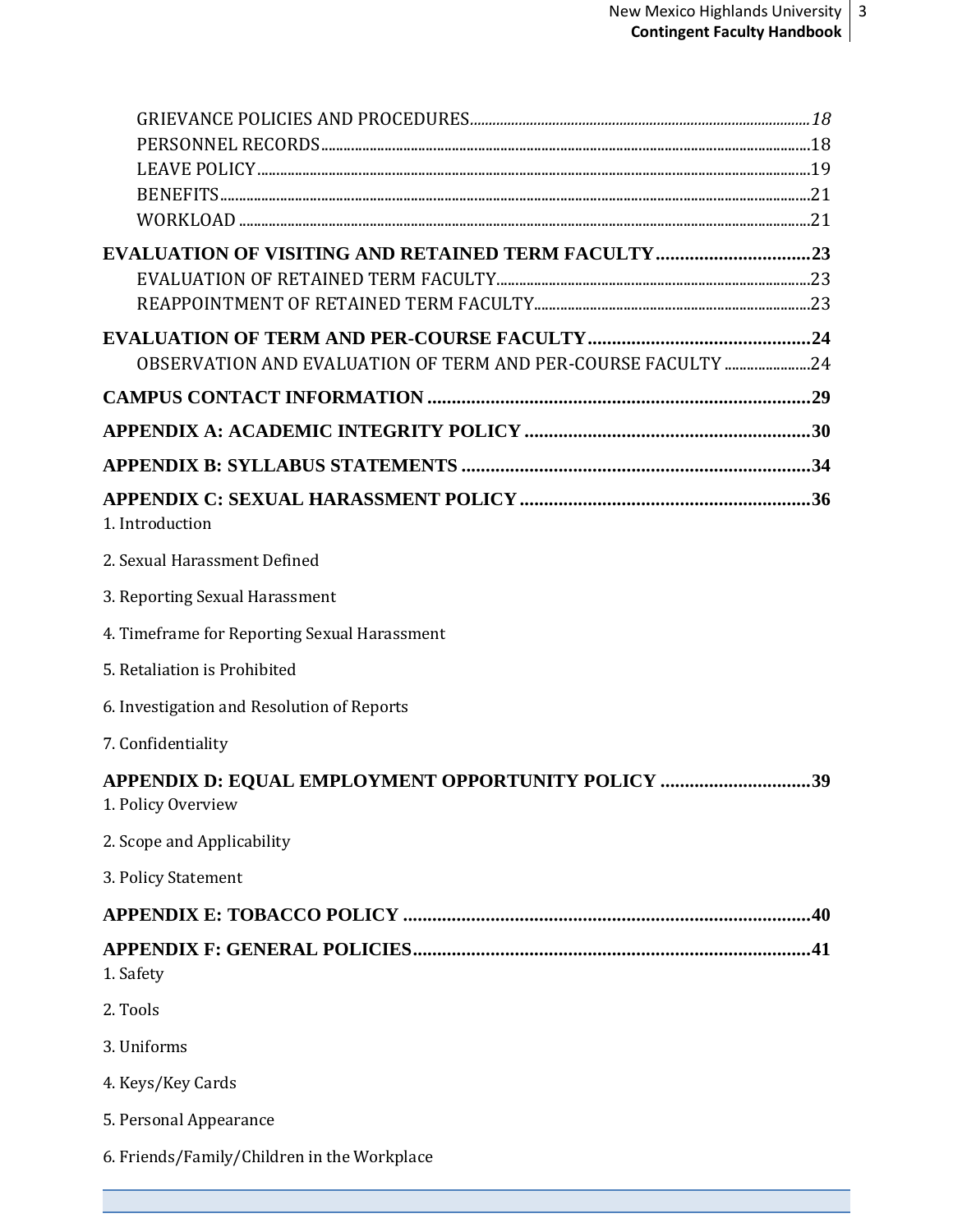| <b>EVALUATION OF VISITING AND RETAINED TERM FACULTY23</b>                |  |
|--------------------------------------------------------------------------|--|
|                                                                          |  |
|                                                                          |  |
|                                                                          |  |
| OBSERVATION AND EVALUATION OF TERM AND PER-COURSE FACULTY 24             |  |
|                                                                          |  |
|                                                                          |  |
|                                                                          |  |
| 1. Introduction                                                          |  |
| 2. Sexual Harassment Defined                                             |  |
| 3. Reporting Sexual Harassment                                           |  |
| 4. Timeframe for Reporting Sexual Harassment                             |  |
| 5. Retaliation is Prohibited                                             |  |
| 6. Investigation and Resolution of Reports                               |  |
| 7. Confidentiality                                                       |  |
| APPENDIX D: EQUAL EMPLOYMENT OPPORTUNITY POLICY 39<br>1. Policy Overview |  |
| 2. Scope and Applicability                                               |  |
| 3. Policy Statement                                                      |  |
|                                                                          |  |
|                                                                          |  |
| 1. Safety                                                                |  |
| 2. Tools                                                                 |  |
| 3. Uniforms                                                              |  |
| 4. Keys/Key Cards                                                        |  |
| 5. Personal Appearance                                                   |  |
| 6. Friends/Family/Children in the Workplace                              |  |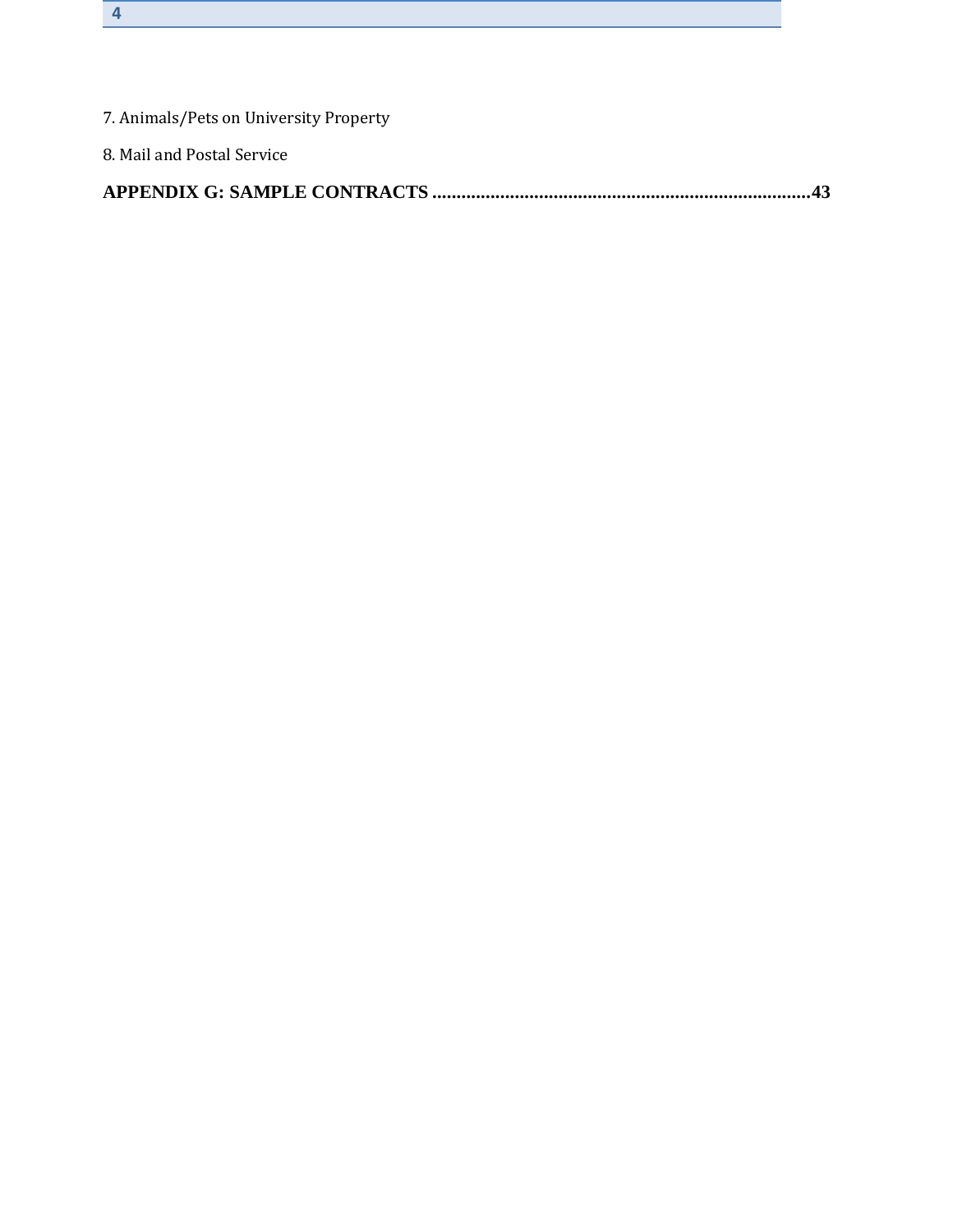| 8. Mail and Postal Service             |
|----------------------------------------|
| 7. Animals/Pets on University Property |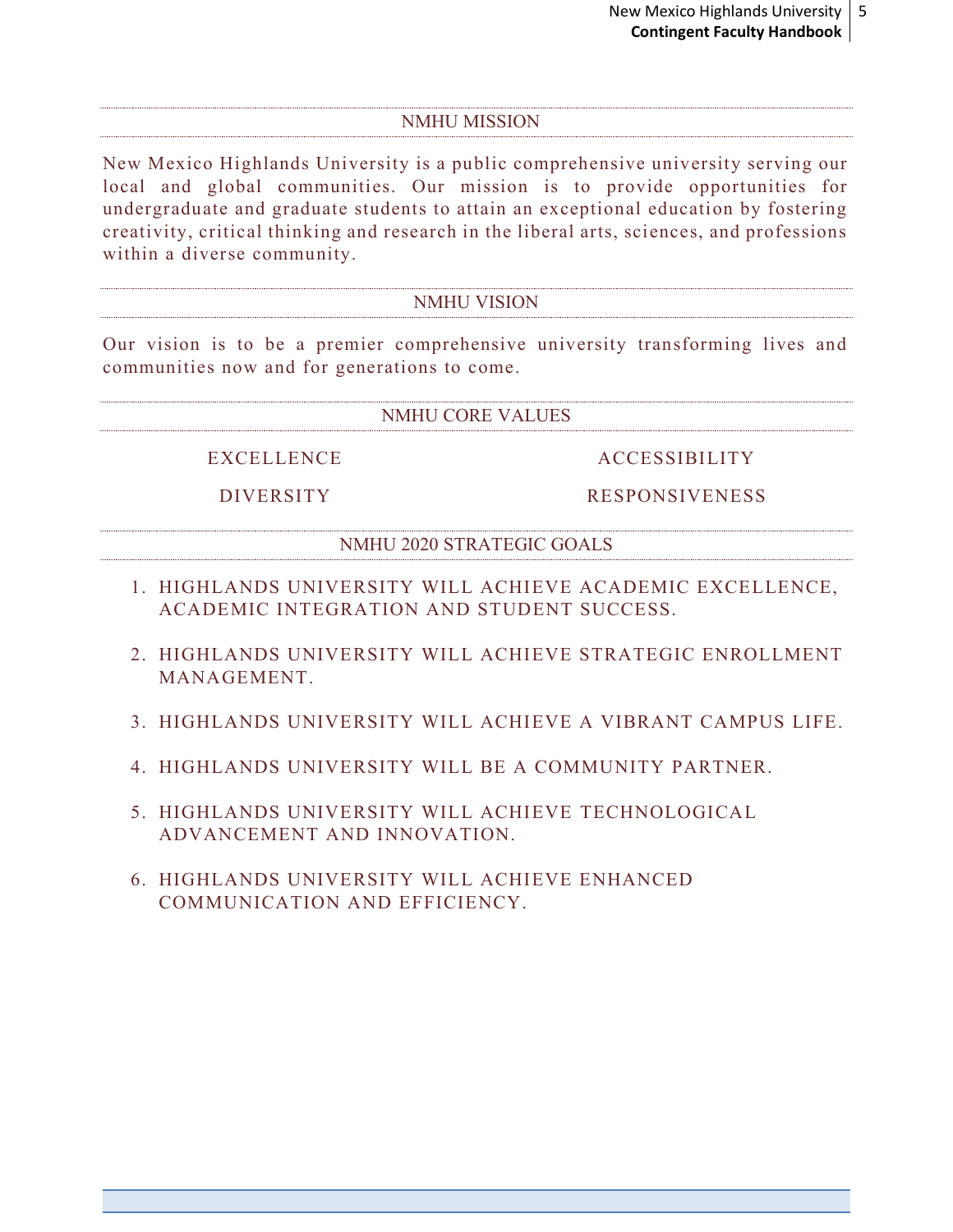#### NMHU MISSION

<span id="page-4-0"></span>New Mexico Highlands University is a public comprehensive university serving our local and global communities. Our mission is to provide opportunities for undergraduate and graduate students to attain an exceptional education by fostering creativity, critical thinking and research in the liberal arts, sciences, and professions within a diverse community.

#### NMHU VISION

Our vision is to be a premier comprehensive university transforming lives and communities now and for generations to come.

#### NMHU CORE VALUES

EXCELLENCE

DIVERSITY

ACCESSIBILITY

RESPONSIVENESS

NMHU 2020 STRATEGIC GOALS

- 1. HIGHLANDS UNIVERSITY WILL ACHIEVE ACADEMIC EXCELLENCE, ACADEMIC INTEGRATION AND STUDENT SUCCESS.
- 2. HIGHLANDS UNIVERSITY WILL ACHIEVE STRATEGIC ENROLLMENT MANAGEMENT.
- 3. HIGHLANDS UNIVERSITY WILL ACHIEVE A VIBRANT CAMPUS LIFE.
- 4. HIGHLANDS UNIVERSITY WILL BE A COMMUNITY PARTNER.
- 5. HIGHLANDS UNIVERSITY WILL ACHIEVE TECHNOLOGICAL ADVANCEMENT AND INNOVATION.
- 6. HIGHLANDS UNIVERSITY WILL ACHIEVE ENHANCED COMMUNICATION AND EFFICIENCY.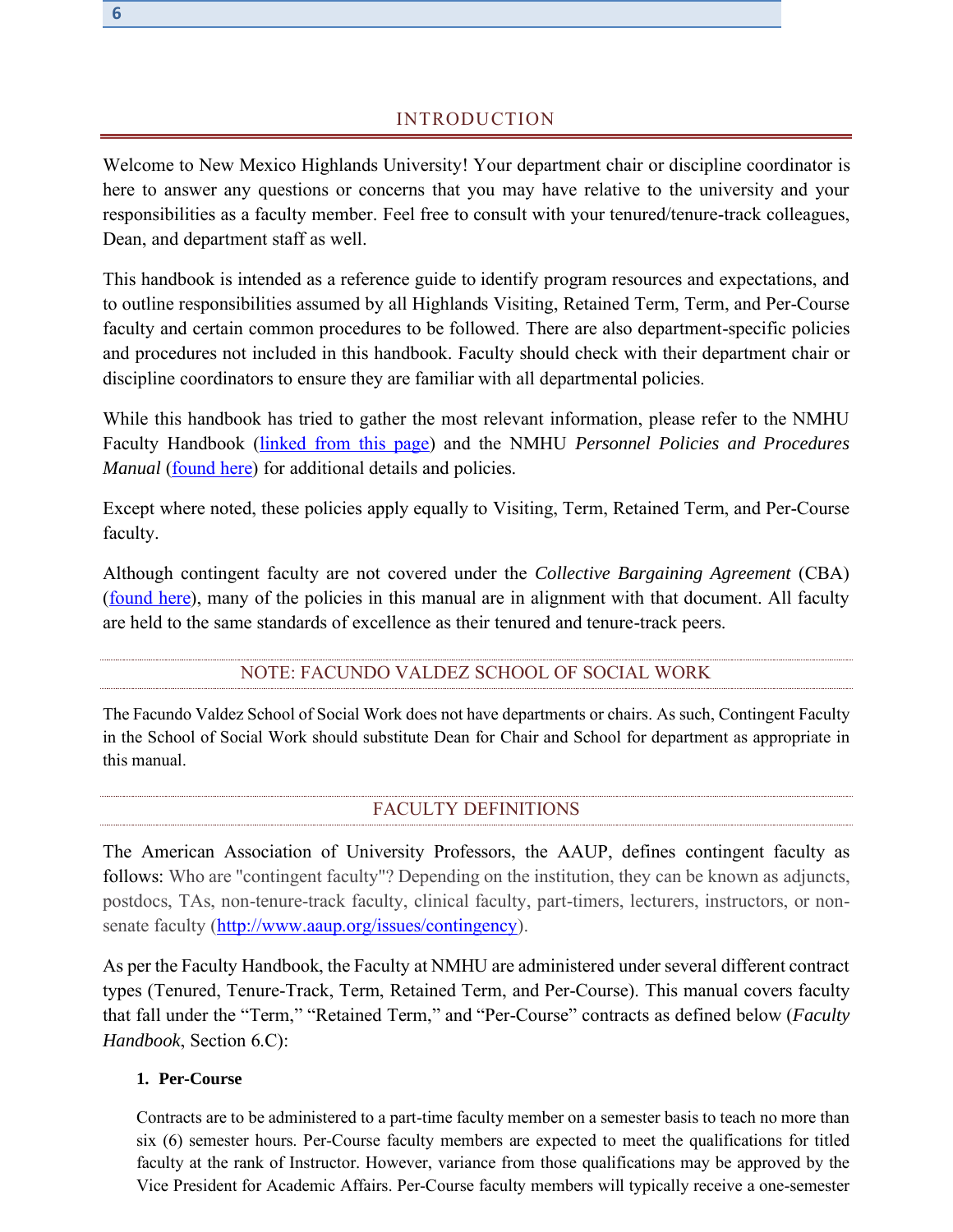# INTRODUCTION

Welcome to New Mexico Highlands University! Your department chair or discipline coordinator is here to answer any questions or concerns that you may have relative to the university and your responsibilities as a faculty member. Feel free to consult with your tenured/tenure-track colleagues, Dean, and department staff as well.

This handbook is intended as a reference guide to identify program resources and expectations, and to outline responsibilities assumed by all Highlands Visiting, Retained Term, Term, and Per-Course faculty and certain common procedures to be followed. There are also department-specific policies and procedures not included in this handbook. Faculty should check with their department chair or discipline coordinators to ensure they are familiar with all departmental policies.

While this handbook has tried to gather the most relevant information, please refer to the NMHU Faculty Handbook [\(linked from this page\)](http://www.nmhu.edu/faculty/faculty-resources/) and the NMHU *Personnel Policies and Procedures Manual* [\(found here\)](http://www.nmhu.edu/human-resources/hr-documents/) for additional details and policies.

Except where noted, these policies apply equally to Visiting, Term, Retained Term, and Per-Course faculty.

Although contingent faculty are not covered under the *Collective Bargaining Agreement* (CBA) [\(found here\)](http://www.nmhu.edu/faculty/faculty-resources/), many of the policies in this manual are in alignment with that document. All faculty are held to the same standards of excellence as their tenured and tenure-track peers.

# NOTE: FACUNDO VALDEZ SCHOOL OF SOCIAL WORK

<span id="page-5-0"></span>The Facundo Valdez School of Social Work does not have departments or chairs. As such, Contingent Faculty in the School of Social Work should substitute Dean for Chair and School for department as appropriate in this manual.

#### FACULTY DEFINITIONS

<span id="page-5-1"></span>The American Association of University Professors, the AAUP, defines contingent faculty as follows: Who are "contingent faculty"? Depending on the institution, they can be known as adjuncts, postdocs, TAs, non-tenure-track faculty, clinical faculty, part-timers, lecturers, instructors, or nonsenate faculty [\(http://www.aaup.org/issues/contingency\)](http://www.aaup.org/issues/contingency).

As per the Faculty Handbook, the Faculty at NMHU are administered under several different contract types (Tenured, Tenure-Track, Term, Retained Term, and Per-Course). This manual covers faculty that fall under the "Term," "Retained Term," and "Per-Course" contracts as defined below (*Faculty Handbook*, Section 6.C):

#### **1. Per-Course**

Contracts are to be administered to a part-time faculty member on a semester basis to teach no more than six (6) semester hours. Per-Course faculty members are expected to meet the qualifications for titled faculty at the rank of Instructor. However, variance from those qualifications may be approved by the Vice President for Academic Affairs. Per-Course faculty members will typically receive a one-semester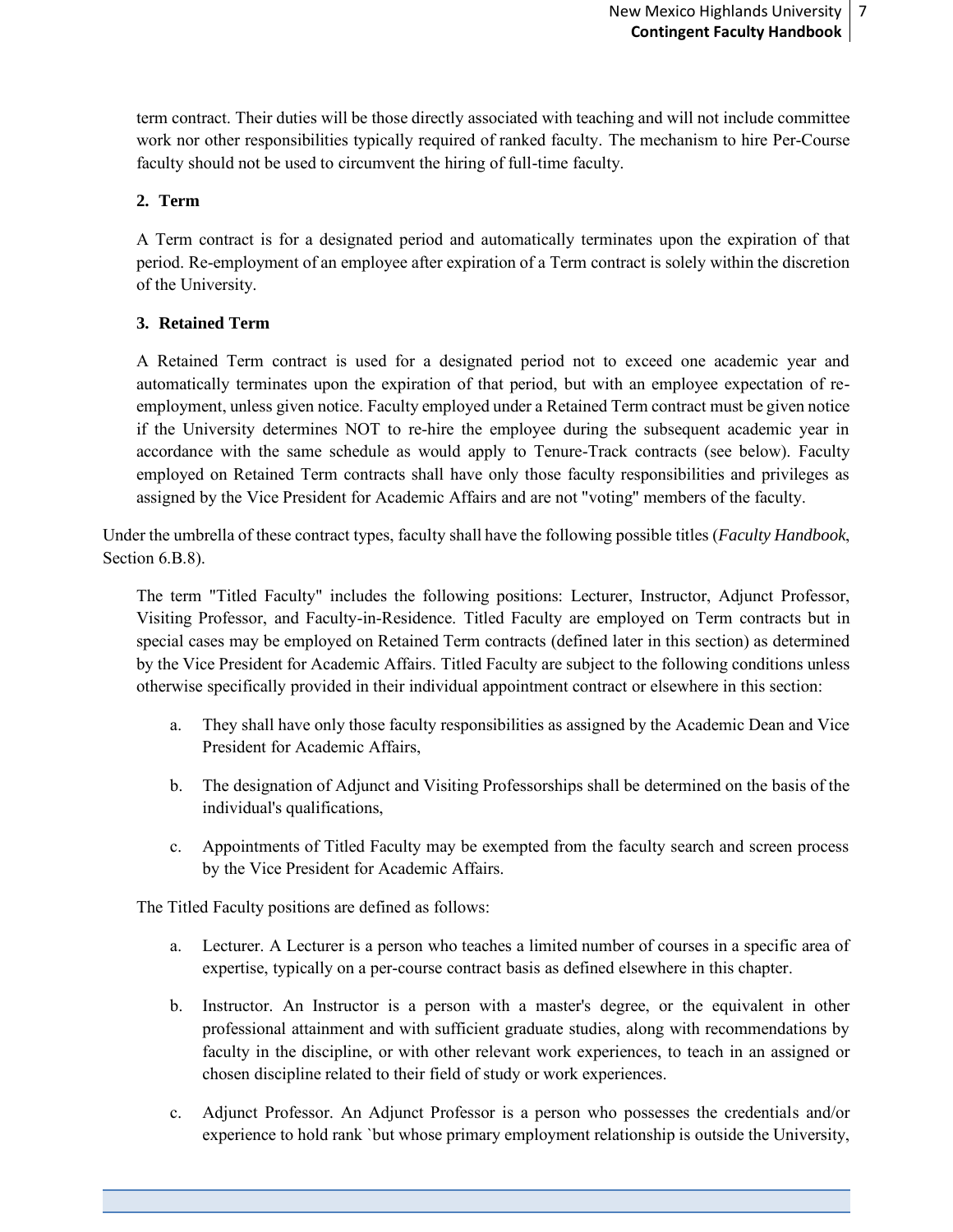term contract. Their duties will be those directly associated with teaching and will not include committee work nor other responsibilities typically required of ranked faculty. The mechanism to hire Per-Course faculty should not be used to circumvent the hiring of full-time faculty.

#### **2. Term**

A Term contract is for a designated period and automatically terminates upon the expiration of that period. Re-employment of an employee after expiration of a Term contract is solely within the discretion of the University.

#### **3. Retained Term**

A Retained Term contract is used for a designated period not to exceed one academic year and automatically terminates upon the expiration of that period, but with an employee expectation of reemployment, unless given notice. Faculty employed under a Retained Term contract must be given notice if the University determines NOT to re-hire the employee during the subsequent academic year in accordance with the same schedule as would apply to Tenure-Track contracts (see below). Faculty employed on Retained Term contracts shall have only those faculty responsibilities and privileges as assigned by the Vice President for Academic Affairs and are not "voting" members of the faculty.

Under the umbrella of these contract types, faculty shall have the following possible titles (*Faculty Handbook*, Section 6.B.8).

The term "Titled Faculty" includes the following positions: Lecturer, Instructor, Adjunct Professor, Visiting Professor, and Faculty-in-Residence. Titled Faculty are employed on Term contracts but in special cases may be employed on Retained Term contracts (defined later in this section) as determined by the Vice President for Academic Affairs. Titled Faculty are subject to the following conditions unless otherwise specifically provided in their individual appointment contract or elsewhere in this section:

- a. They shall have only those faculty responsibilities as assigned by the Academic Dean and Vice President for Academic Affairs,
- b. The designation of Adjunct and Visiting Professorships shall be determined on the basis of the individual's qualifications,
- c. Appointments of Titled Faculty may be exempted from the faculty search and screen process by the Vice President for Academic Affairs.

The Titled Faculty positions are defined as follows:

- a. Lecturer. A Lecturer is a person who teaches a limited number of courses in a specific area of expertise, typically on a per-course contract basis as defined elsewhere in this chapter.
- b. Instructor. An Instructor is a person with a master's degree, or the equivalent in other professional attainment and with sufficient graduate studies, along with recommendations by faculty in the discipline, or with other relevant work experiences, to teach in an assigned or chosen discipline related to their field of study or work experiences.
- c. Adjunct Professor. An Adjunct Professor is a person who possesses the credentials and/or experience to hold rank `but whose primary employment relationship is outside the University,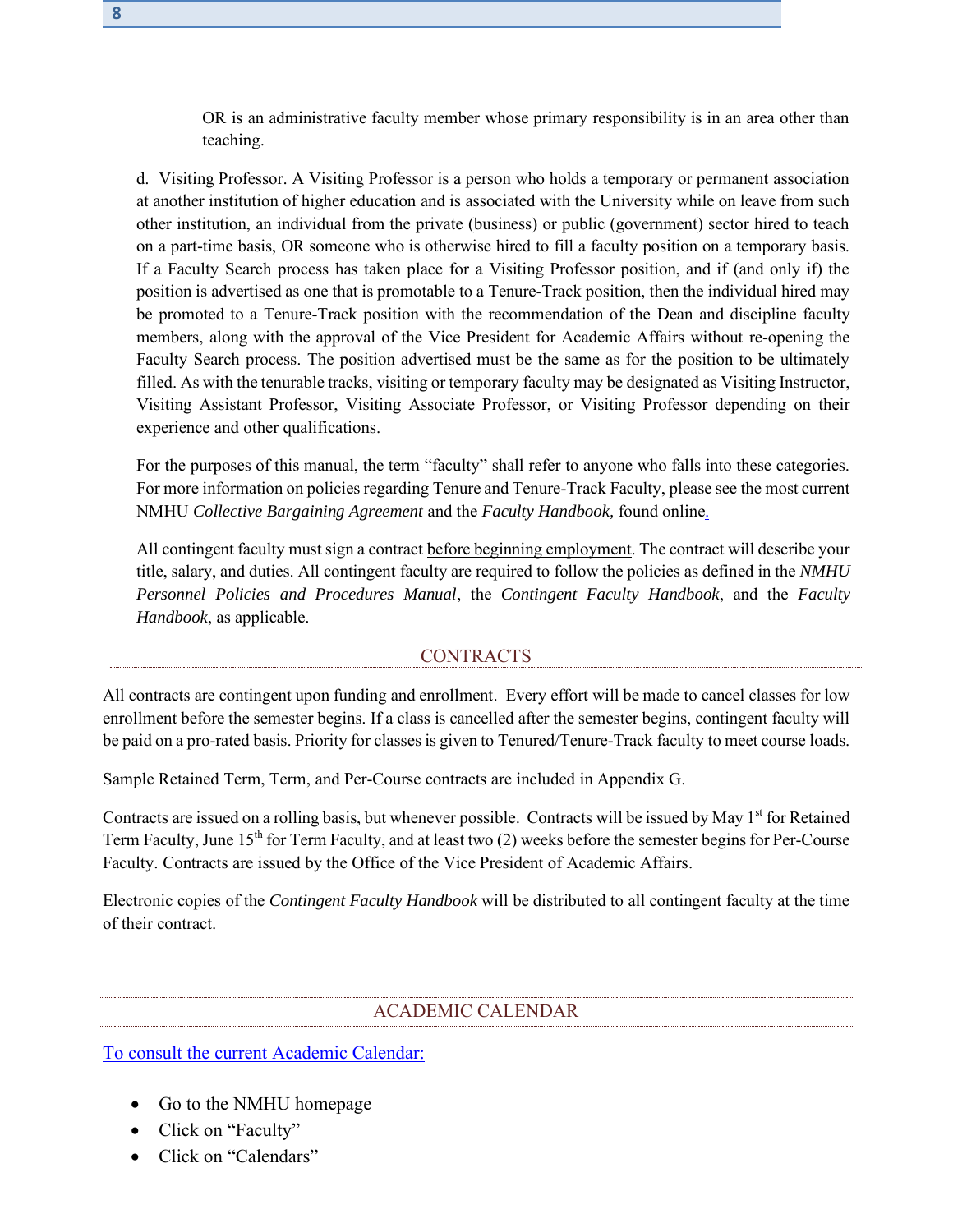OR is an administrative faculty member whose primary responsibility is in an area other than teaching.

d. Visiting Professor. A Visiting Professor is a person who holds a temporary or permanent association at another institution of higher education and is associated with the University while on leave from such other institution, an individual from the private (business) or public (government) sector hired to teach on a part-time basis, OR someone who is otherwise hired to fill a faculty position on a temporary basis. If a Faculty Search process has taken place for a Visiting Professor position, and if (and only if) the position is advertised as one that is promotable to a Tenure-Track position, then the individual hired may be promoted to a Tenure-Track position with the recommendation of the Dean and discipline faculty members, along with the approval of the Vice President for Academic Affairs without re-opening the Faculty Search process. The position advertised must be the same as for the position to be ultimately filled. As with the tenurable tracks, visiting or temporary faculty may be designated as Visiting Instructor, Visiting Assistant Professor, Visiting Associate Professor, or Visiting Professor depending on their experience and other qualifications.

For the purposes of this manual, the term "faculty" shall refer to anyone who falls into these categories. For more information on policies regarding Tenure and Tenure-Track Faculty, please see the most current NMHU *Collective Bargaining Agreement* and the *Faculty Handbook,* [found online.](http://www.nmhu.edu/faculty/faculty-resources/)

All contingent faculty must sign a contract before beginning employment. The contract will describe your title, salary, and duties. All contingent faculty are required to follow the policies as defined in the *[NMHU](http://www.nmhu.edu/human-resources/hr-documents/)  [Personnel Policies and Procedures Manual](http://www.nmhu.edu/human-resources/hr-documents/)*, the *[Contingent Faculty Handbook](http://www.nmhu.edu/faculty/faculty-resources/)*, and the *Faculty [Handbook](http://www.nmhu.edu/faculty/faculty-resources/)*, as applicable.

#### CONTRACTS

<span id="page-7-0"></span>All contracts are contingent upon funding and enrollment. Every effort will be made to cancel classes for low enrollment before the semester begins. If a class is cancelled after the semester begins, contingent faculty will be paid on a pro-rated basis. Priority for classes is given to Tenured/Tenure-Track faculty to meet course loads.

Sample Retained Term, Term, and Per-Course contracts are included in Appendix G.

Contracts are issued on a rolling basis, but whenever possible. Contracts will be issued by May  $1<sup>st</sup>$  for Retained Term Faculty, June 15<sup>th</sup> for Term Faculty, and at least two (2) weeks before the semester begins for Per-Course Faculty. Contracts are issued by the Office of the Vice President of Academic Affairs.

Electronic copies of the *Contingent Faculty Handbook* will be distributed to all contingent faculty at the time of their contract.

#### ACADEMIC CALENDAR

<span id="page-7-1"></span>[To consult the current Academic Calendar:](http://www.nmhu.edu/faculty-and-staff/calendars/)

- Go to the NMHU homepage
- Click on "Faculty"
- Click on "Calendars"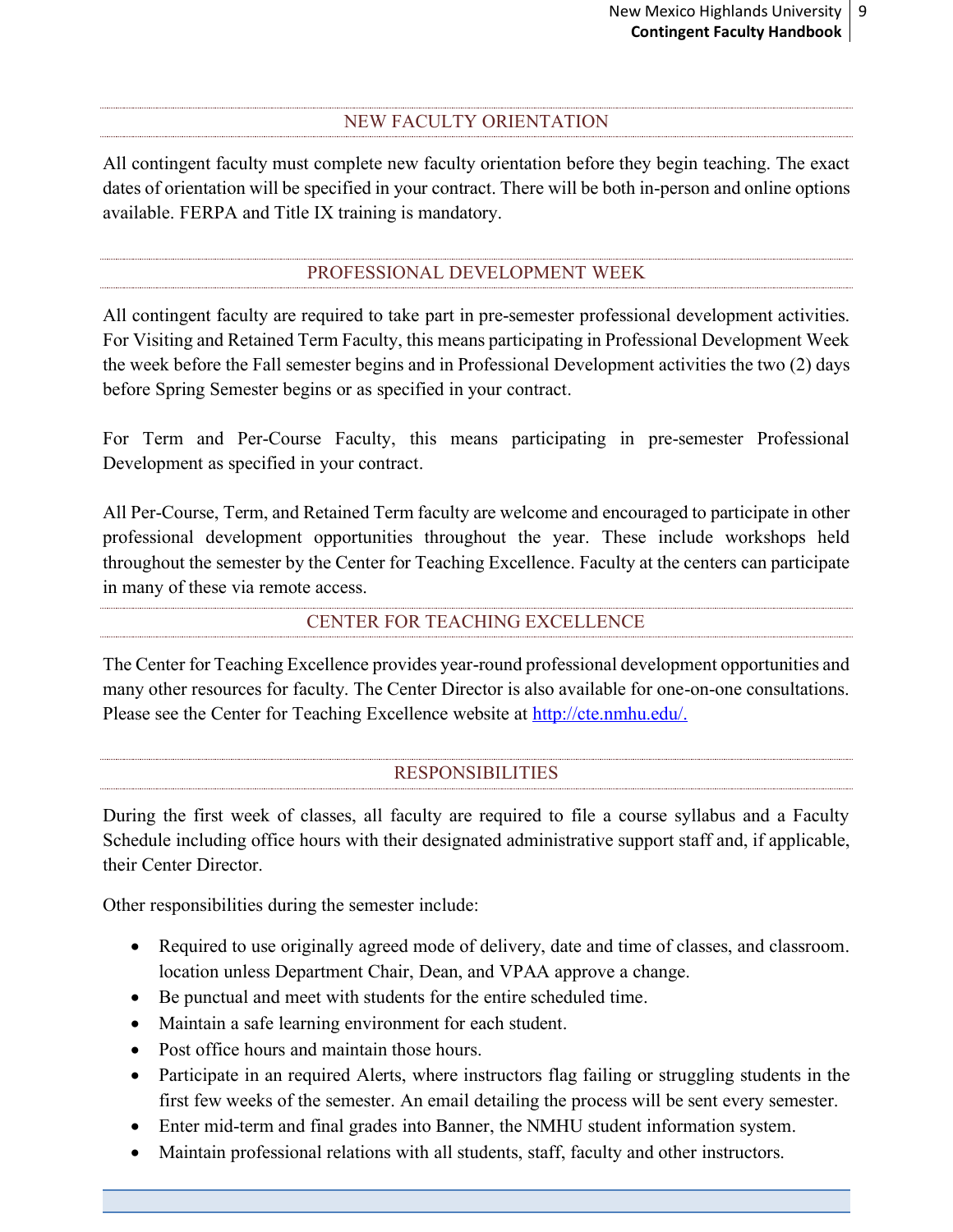#### <span id="page-8-0"></span>NEW FACULTY ORIENTATION

All contingent faculty must complete new faculty orientation before they begin teaching. The exact dates of orientation will be specified in your contract. There will be both in-person and online options available. FERPA and Title IX training is mandatory.

# PROFESSIONAL DEVELOPMENT WEEK

<span id="page-8-1"></span>All contingent faculty are required to take part in pre-semester professional development activities. For Visiting and Retained Term Faculty, this means participating in Professional Development Week the week before the Fall semester begins and in Professional Development activities the two (2) days before Spring Semester begins or as specified in your contract.

For Term and Per-Course Faculty, this means participating in pre-semester Professional Development as specified in your contract.

All Per-Course, Term, and Retained Term faculty are welcome and encouraged to participate in other professional development opportunities throughout the year. These include workshops held throughout the semester by the [Center for Teaching Excellence.](http://cte.nmhu.edu/) Faculty at the centers can participate in many of these via remote access.

# CENTER FOR TEACHING EXCELLENCE

<span id="page-8-2"></span>The Center for Teaching Excellence provides year-round professional development opportunities and many other resources for faculty. The Center Director is also available for one-on-one consultations. Please see the Center for Teaching Excellence website at [http://cte.nmhu.edu/.](http://cte.nmhu.edu/)

# RESPONSIBILITIES

<span id="page-8-3"></span>During the first week of classes, all faculty are required to file a course syllabus and a Faculty Schedule including office hours with their designated administrative support staff and, if applicable, their Center Director.

Other responsibilities during the semester include:

- Required to use originally agreed mode of delivery, date and time of classes, and classroom. location unless Department Chair, Dean, and VPAA approve a change.
- Be punctual and meet with students for the entire scheduled time.
- Maintain a safe learning environment for each student.
- Post office hours and maintain those hours.
- Participate in an required Alerts, where instructors flag failing or struggling students in the first few weeks of the semester. An email detailing the process will be sent every semester.
- Enter mid-term and final grades into Banner, the NMHU student information system.
- Maintain professional relations with all students, staff, faculty and other instructors.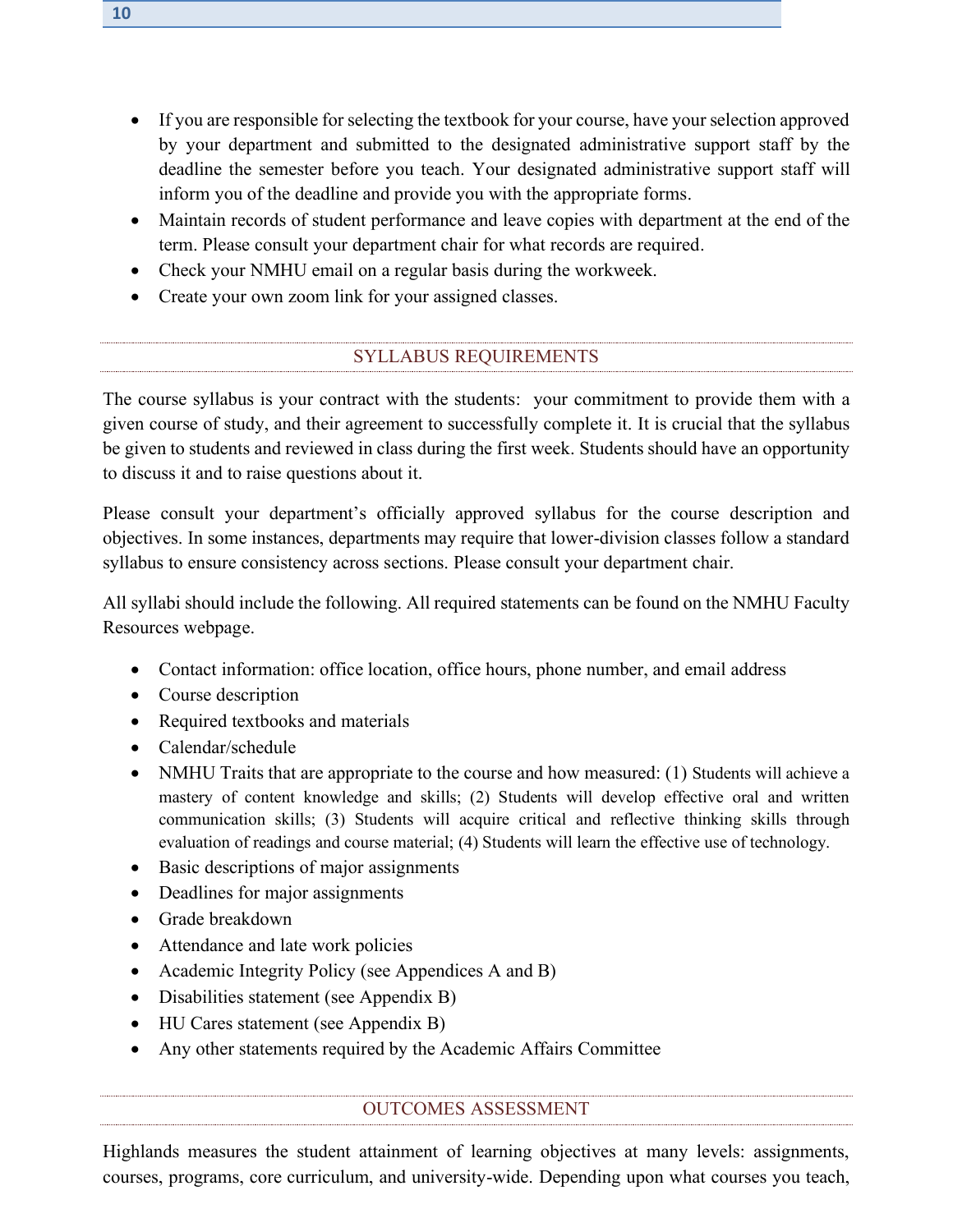- If you are responsible for selecting the textbook for your course, have your selection approved by your department and submitted to the designated administrative support staff by the deadline the semester before you teach. Your designated administrative support staff will inform you of the deadline and provide you with the appropriate forms.
- Maintain records of student performance and leave copies with department at the end of the term. Please consult your department chair for what records are required.
- Check your NMHU email on a regular basis during the workweek.
- Create your own zoom link for your assigned classes.

# SYLLABUS REQUIREMENTS

<span id="page-9-0"></span>The course syllabus is your contract with the students: your commitment to provide them with a given course of study, and their agreement to successfully complete it. It is crucial that the syllabus be given to students and reviewed in class during the first week. Students should have an opportunity to discuss it and to raise questions about it.

Please consult your department's officially approved syllabus for the course description and objectives. In some instances, departments may require that lower-division classes follow a standard syllabus to ensure consistency across sections. Please consult your department chair.

All syllabi should include the following. [All required statements can be found on the NMHU Faculty](http://www.nmhu.edu/faculty/faculty-resources/)  [Resources webpage.](http://www.nmhu.edu/faculty/faculty-resources/)

- Contact information: office location, office hours, phone number, and email address
- Course description
- Required textbooks and materials
- Calendar/schedule
- NMHU Traits that are appropriate to the course and how measured: (1) Students will achieve a mastery of content knowledge and skills; (2) Students will develop effective oral and written communication skills; (3) Students will acquire critical and reflective thinking skills through evaluation of readings and course material; (4) Students will learn the effective use of technology.
- Basic descriptions of major assignments
- Deadlines for major assignments
- Grade breakdown
- Attendance and late work policies
- Academic Integrity Policy (see Appendices A and B)
- Disabilities statement (see Appendix B)
- HU Cares statement (see Appendix B)
- Any other statements required by the Academic Affairs Committee

# OUTCOMES ASSESSMENT

Highlands measures the student attainment of learning objectives at many levels: assignments, courses, programs, core curriculum, and university-wide. Depending upon what courses you teach,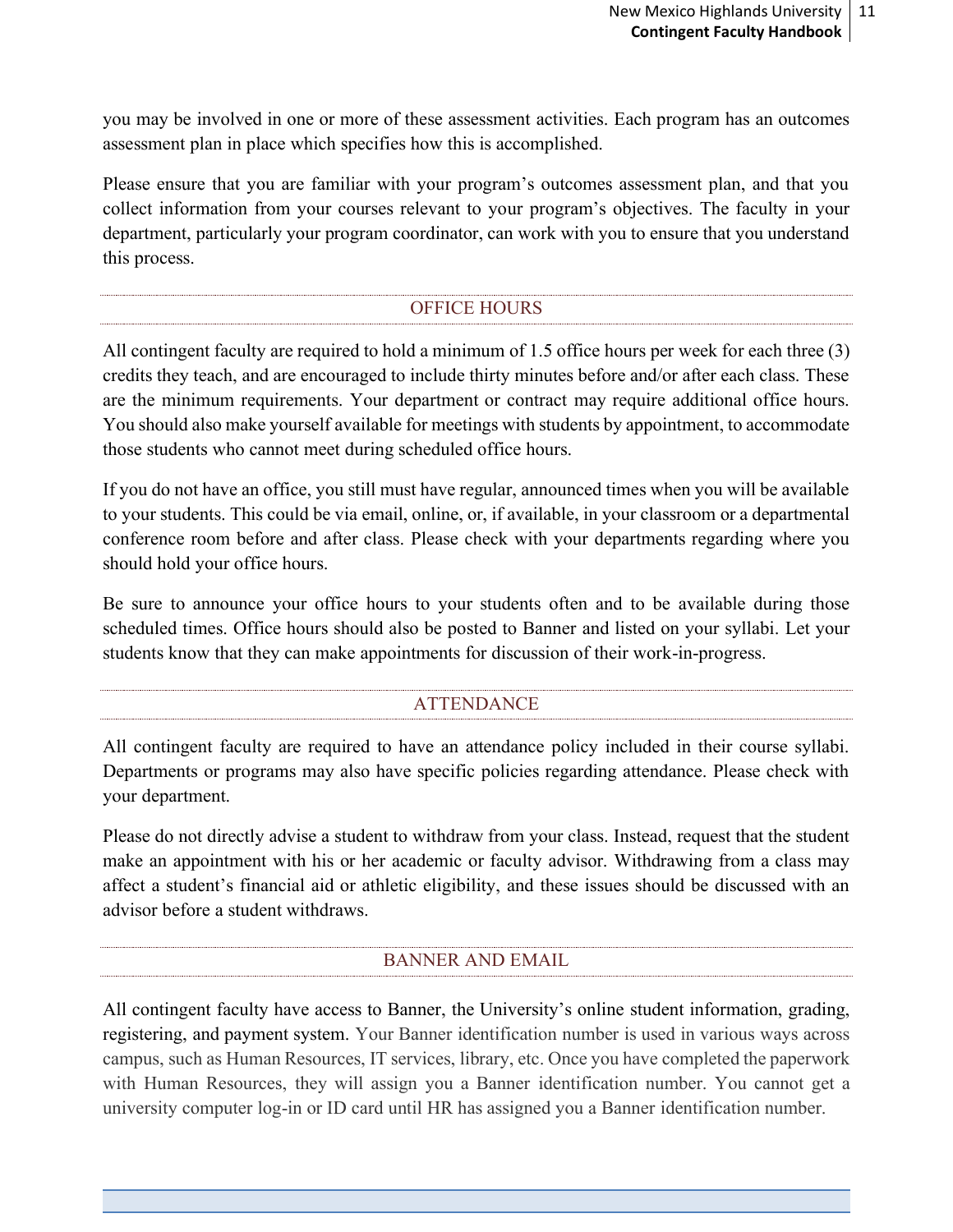you may be involved in one or more of these assessment activities. Each program has an outcomes assessment plan in place which specifies how this is accomplished.

Please ensure that you are familiar with your program's outcomes assessment plan, and that you collect information from your courses relevant to your program's objectives. The faculty in your department, particularly your program coordinator, can work with you to ensure that you understand this process.

# OFFICE HOURS

<span id="page-10-0"></span>All contingent faculty are required to hold a minimum of 1.5 office hours per week for each three (3) credits they teach, and are encouraged to include thirty minutes before and/or after each class. These are the minimum requirements. Your department or contract may require additional office hours. You should also make yourself available for meetings with students by appointment, to accommodate those students who cannot meet during scheduled office hours.

If you do not have an office, you still must have regular, announced times when you will be available to your students. This could be via email, online, or, if available, in your classroom or a departmental conference room before and after class. Please check with your departments regarding where you should hold your office hours.

Be sure to announce your office hours to your students often and to be available during those scheduled times. Office hours should also be posted to Banner and listed on your syllabi. Let your students know that they can make appointments for discussion of their work-in-progress.

# ATTENDANCE

<span id="page-10-1"></span>All contingent faculty are required to have an attendance policy included in their course syllabi. Departments or programs may also have specific policies regarding attendance. Please check with your department.

Please do not directly advise a student to withdraw from your class. Instead, request that the student make an appointment with his or her academic or faculty advisor. Withdrawing from a class may affect a student's financial aid or athletic eligibility, and these issues should be discussed with an advisor before a student withdraws.

# BANNER AND EMAIL

<span id="page-10-2"></span>All contingent faculty have access to Banner, the University's online student information, grading, registering, and payment system. Your Banner identification number is used in various ways across campus, such as Human Resources, IT services, library, etc. Once you have completed the paperwork with Human Resources, they will assign you a Banner identification number. You cannot get a university computer log-in or ID card until HR has assigned you a Banner identification number.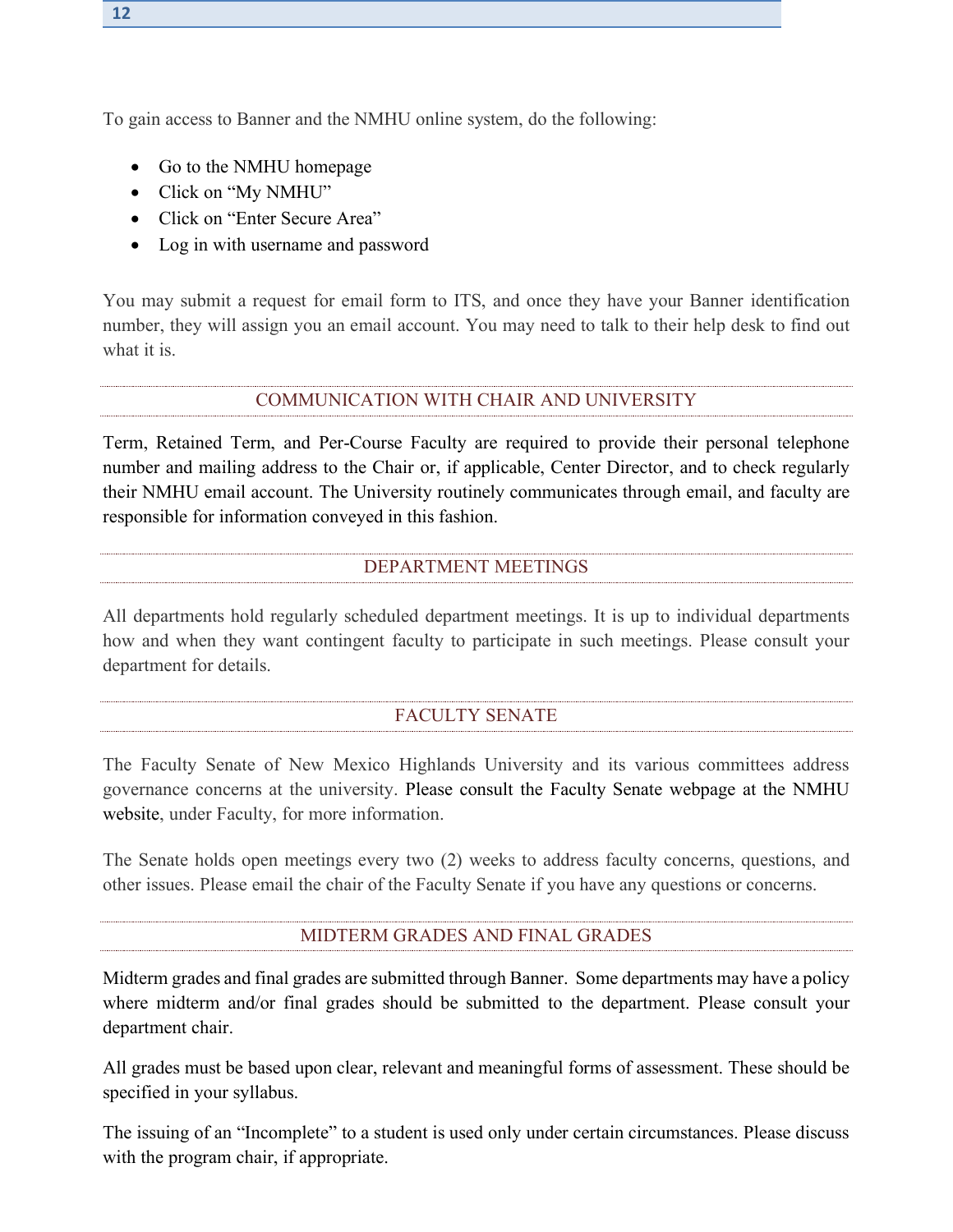To gain access to Banner and the NMHU online system, do the following:

- Go to the NMHU homepage
- Click on "My NMHU"
- Click on "Enter Secure Area"
- Log in with username and password

You may submit a request for email form to ITS, and once they have your Banner identification number, they will assign you an email account. You may need to talk to their help desk to find out what it is.

#### COMMUNICATION WITH CHAIR AND UNIVERSITY

<span id="page-11-0"></span>Term, Retained Term, and Per-Course Faculty are required to provide their personal telephone number and mailing address to the Chair or, if applicable, Center Director, and to check regularly their NMHU email account. The University routinely communicates through email, and faculty are responsible for information conveyed in this fashion.

#### DEPARTMENT MEETINGS

<span id="page-11-1"></span>All departments hold regularly scheduled department meetings. It is up to individual departments how and when they want contingent faculty to participate in such meetings. Please consult your department for details.

# FACULTY SENATE

<span id="page-11-2"></span>The Faculty Senate of New Mexico Highlands University and its various committees address governance concerns at the university. [Please consult the Faculty Senate webpage at the NMHU](http://www.nmhu.edu/faculty-and-staff/faculty-senate/)  [website,](http://www.nmhu.edu/faculty-and-staff/faculty-senate/) under Faculty, for more information.

The Senate holds open meetings every two (2) weeks to address faculty concerns, questions, and other issues. Please email the chair of the Faculty Senate if you have any questions or concerns.

#### MIDTERM GRADES AND FINAL GRADES

<span id="page-11-3"></span>Midterm grades and final grades are submitted through Banner. Some departments may have a policy where midterm and/or final grades should be submitted to the department. Please consult your department chair.

All grades must be based upon clear, relevant and meaningful forms of assessment. These should be specified in your syllabus.

The issuing of an "Incomplete" to a student is used only under certain circumstances. Please discuss with the program chair, if appropriate.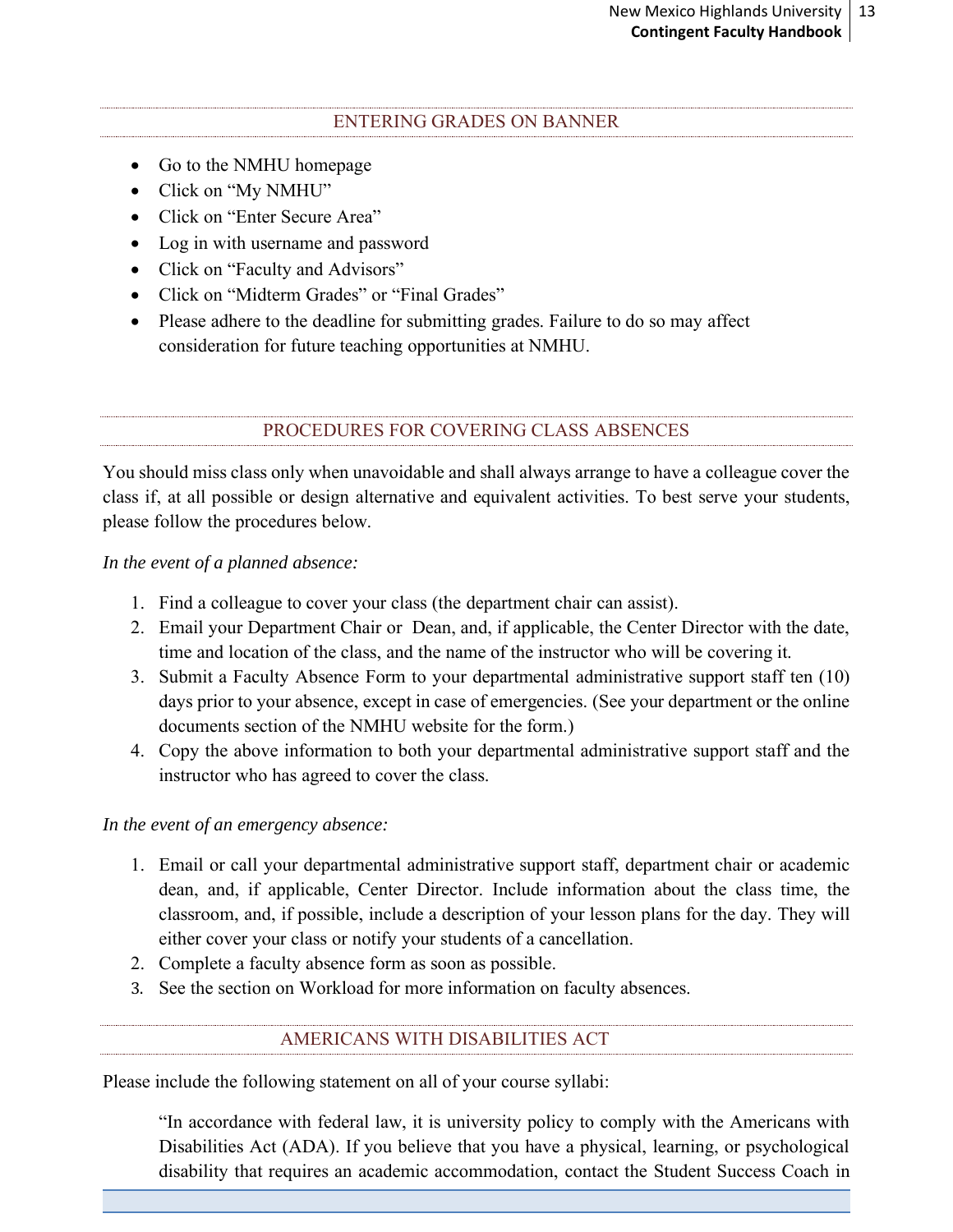#### ENTERING GRADES ON BANNER

- <span id="page-12-0"></span>• Go to the NMHU homepage
- Click on "My NMHU"
- Click on "Enter Secure Area"
- Log in with username and password
- Click on "Faculty and Advisors"
- Click on "Midterm Grades" or "Final Grades"
- Please adhere to the deadline for submitting grades. Failure to do so may affect consideration for future teaching opportunities at NMHU.

PROCEDURES FOR COVERING CLASS ABSENCES

<span id="page-12-1"></span>You should miss class only when unavoidable and shall always arrange to have a colleague cover the class if, at all possible or design alternative and equivalent activities. To best serve your students, please follow the procedures below.

*In the event of a planned absence:*

- 1. Find a colleague to cover your class (the department chair can assist).
- 2. Email your Department Chair or Dean, and, if applicable, the Center Director with the date, time and location of the class, and the name of the instructor who will be covering it.
- 3. Submit a Faculty Absence Form to your departmental administrative support staff ten (10) days prior to your absence, except in case of emergencies. (See your department or the online documents section of the NMHU website for the form.)
- 4. Copy the above information to both your departmental administrative support staff and the instructor who has agreed to cover the class.

*In the event of an emergency absence:*

- 1. Email or call your departmental administrative support staff, department chair or academic dean, and, if applicable, Center Director. Include information about the class time, the classroom, and, if possible, include a description of your lesson plans for the day. They will either cover your class or notify your students of a cancellation.
- 2. Complete a faculty absence form as soon as possible.
- <span id="page-12-2"></span>3. See the section on Workload for more information on faculty absences.

# AMERICANS WITH DISABILITIES ACT

Please include the following statement on all of your course syllabi:

"In accordance with federal law, it is university policy to comply with the Americans with Disabilities Act (ADA). If you believe that you have a physical, learning, or psychological disability that requires an academic accommodation, contact the Student Success Coach in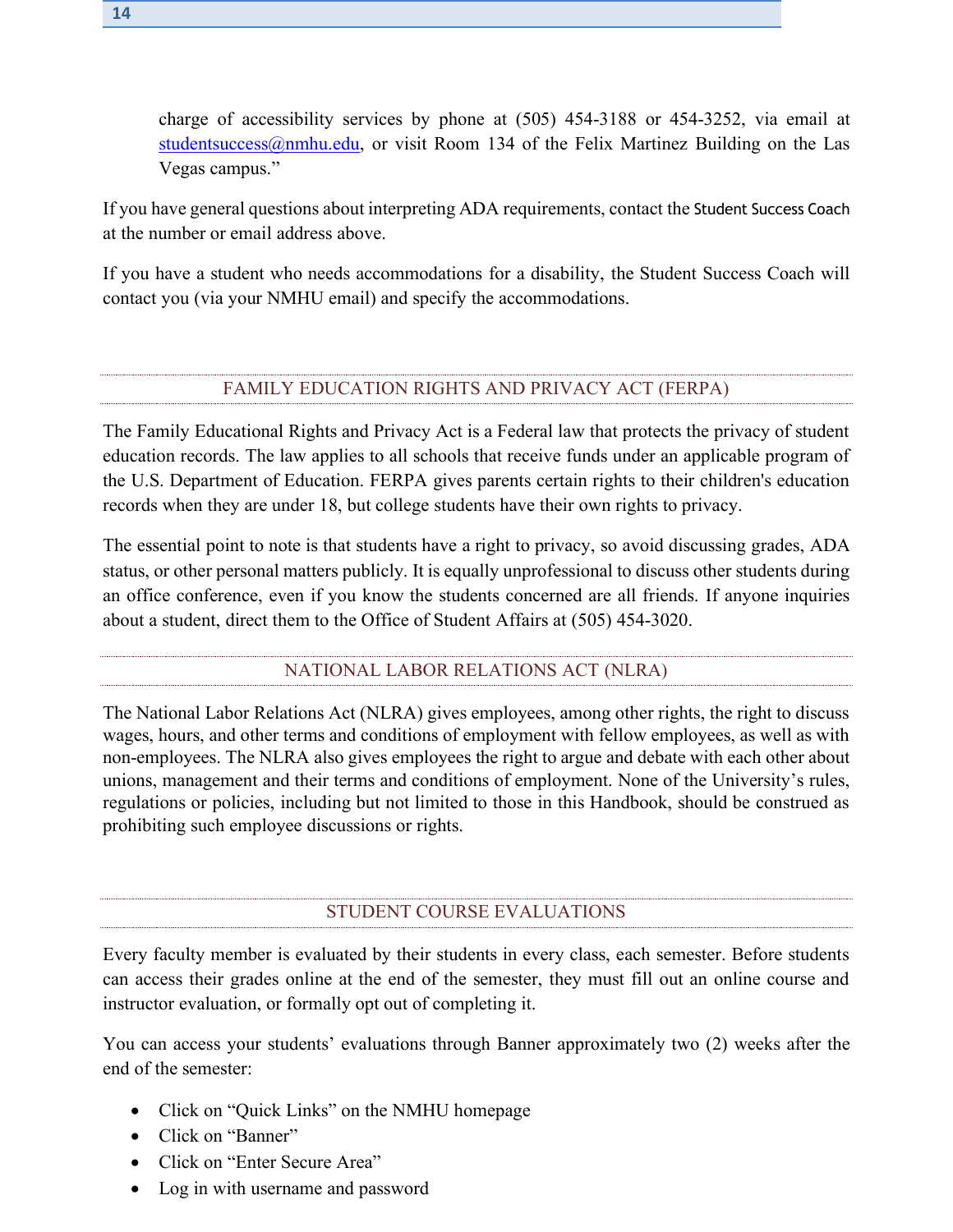If you have general questions about interpreting ADA requirements, contact the Student Success Coach at the number or email address above.

If you have a student who needs accommodations for a disability, the Student Success Coach will contact you (via your NMHU email) and specify the accommodations.

# FAMILY EDUCATION RIGHTS AND PRIVACY ACT (FERPA)

<span id="page-13-0"></span>The Family Educational Rights and Privacy Act is a Federal law that protects the privacy of student education records. The law applies to all schools that receive funds under an applicable program of the U.S. Department of Education. FERPA gives parents certain rights to their children's education records when they are under 18, but college students have their own rights to privacy.

The essential point to note is that students have a right to privacy, so avoid discussing grades, ADA status, or other personal matters publicly. It is equally unprofessional to discuss other students during an office conference, even if you know the students concerned are all friends. If anyone inquiries about a student, direct them to the Office of Student Affairs at (505) 454-3020.

# NATIONAL LABOR RELATIONS ACT (NLRA)

The National Labor Relations Act (NLRA) gives employees, among other rights, the right to discuss wages, hours, and other terms and conditions of employment with fellow employees, as well as with non-employees. The NLRA also gives employees the right to argue and debate with each other about unions, management and their terms and conditions of employment. None of the University's rules, regulations or policies, including but not limited to those in this Handbook, should be construed as prohibiting such employee discussions or rights.

# STUDENT COURSE EVALUATIONS

<span id="page-13-1"></span>Every faculty member is evaluated by their students in every class, each semester. Before students can access their grades online at the end of the semester, they must fill out an online course and instructor evaluation, or formally opt out of completing it.

You can access your students' evaluations through Banner approximately two (2) weeks after the end of the semester:

- Click on "Quick Links" on the NMHU homepage
- Click on "Banner"
- Click on "Enter Secure Area"
- Log in with username and password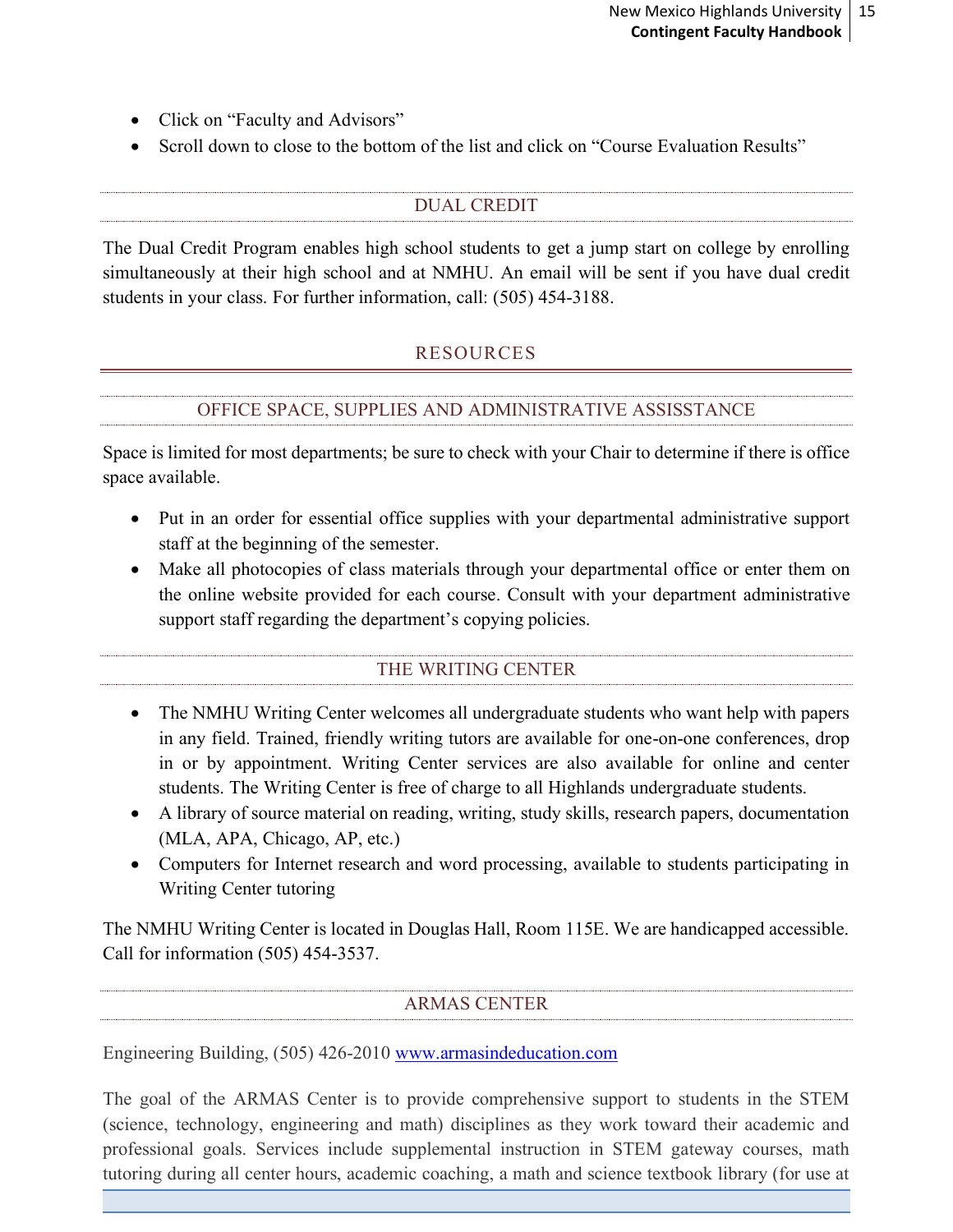- Click on "Faculty and Advisors"
- Scroll down to close to the bottom of the list and click on "Course Evaluation Results"

# DUAL CREDIT

<span id="page-14-1"></span><span id="page-14-0"></span>The Dual Credit Program enables high school students to get a jump start on college by enrolling simultaneously at their high school and at NMHU. An email will be sent if you have dual credit students in your class. For further information, call: (505) 454-3188.

# RESOURCES

# OFFICE SPACE, SUPPLIES AND ADMINISTRATIVE ASSISSTANCE

<span id="page-14-2"></span>Space is limited for most departments; be sure to check with your Chair to determine if there is office space available.

- Put in an order for essential office supplies with your departmental administrative support staff at the beginning of the semester.
- Make all photocopies of class materials through your departmental office or enter them on the online website provided for each course. Consult with your department administrative support staff regarding the department's copying policies.

# THE WRITING CENTER

- <span id="page-14-3"></span>• The NMHU Writing Center welcomes all undergraduate students who want help with papers in any field. Trained, friendly writing tutors are available for one-on-one conferences, drop in or by appointment. Writing Center services are also available for online and center students. The Writing Center is free of charge to all Highlands undergraduate students.
- A library of source material on reading, writing, study skills, research papers, documentation (MLA, APA, Chicago, AP, etc.)
- Computers for Internet research and word processing, available to students participating in Writing Center tutoring

The NMHU Writing Center is located in Douglas Hall, Room 115E. We are handicapped accessible. Call for information (505) 454-3537.

# ARMAS CENTER

<span id="page-14-4"></span>Engineering Building, (505) 426-2010 [www.armasindeducation.com](file:///C:/Users/taguilarVPAA/AppData/Local/Microsoft/Windows/Temporary%20Internet%20Files/Content.Outlook/FSXJUFVA/www.armasindeducation.com)

The goal of the ARMAS Center is to provide comprehensive support to students in the STEM (science, technology, engineering and math) disciplines as they work toward their academic and professional goals. Services include supplemental instruction in STEM gateway courses, math tutoring during all center hours, academic coaching, a math and science textbook library (for use at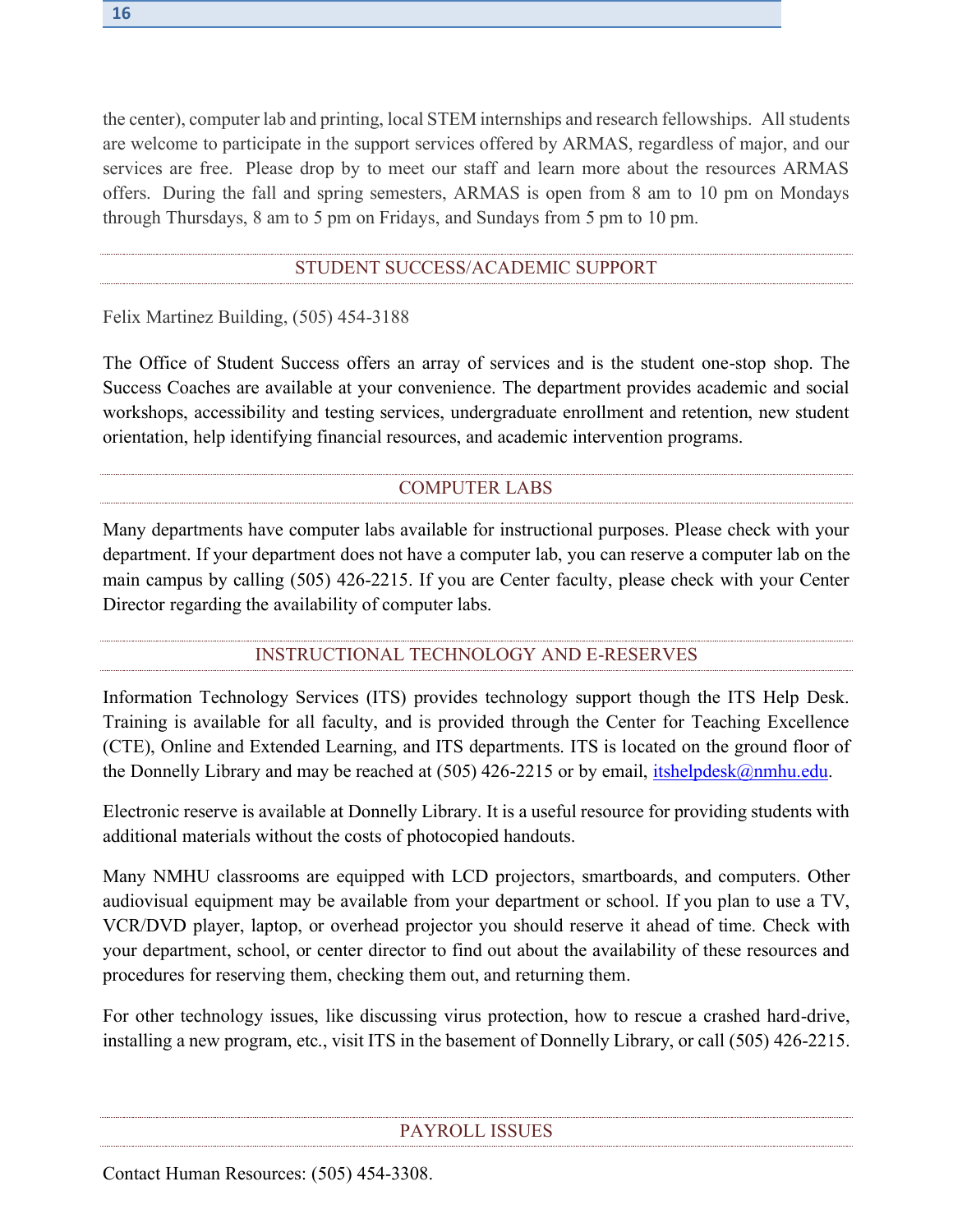the center), computer lab and printing, local STEM internships and research fellowships. All students are welcome to participate in the support services offered by ARMAS, regardless of major, and our services are free. Please drop by to meet our staff and learn more about the resources ARMAS offers. During the fall and spring semesters, ARMAS is open from 8 am to 10 pm on Mondays through Thursdays, 8 am to 5 pm on Fridays, and Sundays from 5 pm to 10 pm.

#### STUDENT SUCCESS/ACADEMIC SUPPORT

<span id="page-15-0"></span>Felix Martinez Building, (505) 454-3188

The Office of Student Success offers an array of services and is the student one-stop shop. The Success Coaches are available at your convenience. The department provides academic and social workshops, accessibility and testing services, undergraduate enrollment and retention, new student orientation, help identifying financial resources, and academic intervention programs.

# <span id="page-15-1"></span>COMPUTER LABS

Many departments have computer labs available for instructional purposes. Please check with your department. If your department does not have a computer lab, you can reserve a computer lab on the main campus by calling (505) 426-2215. If you are Center faculty, please check with your Center Director regarding the availability of computer labs.

# INSTRUCTIONAL TECHNOLOGY AND E-RESERVES

<span id="page-15-2"></span>Information Technology Services (ITS) provides technology support though the ITS Help Desk. Training is available for all faculty, and is provided through the Center for Teaching Excellence (CTE), Online and Extended Learning, and ITS departments. ITS is located on the ground floor of the Donnelly Library and may be reached at  $(505)$  426-2215 or by email, [itshelpdesk@nmhu.edu.](mailto:itshelpdesk@nmhu.edu)

Electronic reserve is available at Donnelly Library. It is a useful resource for providing students with additional materials without the costs of photocopied handouts.

Many NMHU classrooms are equipped with LCD projectors, smartboards, and computers. Other audiovisual equipment may be available from your department or school. If you plan to use a TV, VCR/DVD player, laptop, or overhead projector you should reserve it ahead of time. Check with your department, school, or center director to find out about the availability of these resources and procedures for reserving them, checking them out, and returning them.

For other technology issues, like discussing virus protection, how to rescue a crashed hard-drive, installing a new program, etc., visit ITS in the basement of Donnelly Library, or call (505) 426-2215.

#### PAYROLL ISSUES

<span id="page-15-3"></span>Contact Human Resources: (505) 454-3308.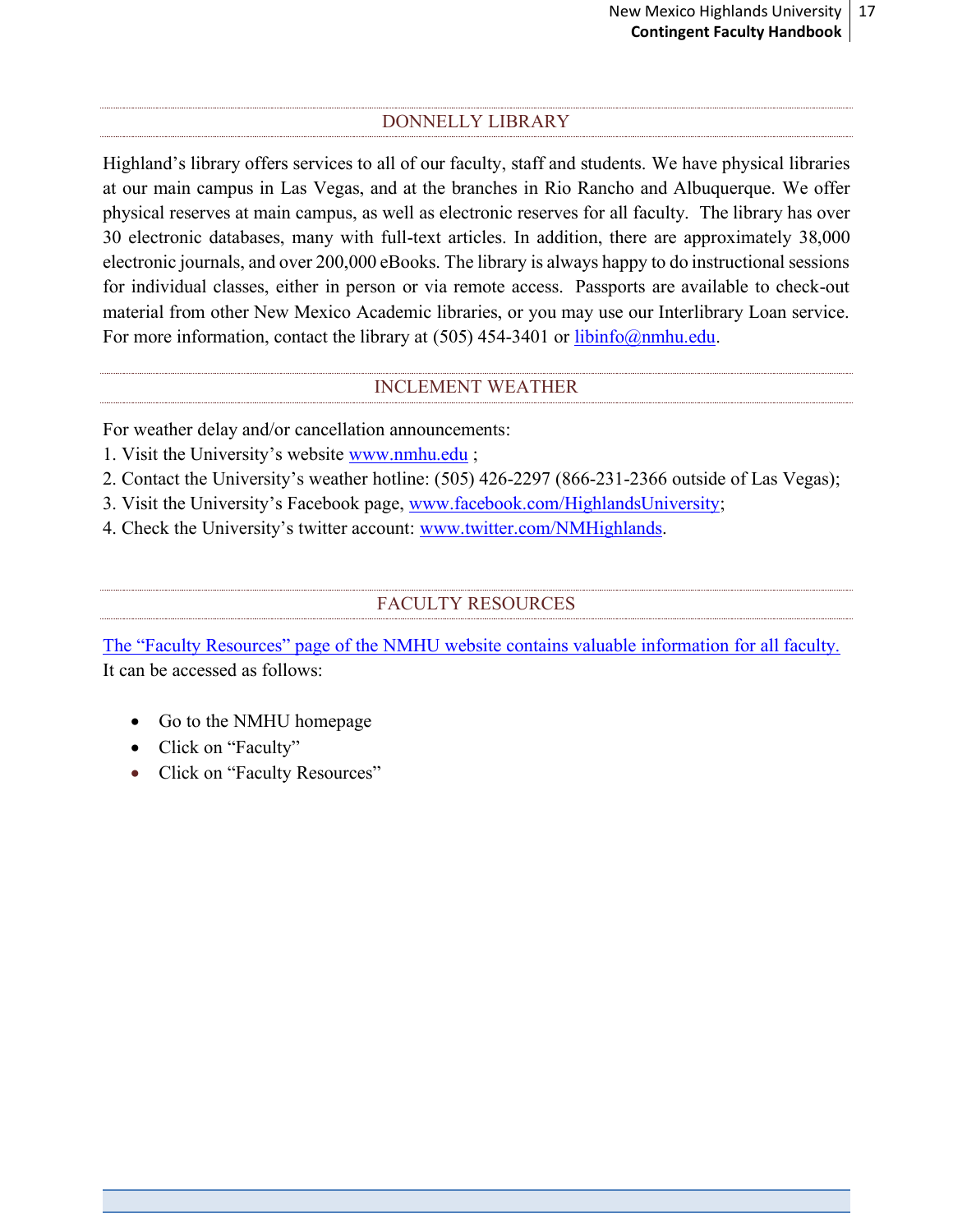# DONNELLY LIBRARY

<span id="page-16-0"></span>Highland's library offers services to all of our faculty, staff and students. We have physical libraries at our main campus in Las Vegas, and at the branches in Rio Rancho and Albuquerque. We offer physical reserves at main campus, as well as electronic reserves for all faculty. The library has over 30 electronic databases, many with full-text articles. In addition, there are approximately 38,000 electronic journals, and over 200,000 eBooks. The library is always happy to do instructional sessions for individual classes, either in person or via remote access. Passports are available to check-out material from other New Mexico Academic libraries, or you may use our Interlibrary Loan service. For more information, contact the library at (505) 454-3401 or [libinfo@nmhu.edu.](mailto:libinfo@nmhu.edu)

# INCLEMENT WEATHER

<span id="page-16-1"></span>For weather delay and/or cancellation announcements:

- 1. Visit the University's website [www.nmhu.edu](file:///C:/Users/taguilarVPAA/AppData/Local/Microsoft/Windows/Temporary%20Internet%20Files/Content.Outlook/FSXJUFVA/www.nmhu.edu) ;
- 2. Contact the University's weather hotline: (505) 426-2297 (866-231-2366 outside of Las Vegas);
- 3. Visit the University's Facebook page, [www.facebook.com/HighlandsUniversity;](file:///C:/Users/taguilarVPAA/AppData/Local/Microsoft/Windows/Temporary%20Internet%20Files/Content.Outlook/FSXJUFVA/www.facebook.com/HighlandsUniversity)
- <span id="page-16-2"></span>4. Check the University's twitter account: [www.twitter.com/NMHighlands.](file:///C:/Users/taguilarVPAA/AppData/Local/Microsoft/Windows/Temporary%20Internet%20Files/Content.Outlook/FSXJUFVA/www.twitter.com/NMHighlands)

#### <span id="page-16-3"></span>FACULTY RESOURCES

The "Faculty Resources" [page of the NMHU website contains valuable information for all faculty.](http://www.nmhu.edu/faculty/faculty-resources/) It can be accessed as follows:

- Go to the NMHU homepage
- Click on "Faculty"
- Click on "Faculty Resources"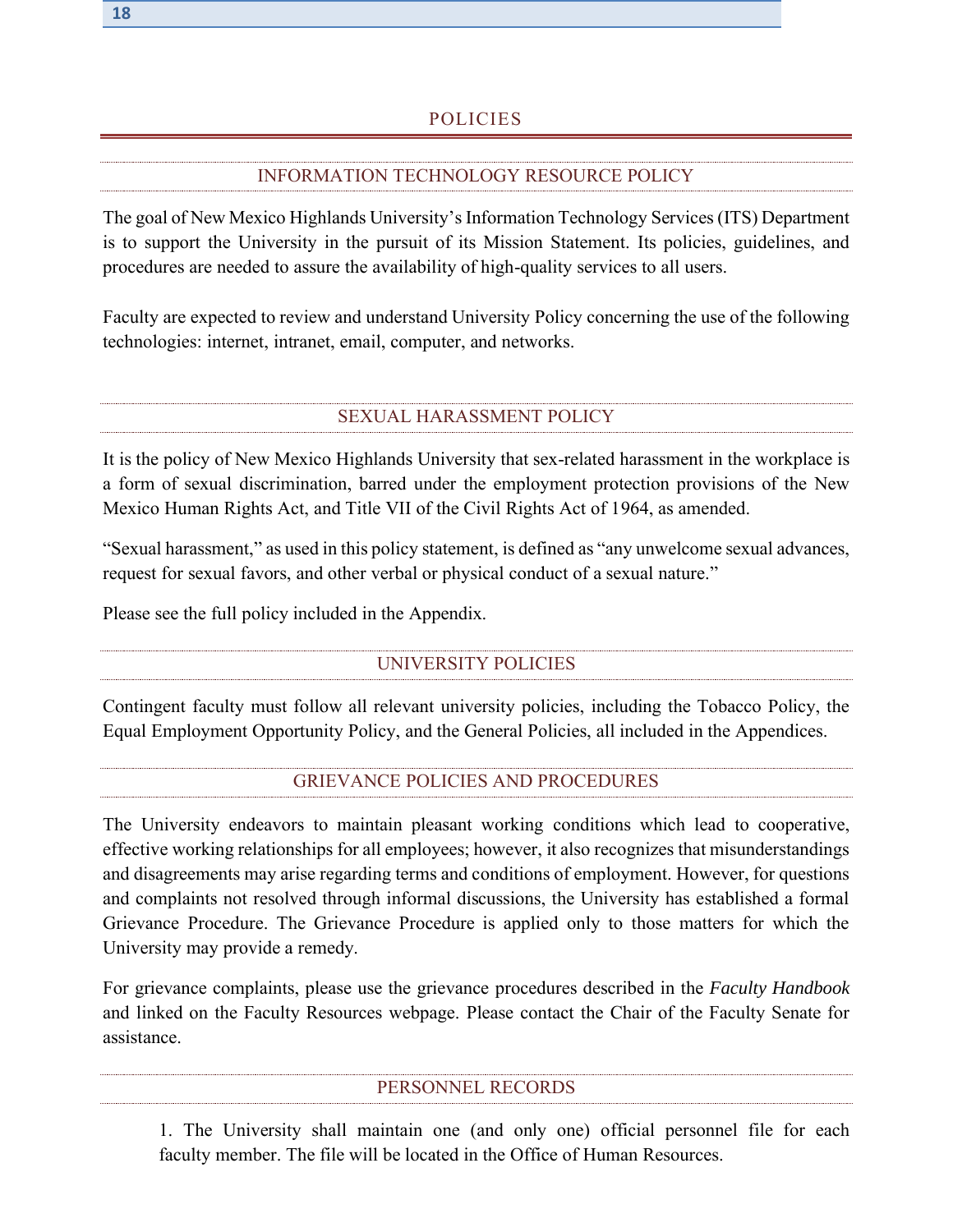# INFORMATION TECHNOLOGY RESOURCE POLICY

<span id="page-17-0"></span>The goal of New Mexico Highlands University's Information Technology Services (ITS) Department is to support the University in the pursuit of its Mission Statement. Its policies, guidelines, and procedures are needed to assure the availability of high-quality services to all users.

Faculty are expected to review and understand University Policy concerning the use of the following technologies: internet, intranet, email, computer, and networks.

# SEXUAL HARASSMENT POLICY

<span id="page-17-1"></span>It is the policy of New Mexico Highlands University that sex-related harassment in the workplace is a form of sexual discrimination, barred under the employment protection provisions of the New Mexico Human Rights Act, and Title VII of the Civil Rights Act of 1964, as amended.

"Sexual harassment," as used in this policy statement, is defined as "any unwelcome sexual advances, request for sexual favors, and other verbal or physical conduct of a sexual nature."

<span id="page-17-2"></span>Please see the full policy included in the Appendix.

# UNIVERSITY POLICIES

Contingent faculty must follow all relevant university policies, including the Tobacco Policy, the Equal Employment Opportunity Policy, and the General Policies, all included in the Appendices.

# GRIEVANCE POLICIES AND PROCEDURES

The University endeavors to maintain pleasant working conditions which lead to cooperative, effective working relationships for all employees; however, it also recognizes that misunderstandings and disagreements may arise regarding terms and conditions of employment. However, for questions and complaints not resolved through informal discussions, the University has established a formal Grievance Procedure. The Grievance Procedure is applied only to those matters for which the University may provide a remedy.

For grievance complaints, please use the grievance procedures described in the *Faculty Handbook* and linked on the Faculty Resources webpage. Please contact the Chair of the Faculty Senate for assistance.

#### PERSONNEL RECORDS

<span id="page-17-3"></span>1. The University shall maintain one (and only one) official personnel file for each faculty member. The file will be located in the Office of Human Resources.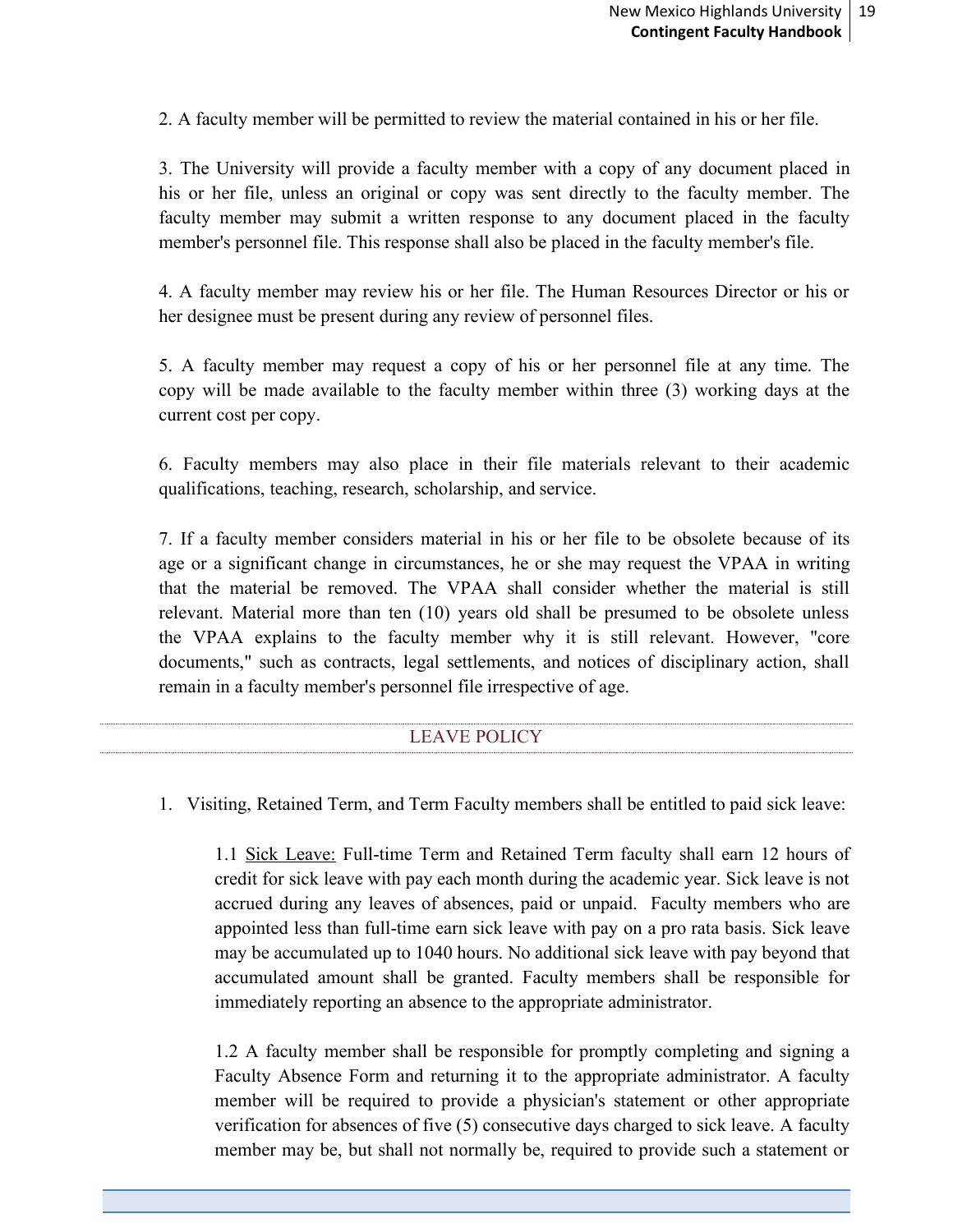2. A faculty member will be permitted to review the material contained in his or her file.

3. The University will provide a faculty member with a copy of any document placed in his or her file, unless an original or copy was sent directly to the faculty member. The faculty member may submit a written response to any document placed in the faculty member's personnel file. This response shall also be placed in the faculty member's file.

4. A faculty member may review his or her file. The Human Resources Director or his or her designee must be present during any review of personnel files.

5. A faculty member may request a copy of his or her personnel file at any time. The copy will be made available to the faculty member within three (3) working days at the current cost per copy.

6. Faculty members may also place in their file materials relevant to their academic qualifications, teaching, research, scholarship, and service.

7. If a faculty member considers material in his or her file to be obsolete because of its age or a significant change in circumstances, he or she may request the VPAA in writing that the material be removed. The VPAA shall consider whether the material is still relevant. Material more than ten (10) years old shall be presumed to be obsolete unless the VPAA explains to the faculty member why it is still relevant. However, "core documents," such as contracts, legal settlements, and notices of disciplinary action, shall remain in a faculty member's personnel file irrespective of age.

# LEAVE POLICY

<span id="page-18-0"></span>1. Visiting, Retained Term, and Term Faculty members shall be entitled to paid sick leave:

1.1 Sick Leave: Full-time Term and Retained Term faculty shall earn 12 hours of credit for sick leave with pay each month during the academic year. Sick leave is not accrued during any leaves of absences, paid or unpaid. Faculty members who are appointed less than full-time earn sick leave with pay on a pro rata basis. Sick leave may be accumulated up to 1040 hours. No additional sick leave with pay beyond that accumulated amount shall be granted. Faculty members shall be responsible for immediately reporting an absence to the appropriate administrator.

1.2 A faculty member shall be responsible for promptly completing and signing a Faculty Absence Form and returning it to the appropriate administrator. A faculty member will be required to provide a physician's statement or other appropriate verification for absences of five (5) consecutive days charged to sick leave. A faculty member may be, but shall not normally be, required to provide such a statement or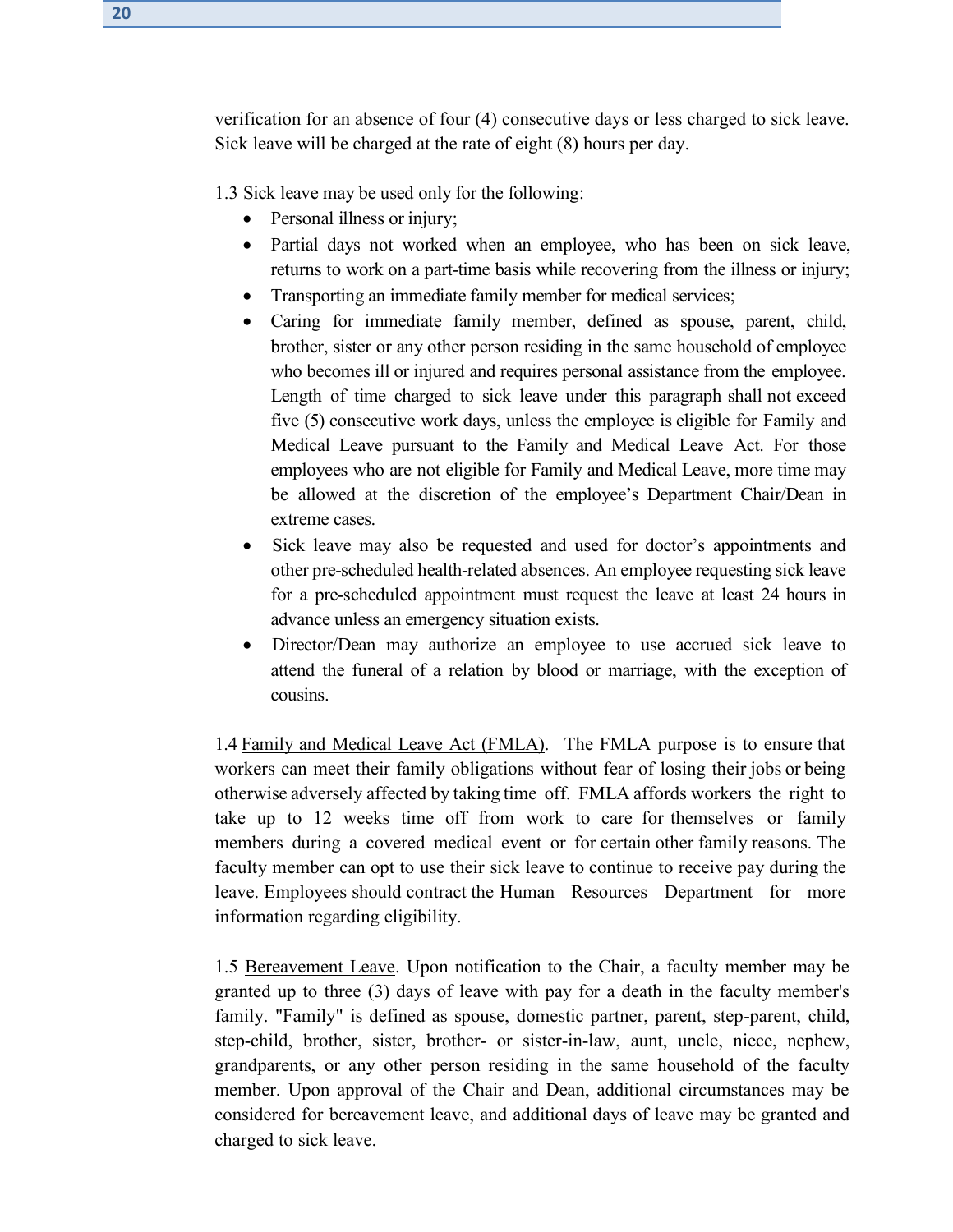verification for an absence of four (4) consecutive days or less charged to sick leave. Sick leave will be charged at the rate of eight (8) hours per day.

1.3 Sick leave may be used only for the following:

- Personal illness or injury;
- Partial days not worked when an employee, who has been on sick leave, returns to work on a part-time basis while recovering from the illness or injury;
- Transporting an immediate family member for medical services;
- Caring for immediate family member, defined as spouse, parent, child, brother, sister or any other person residing in the same household of employee who becomes ill or injured and requires personal assistance from the employee. Length of time charged to sick leave under this paragraph shall not exceed five (5) consecutive work days, unless the employee is eligible for Family and Medical Leave pursuant to the Family and Medical Leave Act. For those employees who are not eligible for Family and Medical Leave, more time may be allowed at the discretion of the employee's Department Chair/Dean in extreme cases.
- Sick leave may also be requested and used for doctor's appointments and other pre-scheduled health-related absences. An employee requesting sick leave for a pre-scheduled appointment must request the leave at least 24 hours in advance unless an emergency situation exists.
- Director/Dean may authorize an employee to use accrued sick leave to attend the funeral of a relation by blood or marriage, with the exception of cousins.

1.4 Family and Medical Leave Act (FMLA). The FMLA purpose is to ensure that workers can meet their family obligations without fear of losing their jobs or being otherwise adversely affected by taking time off. FMLA affords workers the right to take up to 12 weeks time off from work to care for themselves or family members during a covered medical event or for certain other family reasons. The faculty member can opt to use their sick leave to continue to receive pay during the leave. Employees should contract the Human Resources Department for more information regarding eligibility.

1.5 Bereavement Leave. Upon notification to the Chair, a faculty member may be granted up to three (3) days of leave with pay for a death in the faculty member's family. "Family" is defined as spouse, domestic partner, parent, step-parent, child, step-child, brother, sister, brother- or sister-in-law, aunt, uncle, niece, nephew, grandparents, or any other person residing in the same household of the faculty member. Upon approval of the Chair and Dean, additional circumstances may be considered for bereavement leave, and additional days of leave may be granted and charged to sick leave.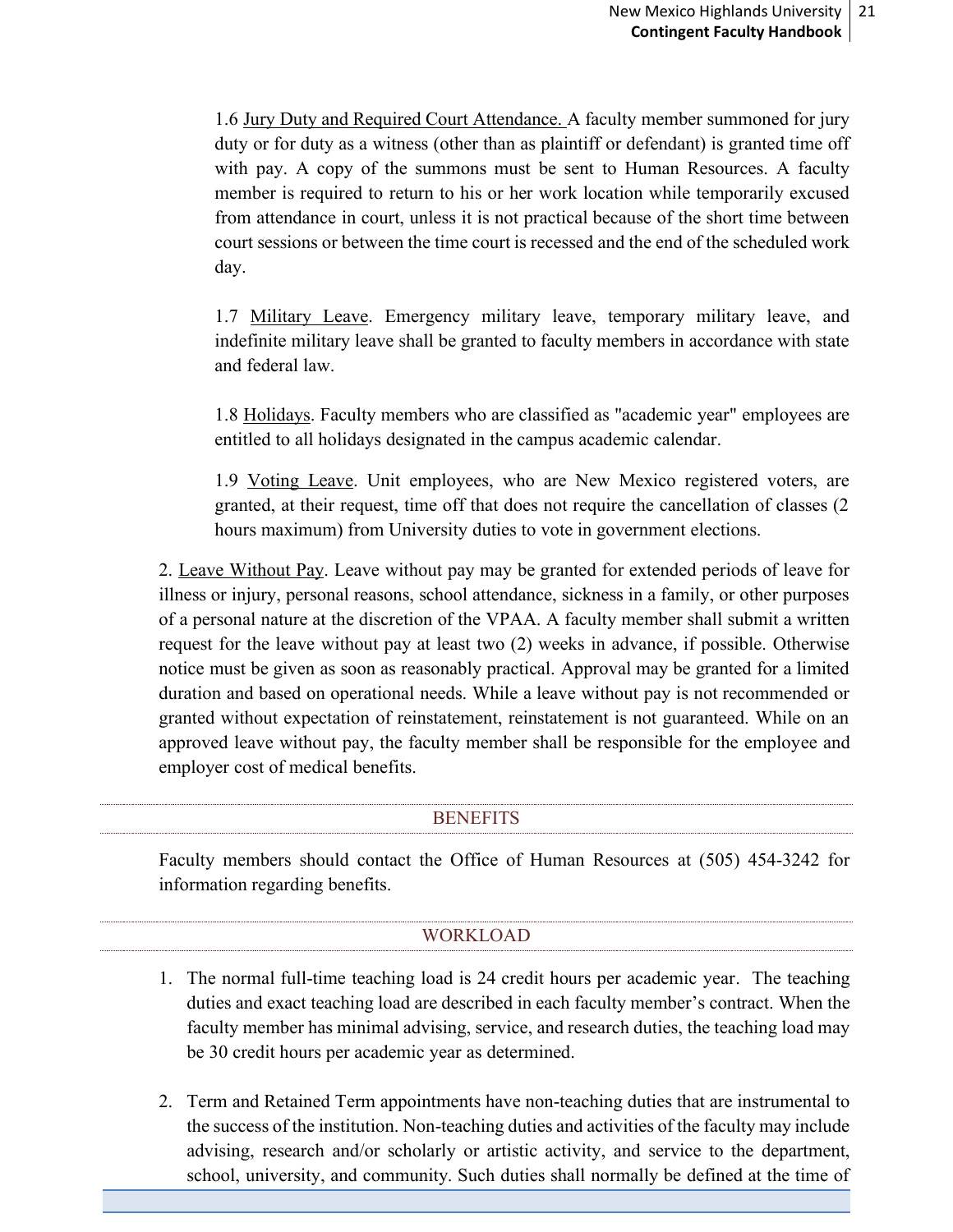1.6 Jury Duty and Required Court Attendance. A faculty member summoned for jury duty or for duty as a witness (other than as plaintiff or defendant) is granted time off with pay. A copy of the summons must be sent to Human Resources. A faculty member is required to return to his or her work location while temporarily excused from attendance in court, unless it is not practical because of the short time between court sessions or between the time court is recessed and the end of the scheduled work day.

1.7 Military Leave. Emergency military leave, temporary military leave, and indefinite military leave shall be granted to faculty members in accordance with state and federal law.

1.8 Holidays. Faculty members who are classified as "academic year" employees are entitled to all holidays designated in the campus academic calendar.

1.9 Voting Leave. Unit employees, who are New Mexico registered voters, are granted, at their request, time off that does not require the cancellation of classes (2 hours maximum) from University duties to vote in government elections.

2. Leave Without Pay. Leave without pay may be granted for extended periods of leave for illness or injury, personal reasons, school attendance, sickness in a family, or other purposes of a personal nature at the discretion of the VPAA. A faculty member shall submit a written request for the leave without pay at least two (2) weeks in advance, if possible. Otherwise notice must be given as soon as reasonably practical. Approval may be granted for a limited duration and based on operational needs. While a leave without pay is not recommended or granted without expectation of reinstatement, reinstatement is not guaranteed. While on an approved leave without pay, the faculty member shall be responsible for the employee and employer cost of medical benefits.

#### **BENEFITS**

<span id="page-20-0"></span>Faculty members should contact the Office of Human Resources at (505) 454-3242 for information regarding benefits.

#### WORKLOAD

- <span id="page-20-1"></span>1. The normal full-time teaching load is 24 credit hours per academic year. The teaching duties and exact teaching load are described in each faculty member's contract. When the faculty member has minimal advising, service, and research duties, the teaching load may be 30 credit hours per academic year as determined.
- 2. Term and Retained Term appointments have non-teaching duties that are instrumental to the success of the institution. Non-teaching duties and activities of the faculty may include advising, research and/or scholarly or artistic activity, and service to the department, school, university, and community. Such duties shall normally be defined at the time of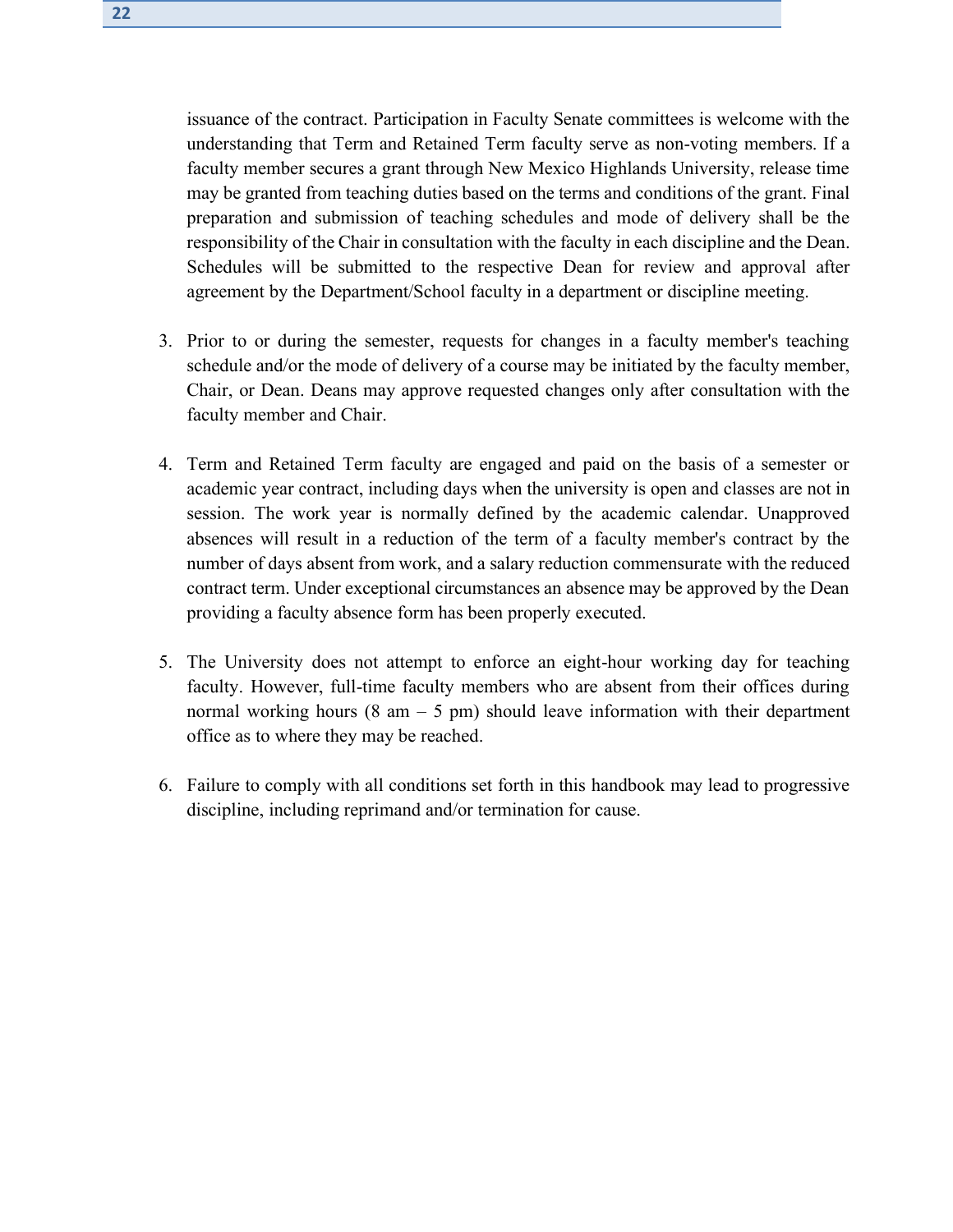issuance of the contract. Participation in Faculty Senate committees is welcome with the understanding that Term and Retained Term faculty serve as non-voting members. If a faculty member secures a grant through New Mexico Highlands University, release time may be granted from teaching duties based on the terms and conditions of the grant. Final preparation and submission of teaching schedules and mode of delivery shall be the responsibility of the Chair in consultation with the faculty in each discipline and the Dean. Schedules will be submitted to the respective Dean for review and approval after agreement by the Department/School faculty in a department or discipline meeting.

- 3. Prior to or during the semester, requests for changes in a faculty member's teaching schedule and/or the mode of delivery of a course may be initiated by the faculty member, Chair, or Dean. Deans may approve requested changes only after consultation with the faculty member and Chair.
- 4. Term and Retained Term faculty are engaged and paid on the basis of a semester or academic year contract, including days when the university is open and classes are not in session. The work year is normally defined by the academic calendar. Unapproved absences will result in a reduction of the term of a faculty member's contract by the number of days absent from work, and a salary reduction commensurate with the reduced contract term. Under exceptional circumstances an absence may be approved by the Dean providing a faculty absence form has been properly executed.
- 5. The University does not attempt to enforce an eight-hour working day for teaching faculty. However, full-time faculty members who are absent from their offices during normal working hours  $(8 \text{ am} - 5 \text{ pm})$  should leave information with their department office as to where they may be reached.
- 6. Failure to comply with all conditions set forth in this handbook may lead to progressive discipline, including reprimand and/or termination for cause.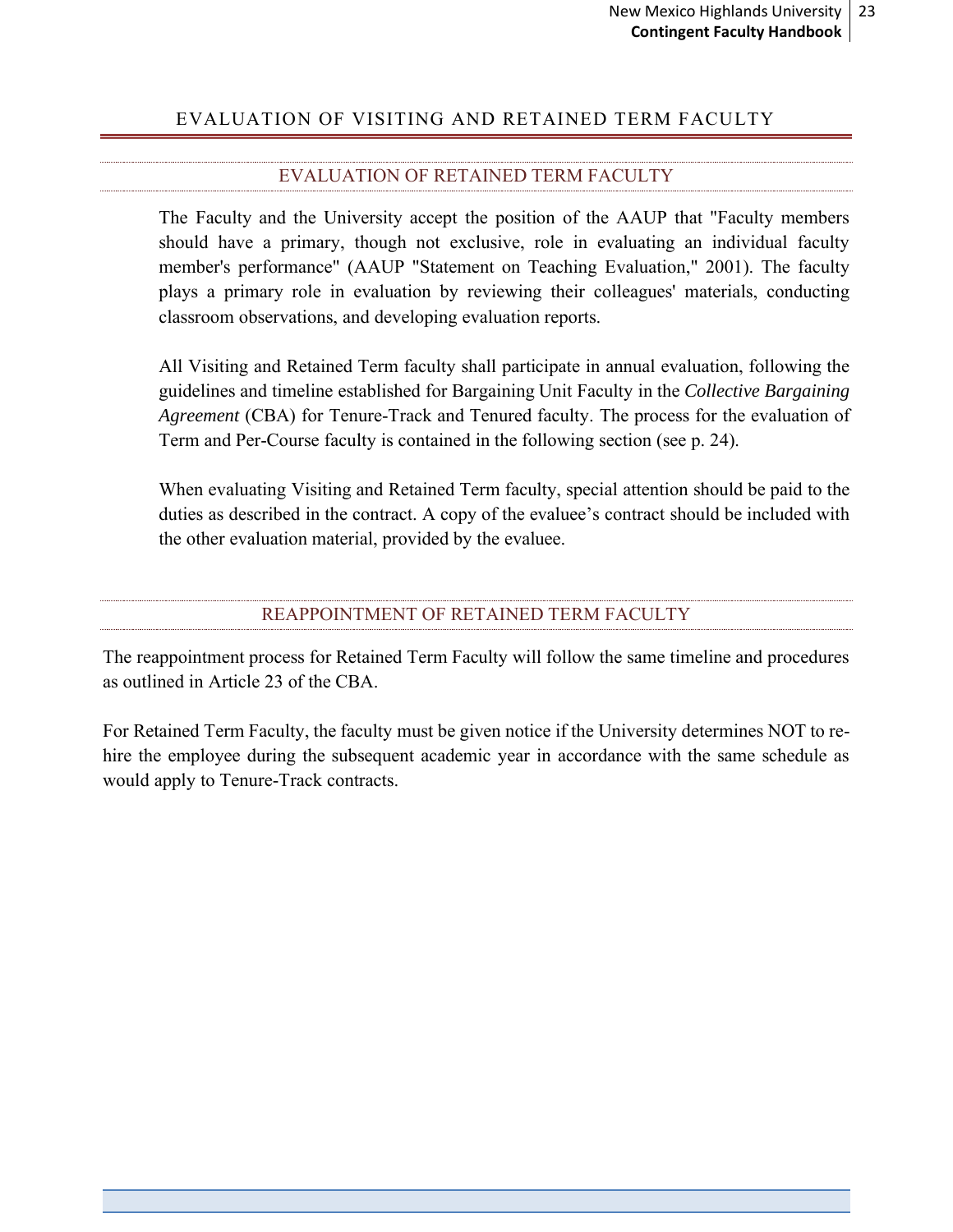# <span id="page-22-0"></span>EVALUATION OF VISITING AND RETAINED TERM FACULTY

# EVALUATION OF RETAINED TERM FACULTY

<span id="page-22-1"></span>The Faculty and the University accept the position of the AAUP that "Faculty members should have a primary, though not exclusive, role in evaluating an individual faculty member's performance" (AAUP "Statement on Teaching Evaluation," 2001). The faculty plays a primary role in evaluation by reviewing their colleagues' materials, conducting classroom observations, and developing evaluation reports.

All Visiting and Retained Term faculty shall participate in annual evaluation, following the guidelines and timeline established for Bargaining Unit Faculty in the *Collective Bargaining Agreement* (CBA) for Tenure-Track and Tenured faculty. The process for the evaluation of Term and Per-Course faculty is contained in the following section (see p. 24).

When evaluating Visiting and Retained Term faculty, special attention should be paid to the duties as described in the contract. A copy of the evaluee's contract should be included with the other evaluation material, provided by the evaluee.

#### REAPPOINTMENT OF RETAINED TERM FACULTY

<span id="page-22-2"></span>The reappointment process for Retained Term Faculty will follow the same timeline and procedures as outlined in Article 23 of the CBA.

For Retained Term Faculty, the faculty must be given notice if the University determines NOT to rehire the employee during the subsequent academic year in accordance with the same schedule as would apply to Tenure-Track contracts.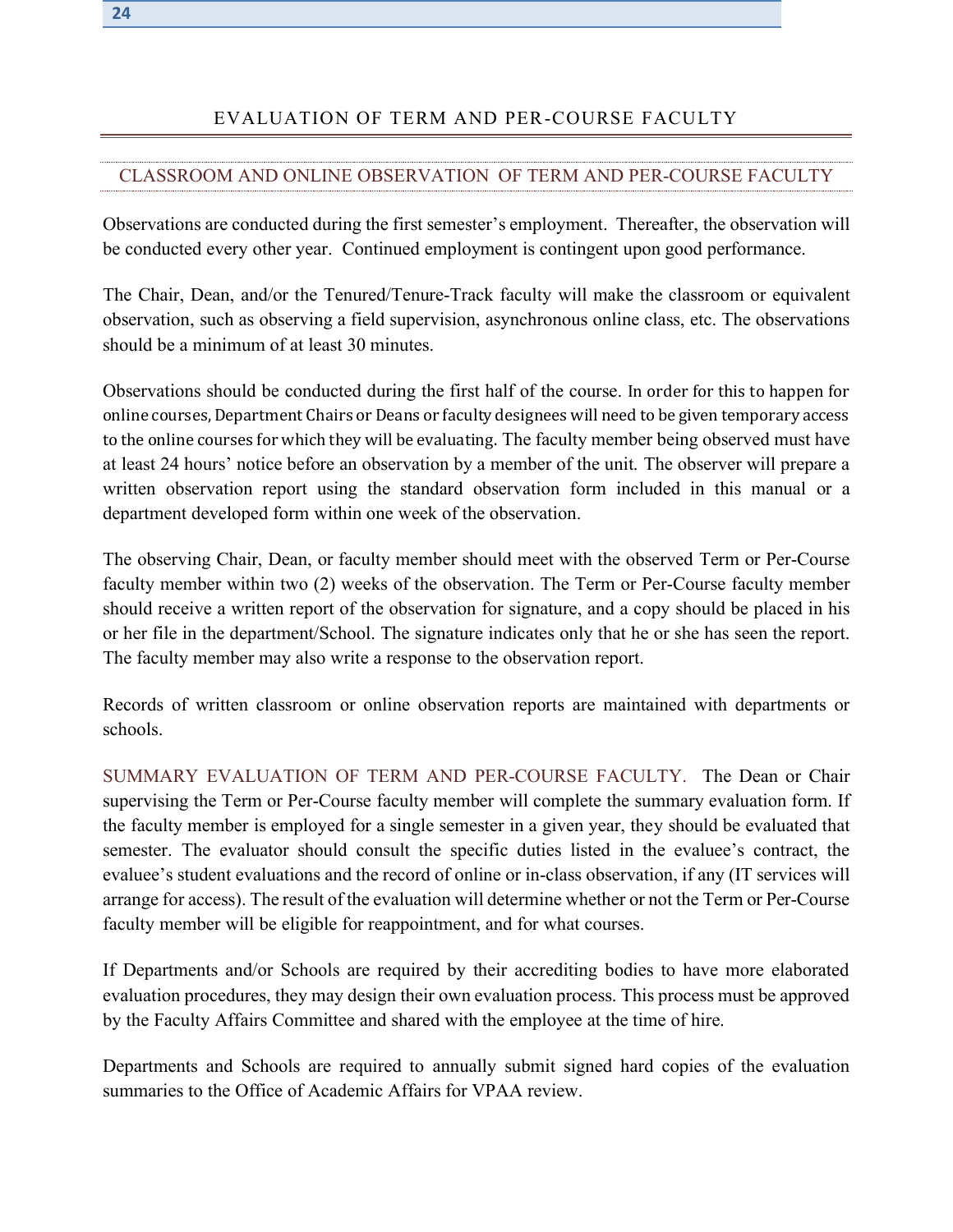# EVALUATION OF TERM AND PER-COURSE FACULTY

#### <span id="page-23-1"></span><span id="page-23-0"></span>CLASSROOM AND ONLINE OBSERVATION OF TERM AND PER-COURSE FACULTY

Observations are conducted during the first semester's employment. Thereafter, the observation will be conducted every other year. Continued employment is contingent upon good performance.

The Chair, Dean, and/or the Tenured/Tenure-Track faculty will make the classroom or equivalent observation, such as observing a field supervision, asynchronous online class, etc. The observations should be a minimum of at least 30 minutes.

Observations should be conducted during the first half of the course. In order for this to happen for online courses, Department Chairs or Deans or faculty designees will need to be given temporary access to the online courses for which they will be evaluating. The faculty member being observed must have at least 24 hours' notice before an observation by a member of the unit. The observer will prepare a written observation report using the standard observation form included in this manual or a department developed form within one week of the observation.

The observing Chair, Dean, or faculty member should meet with the observed Term or Per-Course faculty member within two (2) weeks of the observation. The Term or Per-Course faculty member should receive a written report of the observation for signature, and a copy should be placed in his or her file in the department/School. The signature indicates only that he or she has seen the report. The faculty member may also write a response to the observation report.

Records of written classroom or online observation reports are maintained with departments or schools.

SUMMARY EVALUATION OF TERM AND PER-COURSE FACULTY. The Dean or Chair supervising the Term or Per-Course faculty member will complete the summary evaluation form. If the faculty member is employed for a single semester in a given year, they should be evaluated that semester. The evaluator should consult the specific duties listed in the evaluee's contract, the evaluee's student evaluations and the record of online or in-class observation, if any (IT services will arrange for access). The result of the evaluation will determine whether or not the Term or Per-Course faculty member will be eligible for reappointment, and for what courses.

If Departments and/or Schools are required by their accrediting bodies to have more elaborated evaluation procedures, they may design their own evaluation process. This process must be approved by the Faculty Affairs Committee and shared with the employee at the time of hire.

Departments and Schools are required to annually submit signed hard copies of the evaluation summaries to the Office of Academic Affairs for VPAA review.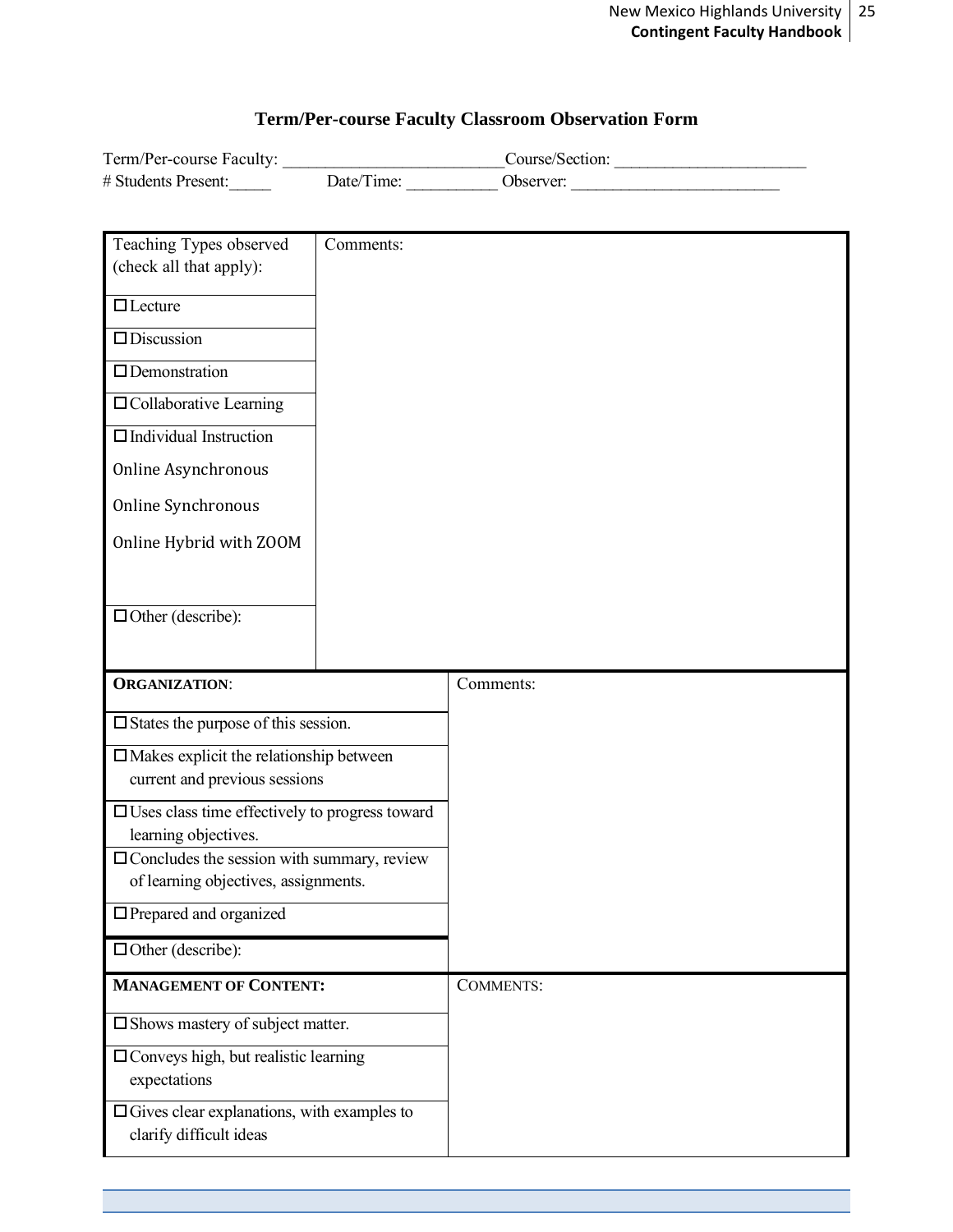# **Term/Per-course Faculty Classroom Observation Form**

| Term/Per-course Faculty: |            | Course/Section: |
|--------------------------|------------|-----------------|
| # Students Present:      | Date/Time: | . )bserver:     |

| Teaching Types observed                                                            | Comments: |                  |
|------------------------------------------------------------------------------------|-----------|------------------|
| (check all that apply):                                                            |           |                  |
| $\Box$ Lecture                                                                     |           |                  |
| $\Box$ Discussion                                                                  |           |                  |
| $\Box$ Demonstration                                                               |           |                  |
| □ Collaborative Learning                                                           |           |                  |
| $\Box$ Individual Instruction                                                      |           |                  |
| Online Asynchronous                                                                |           |                  |
| Online Synchronous                                                                 |           |                  |
| Online Hybrid with ZOOM                                                            |           |                  |
|                                                                                    |           |                  |
| $\Box$ Other (describe):                                                           |           |                  |
|                                                                                    |           |                  |
| <b>ORGANIZATION:</b>                                                               |           | Comments:        |
| $\square$ States the purpose of this session.                                      |           |                  |
|                                                                                    |           |                  |
| $\square$ Makes explicit the relationship between<br>current and previous sessions |           |                  |
| $\Box$ Uses class time effectively to progress toward                              |           |                  |
| learning objectives.                                                               |           |                  |
| $\square$ Concludes the session with summary, review                               |           |                  |
| of learning objectives, assignments.                                               |           |                  |
| $\Box$ Prepared and organized                                                      |           |                  |
| $\Box$ Other (describe):                                                           |           |                  |
| <b>MANAGEMENT OF CONTENT:</b>                                                      |           | <b>COMMENTS:</b> |
| □ Shows mastery of subject matter.                                                 |           |                  |
| □ Conveys high, but realistic learning                                             |           |                  |
| expectations                                                                       |           |                  |
| $\Box$ Gives clear explanations, with examples to                                  |           |                  |
| clarify difficult ideas                                                            |           |                  |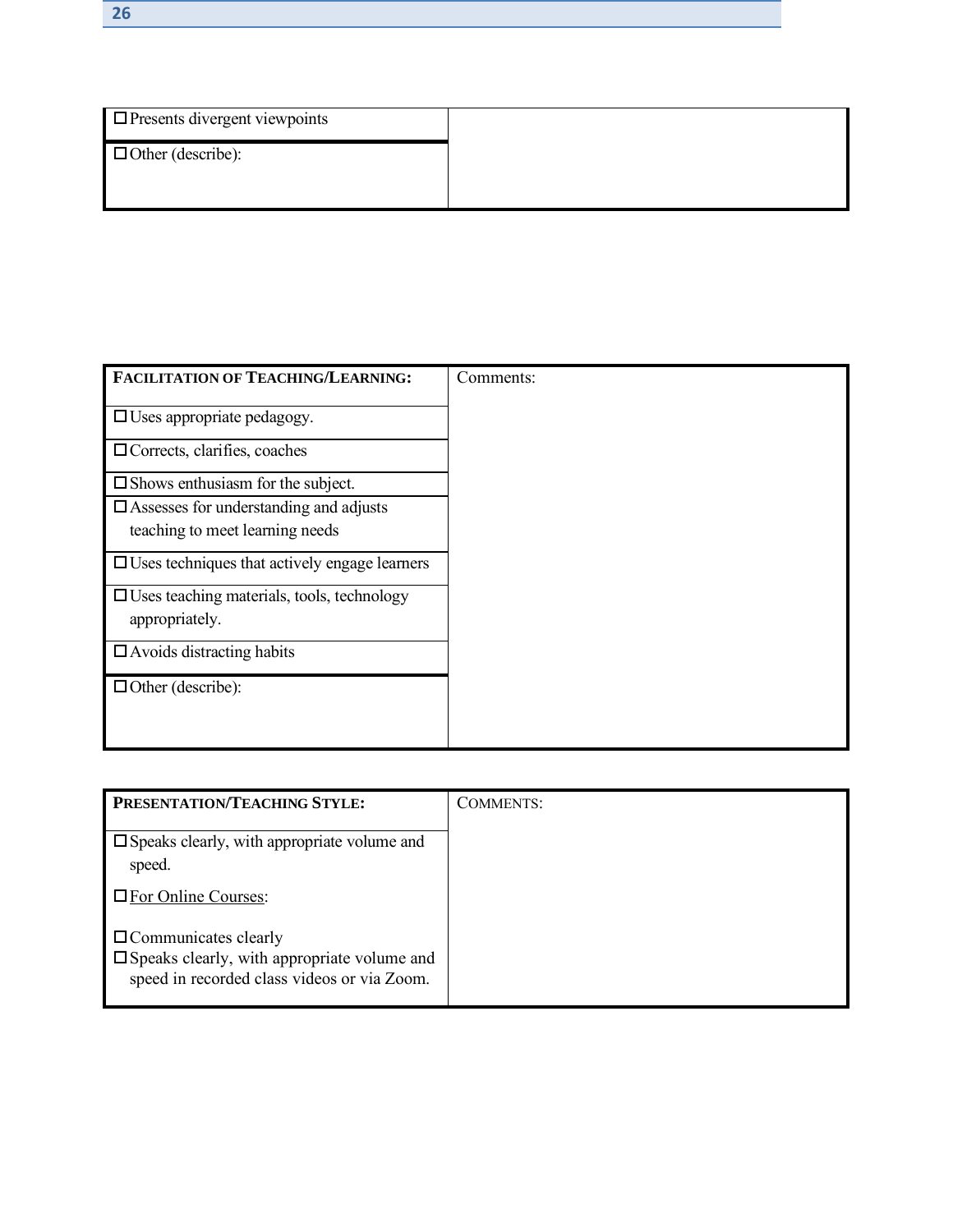| $\Box$ Presents divergent viewpoints |  |
|--------------------------------------|--|
| $\Box$ Other (describe):             |  |
|                                      |  |

| FACILITATION OF TEACHING/LEARNING:                                  | Comments: |
|---------------------------------------------------------------------|-----------|
| $\Box$ Uses appropriate pedagogy.                                   |           |
| $\Box$ Corrects, clarifies, coaches                                 |           |
| $\square$ Shows enthusiasm for the subject.                         |           |
| $\Box$ Assesses for understanding and adjusts                       |           |
| teaching to meet learning needs                                     |           |
| $\Box$ Uses techniques that actively engage learners                |           |
| $\Box$ Uses teaching materials, tools, technology<br>appropriately. |           |
| $\Box$ Avoids distracting habits                                    |           |
| $\Box$ Other (describe):                                            |           |
|                                                                     |           |

| <b>PRESENTATION/TEACHING STYLE:</b>                                                                                                 | <b>COMMENTS:</b> |
|-------------------------------------------------------------------------------------------------------------------------------------|------------------|
| $\square$ Speaks clearly, with appropriate volume and<br>speed.                                                                     |                  |
| □ For Online Courses:                                                                                                               |                  |
| $\Box$ Communicates clearly<br>$\square$ Speaks clearly, with appropriate volume and<br>speed in recorded class videos or via Zoom. |                  |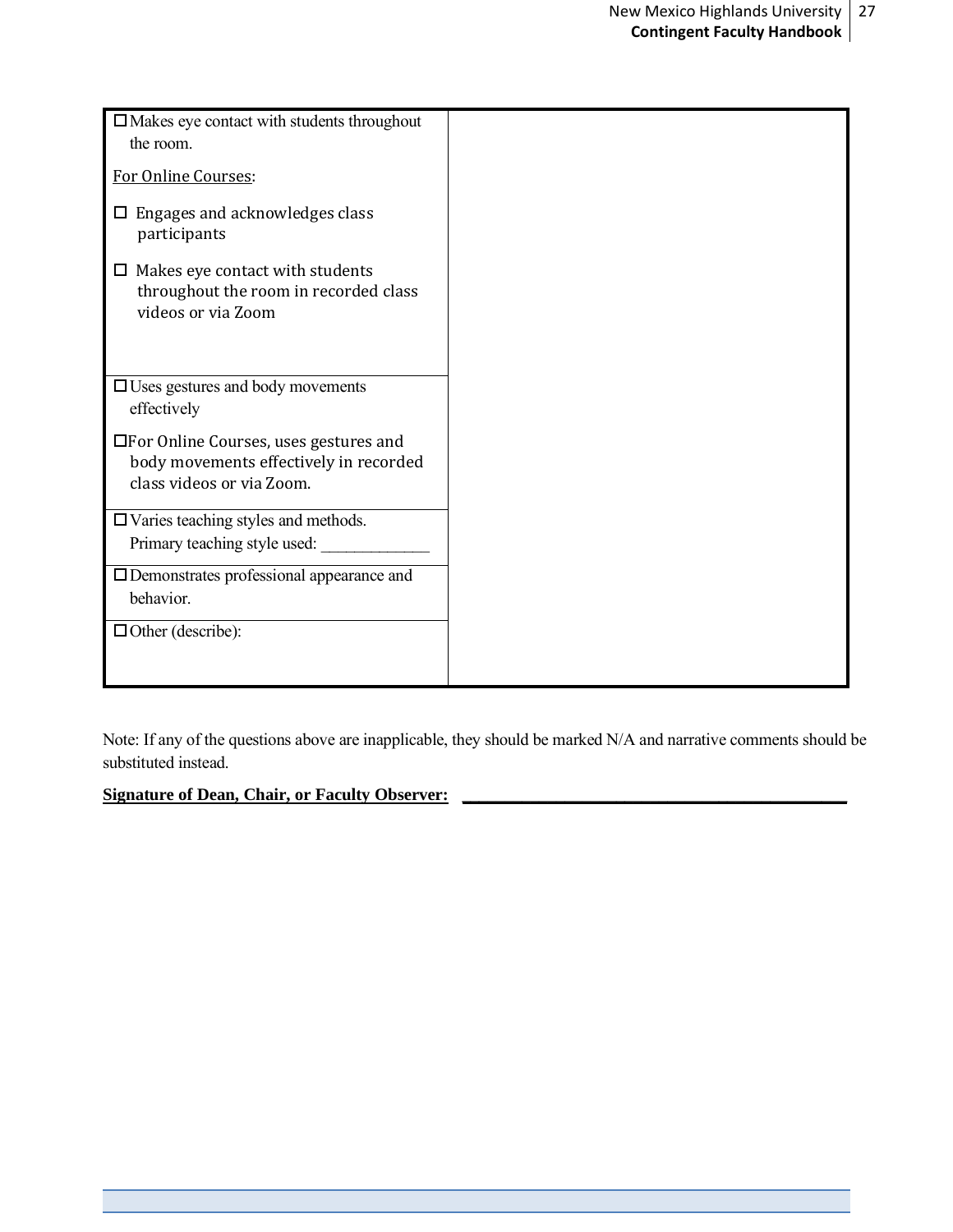| $\square$ Makes eye contact with students throughout                                                          |  |
|---------------------------------------------------------------------------------------------------------------|--|
| the room.                                                                                                     |  |
|                                                                                                               |  |
| For Online Courses:                                                                                           |  |
| $\Box$ Engages and acknowledges class<br>participants                                                         |  |
| $\Box$ Makes eye contact with students<br>throughout the room in recorded class<br>videos or via Zoom         |  |
| $\Box$ Uses gestures and body movements<br>effectively                                                        |  |
| □For Online Courses, uses gestures and<br>body movements effectively in recorded<br>class videos or via Zoom. |  |
| $\Box$ Varies teaching styles and methods.                                                                    |  |
| Primary teaching style used:                                                                                  |  |
| □ Demonstrates professional appearance and                                                                    |  |
| behavior.                                                                                                     |  |
| $\Box$ Other (describe):                                                                                      |  |
|                                                                                                               |  |

Note: If any of the questions above are inapplicable, they should be marked N/A and narrative comments should be substituted instead.

# Signature of Dean, Chair, or Faculty Observer: **with any of the Chair of Chair**, or Faculty Observer: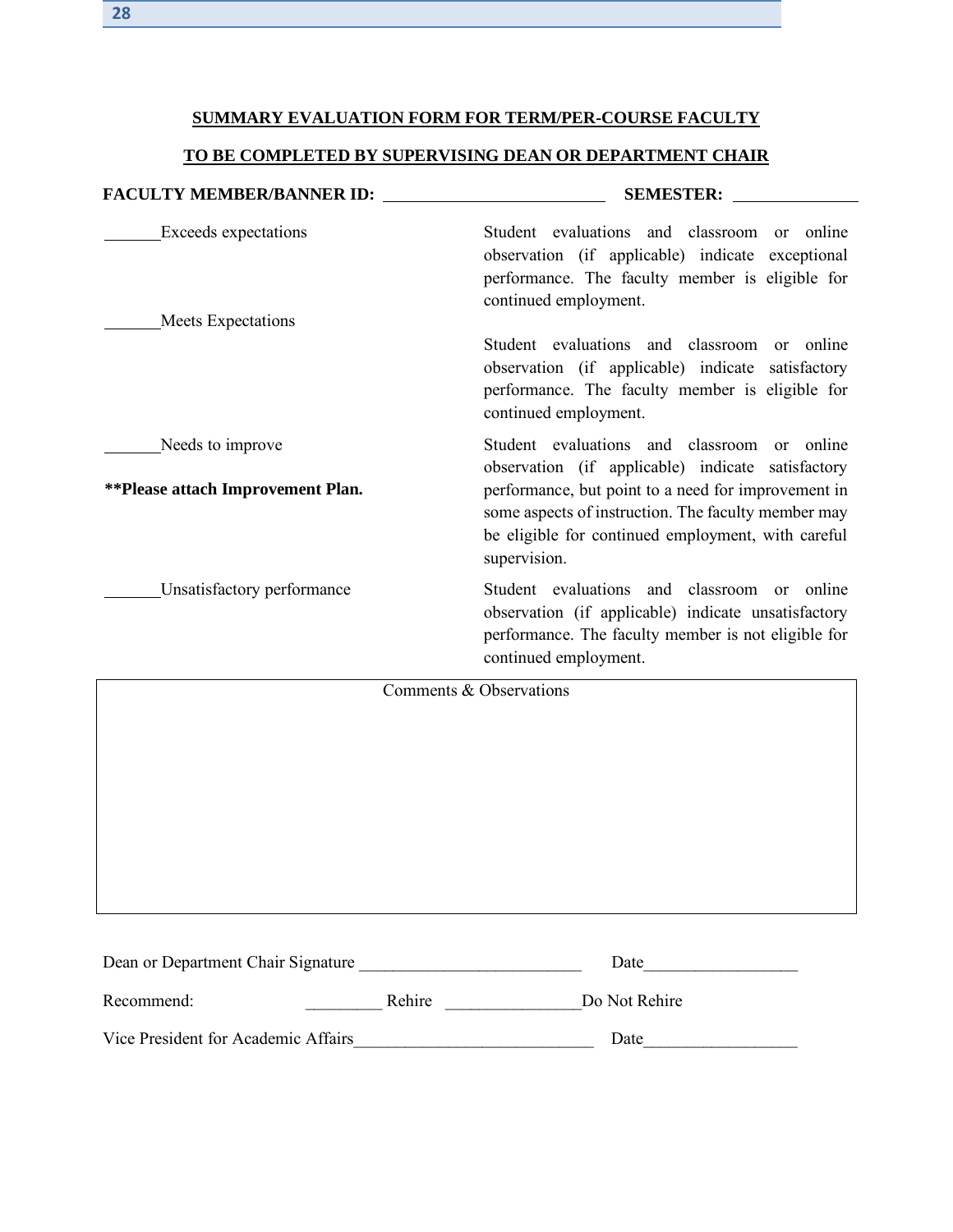# **SUMMARY EVALUATION FORM FOR TERM/PER-COURSE FACULTY**

# **TO BE COMPLETED BY SUPERVISING DEAN OR DEPARTMENT CHAIR**

| <b>FACULTY MEMBER/BANNER ID:</b>                             | <b>SEMESTER:</b>                                                                                                                                                                                                                                                                     |
|--------------------------------------------------------------|--------------------------------------------------------------------------------------------------------------------------------------------------------------------------------------------------------------------------------------------------------------------------------------|
| <b>Exceeds</b> expectations<br><b>Meets Expectations</b>     | Student evaluations and classroom or online<br>observation (if applicable) indicate exceptional<br>performance. The faculty member is eligible for<br>continued employment.                                                                                                          |
|                                                              | Student evaluations and classroom<br>or online<br>observation (if applicable) indicate satisfactory<br>performance. The faculty member is eligible for<br>continued employment.                                                                                                      |
| Needs to improve<br><b>**Please attach Improvement Plan.</b> | Student evaluations and classroom or online<br>observation (if applicable) indicate satisfactory<br>performance, but point to a need for improvement in<br>some aspects of instruction. The faculty member may<br>be eligible for continued employment, with careful<br>supervision. |
| Unsatisfactory performance                                   | Student evaluations and classroom or online<br>observation (if applicable) indicate unsatisfactory<br>performance. The faculty member is not eligible for<br>continued employment.                                                                                                   |
|                                                              | Comments & Observations                                                                                                                                                                                                                                                              |

| Dean or Department Chair Signature  |        | Date          |
|-------------------------------------|--------|---------------|
| Recommend:                          | Rehire | Do Not Rehire |
| Vice President for Academic Affairs |        | Date          |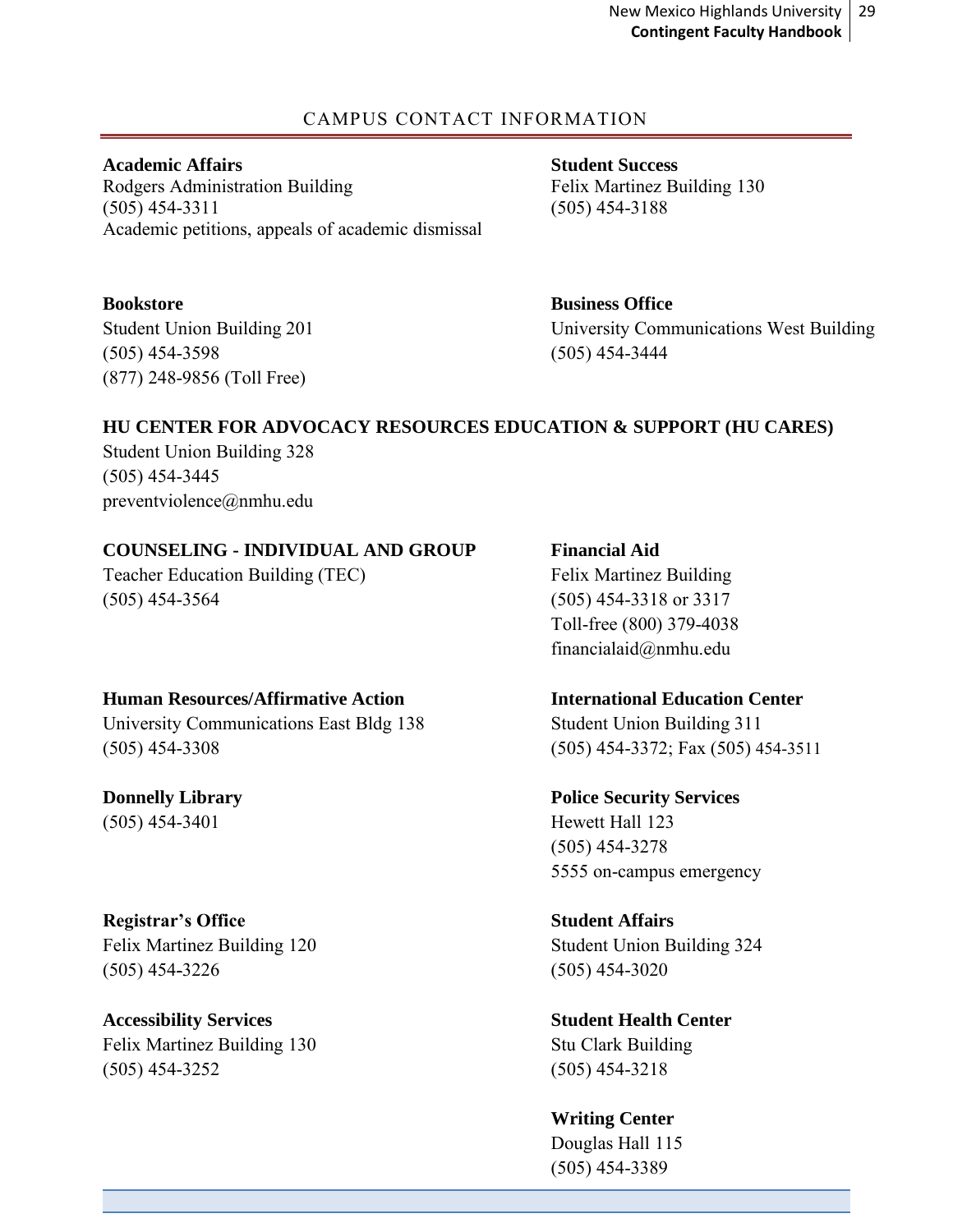# CAMPUS CONTACT INFORMATION

<span id="page-28-0"></span>**Academic Affairs Student Success** Rodgers Administration Building Felix Martinez Building 130 (505) 454-3311 (505) 454-3188 Academic petitions, appeals of academic dismissal

**Bookstore Business Office** (505) 454-3598 (505) 454-3444 (877) 248-9856 (Toll Free)

Student Union Building 201 University Communications West Building

# **HU CENTER FOR ADVOCACY RESOURCES EDUCATION & SUPPORT (HU CARES)**

Student Union Building 328 (505) 454-3445 preventviolence@nmhu.edu

# **COUNSELING - INDIVIDUAL AND GROUP Financial Aid**

Teacher Education Building (TEC) Felix Martinez Building (505) 454-3564 (505) 454-3318 or 3317

# **Human Resources/Affirmative Action International Education Center**

University Communications East Bldg 138 Student Union Building 311 (505) 454-3308 (505) 454-3372; Fax (505) 454-3511

(505) 454-3401 Hewett Hall 123

# **Registrar's Office Student Affairs**

Felix Martinez Building 120 Student Union Building 324 (505) 454-3226 (505) 454-3020

**Accessibility Services Student Health Center** Felix Martinez Building 130 Stu Clark Building (505) 454-3252 (505) 454-3218

Toll-free (800) 379-4038 financialaid@nmhu.edu

**Donnelly Library Police Security Services** (505) 454-3278 5555 on-campus emergency

**Writing Center** Douglas Hall 115 (505) 454-3389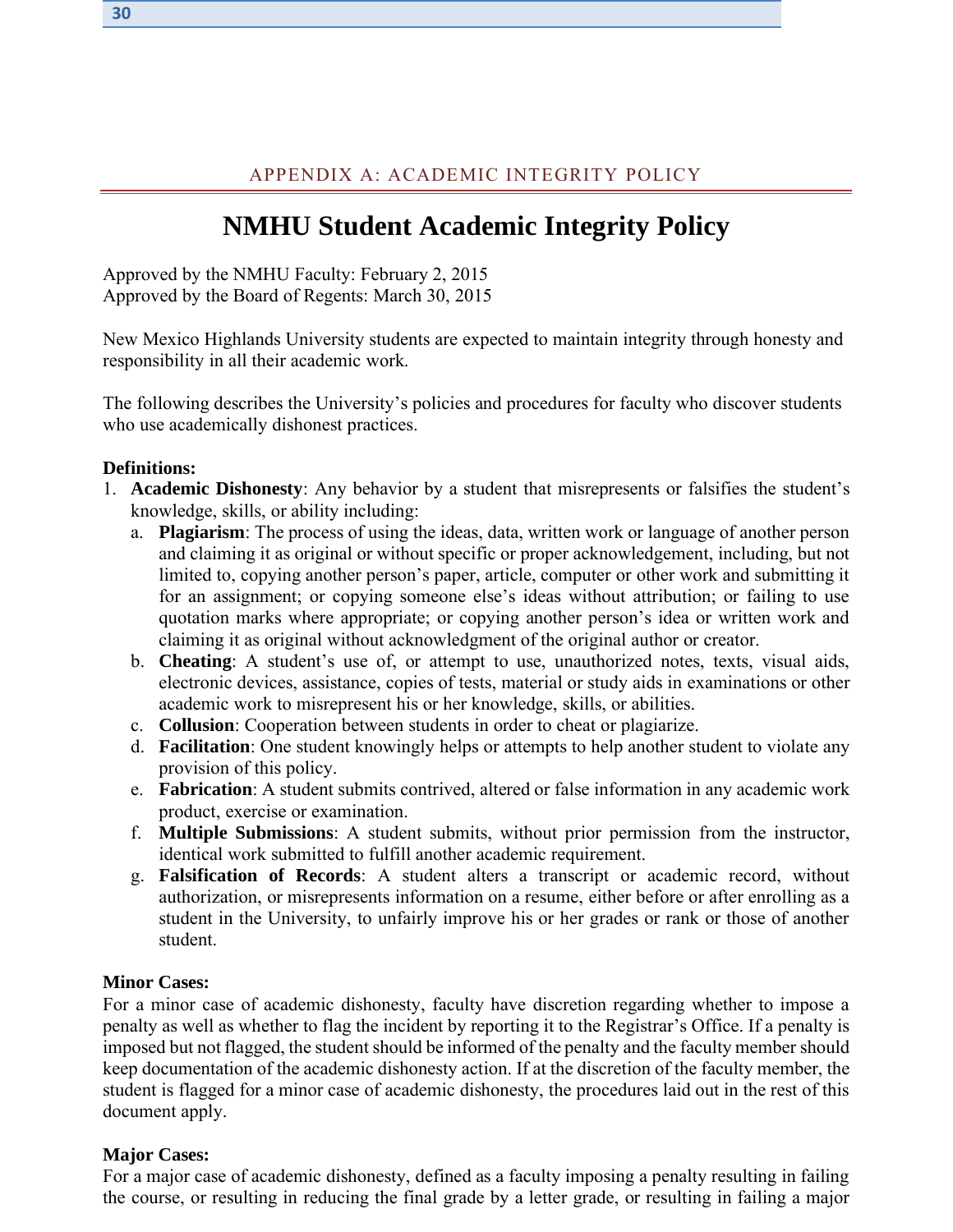# APPENDIX A: ACADEMIC INTEGRITY POLICY

# **NMHU Student Academic Integrity Policy**

<span id="page-29-0"></span>Approved by the NMHU Faculty: February 2, 2015 Approved by the Board of Regents: March 30, 2015

New Mexico Highlands University students are expected to maintain integrity through honesty and responsibility in all their academic work.

The following describes the University's policies and procedures for faculty who discover students who use academically dishonest practices.

#### **Definitions:**

- 1. **Academic Dishonesty**: Any behavior by a student that misrepresents or falsifies the student's knowledge, skills, or ability including:
	- a. **Plagiarism**: The process of using the ideas, data, written work or language of another person and claiming it as original or without specific or proper acknowledgement, including, but not limited to, copying another person's paper, article, computer or other work and submitting it for an assignment; or copying someone else's ideas without attribution; or failing to use quotation marks where appropriate; or copying another person's idea or written work and claiming it as original without acknowledgment of the original author or creator.
	- b. **Cheating**: A student's use of, or attempt to use, unauthorized notes, texts, visual aids, electronic devices, assistance, copies of tests, material or study aids in examinations or other academic work to misrepresent his or her knowledge, skills, or abilities.
	- c. **Collusion**: Cooperation between students in order to cheat or plagiarize.
	- d. **Facilitation**: One student knowingly helps or attempts to help another student to violate any provision of this policy.
	- e. **Fabrication**: A student submits contrived, altered or false information in any academic work product, exercise or examination.
	- f. **Multiple Submissions**: A student submits, without prior permission from the instructor, identical work submitted to fulfill another academic requirement.
	- g. **Falsification of Records**: A student alters a transcript or academic record, without authorization, or misrepresents information on a resume, either before or after enrolling as a student in the University, to unfairly improve his or her grades or rank or those of another student.

#### **Minor Cases:**

For a minor case of academic dishonesty, faculty have discretion regarding whether to impose a penalty as well as whether to flag the incident by reporting it to the Registrar's Office. If a penalty is imposed but not flagged, the student should be informed of the penalty and the faculty member should keep documentation of the academic dishonesty action. If at the discretion of the faculty member, the student is flagged for a minor case of academic dishonesty, the procedures laid out in the rest of this document apply.

#### **Major Cases:**

For a major case of academic dishonesty, defined as a faculty imposing a penalty resulting in failing the course, or resulting in reducing the final grade by a letter grade, or resulting in failing a major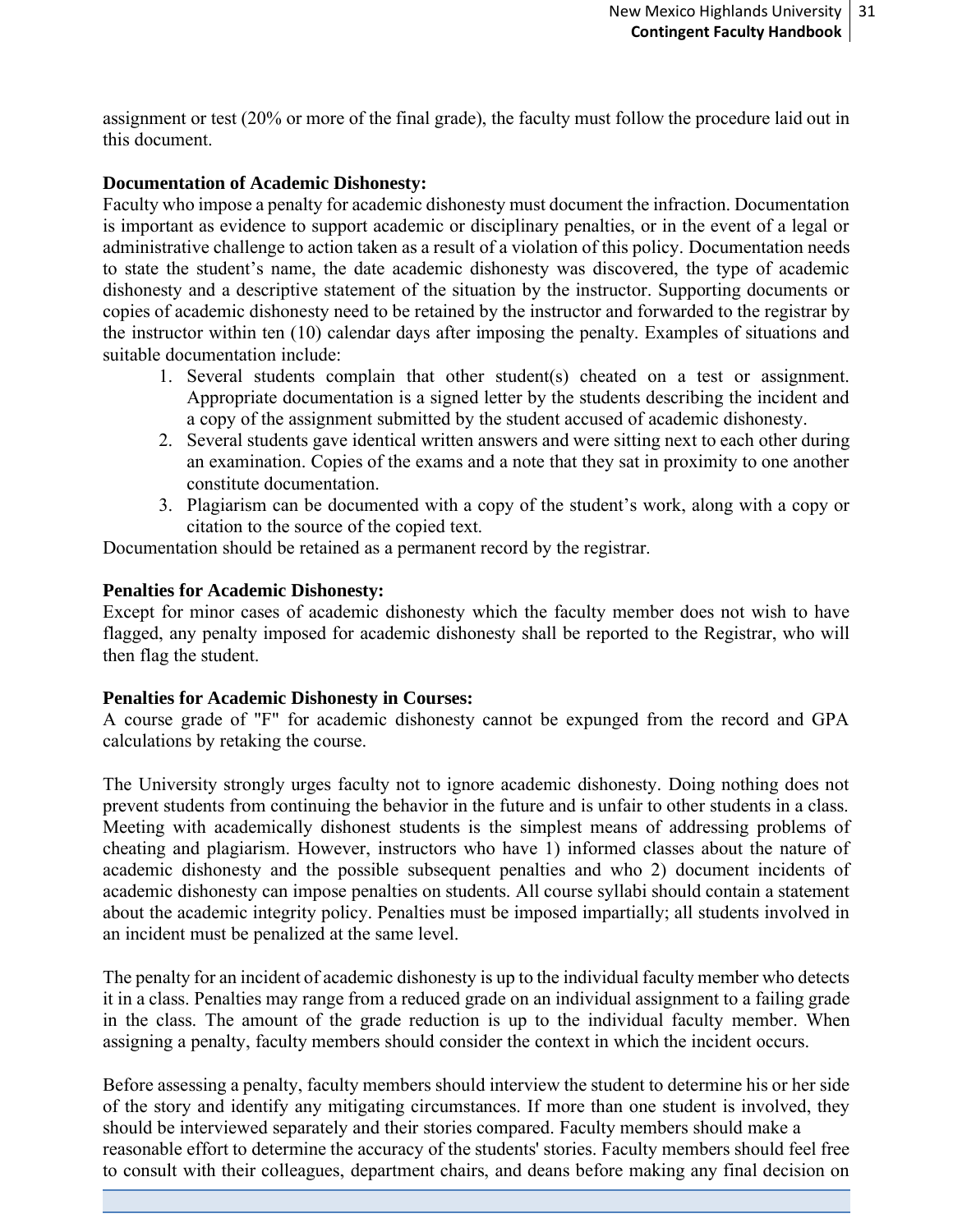assignment or test (20% or more of the final grade), the faculty must follow the procedure laid out in this document.

#### **Documentation of Academic Dishonesty:**

Faculty who impose a penalty for academic dishonesty must document the infraction. Documentation is important as evidence to support academic or disciplinary penalties, or in the event of a legal or administrative challenge to action taken as a result of a violation of this policy. Documentation needs to state the student's name, the date academic dishonesty was discovered, the type of academic dishonesty and a descriptive statement of the situation by the instructor. Supporting documents or copies of academic dishonesty need to be retained by the instructor and forwarded to the registrar by the instructor within ten (10) calendar days after imposing the penalty. Examples of situations and suitable documentation include:

- 1. Several students complain that other student(s) cheated on a test or assignment. Appropriate documentation is a signed letter by the students describing the incident and a copy of the assignment submitted by the student accused of academic dishonesty.
- 2. Several students gave identical written answers and were sitting next to each other during an examination. Copies of the exams and a note that they sat in proximity to one another constitute documentation.
- 3. Plagiarism can be documented with a copy of the student's work, along with a copy or citation to the source of the copied text.

Documentation should be retained as a permanent record by the registrar.

#### **Penalties for Academic Dishonesty:**

Except for minor cases of academic dishonesty which the faculty member does not wish to have flagged, any penalty imposed for academic dishonesty shall be reported to the Registrar, who will then flag the student.

# **Penalties for Academic Dishonesty in Courses:**

A course grade of "F" for academic dishonesty cannot be expunged from the record and GPA calculations by retaking the course.

The University strongly urges faculty not to ignore academic dishonesty. Doing nothing does not prevent students from continuing the behavior in the future and is unfair to other students in a class. Meeting with academically dishonest students is the simplest means of addressing problems of cheating and plagiarism. However, instructors who have 1) informed classes about the nature of academic dishonesty and the possible subsequent penalties and who 2) document incidents of academic dishonesty can impose penalties on students. All course syllabi should contain a statement about the academic integrity policy. Penalties must be imposed impartially; all students involved in an incident must be penalized at the same level.

The penalty for an incident of academic dishonesty is up to the individual faculty member who detects it in a class. Penalties may range from a reduced grade on an individual assignment to a failing grade in the class. The amount of the grade reduction is up to the individual faculty member. When assigning a penalty, faculty members should consider the context in which the incident occurs.

Before assessing a penalty, faculty members should interview the student to determine his or her side of the story and identify any mitigating circumstances. If more than one student is involved, they should be interviewed separately and their stories compared. Faculty members should make a reasonable effort to determine the accuracy of the students' stories. Faculty members should feel free to consult with their colleagues, department chairs, and deans before making any final decision on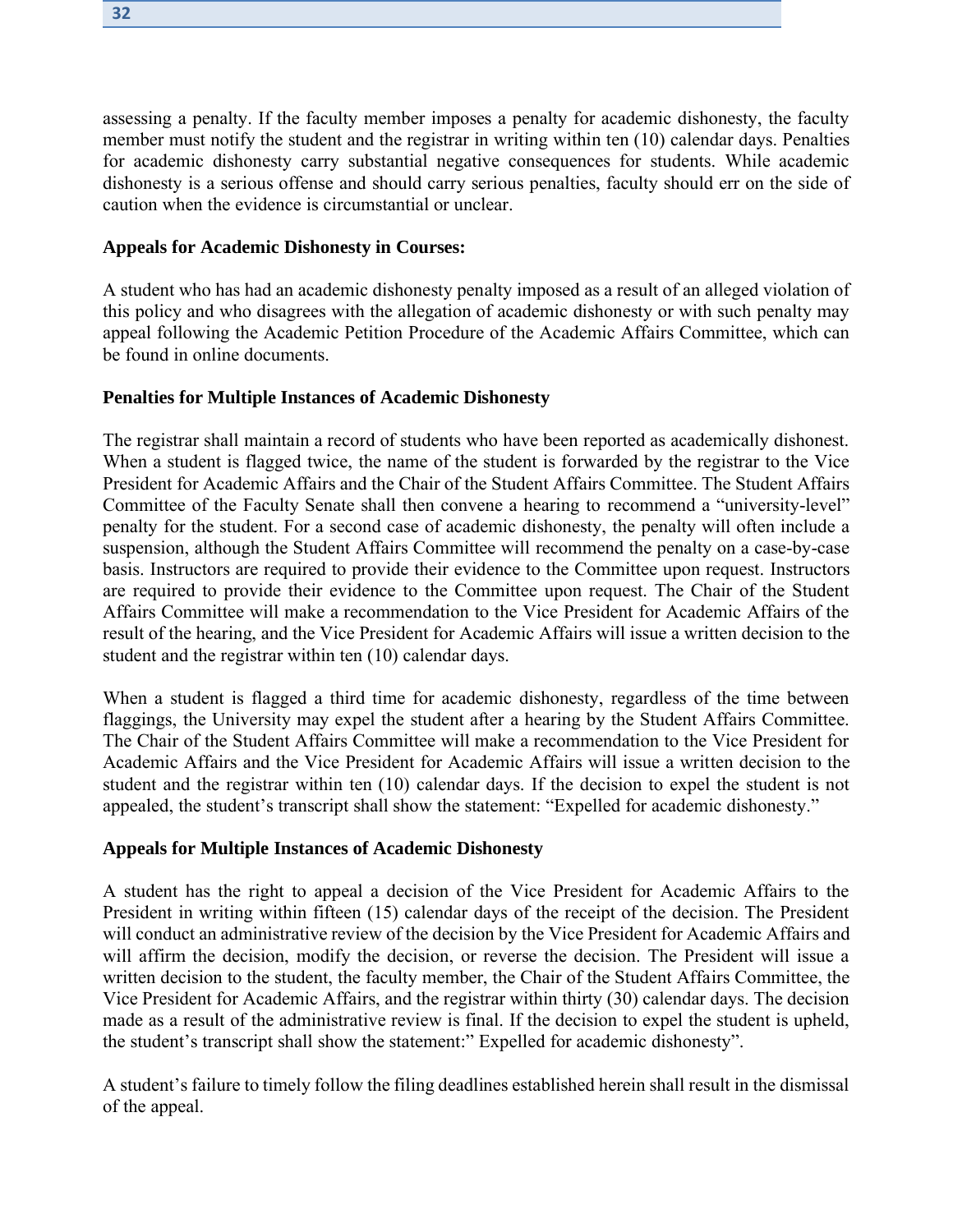assessing a penalty. If the faculty member imposes a penalty for academic dishonesty, the faculty member must notify the student and the registrar in writing within ten (10) calendar days. Penalties for academic dishonesty carry substantial negative consequences for students. While academic dishonesty is a serious offense and should carry serious penalties, faculty should err on the side of caution when the evidence is circumstantial or unclear.

#### **Appeals for Academic Dishonesty in Courses:**

A student who has had an academic dishonesty penalty imposed as a result of an alleged violation of this policy and who disagrees with the allegation of academic dishonesty or with such penalty may appeal following the Academic Petition Procedure of the Academic Affairs Committee, which can be found in online documents.

# **Penalties for Multiple Instances of Academic Dishonesty**

The registrar shall maintain a record of students who have been reported as academically dishonest. When a student is flagged twice, the name of the student is forwarded by the registrar to the Vice President for Academic Affairs and the Chair of the Student Affairs Committee. The Student Affairs Committee of the Faculty Senate shall then convene a hearing to recommend a "university-level" penalty for the student. For a second case of academic dishonesty, the penalty will often include a suspension, although the Student Affairs Committee will recommend the penalty on a case-by-case basis. Instructors are required to provide their evidence to the Committee upon request. Instructors are required to provide their evidence to the Committee upon request. The Chair of the Student Affairs Committee will make a recommendation to the Vice President for Academic Affairs of the result of the hearing, and the Vice President for Academic Affairs will issue a written decision to the student and the registrar within ten (10) calendar days.

When a student is flagged a third time for academic dishonesty, regardless of the time between flaggings, the University may expel the student after a hearing by the Student Affairs Committee. The Chair of the Student Affairs Committee will make a recommendation to the Vice President for Academic Affairs and the Vice President for Academic Affairs will issue a written decision to the student and the registrar within ten (10) calendar days. If the decision to expel the student is not appealed, the student's transcript shall show the statement: "Expelled for academic dishonesty."

# **Appeals for Multiple Instances of Academic Dishonesty**

A student has the right to appeal a decision of the Vice President for Academic Affairs to the President in writing within fifteen (15) calendar days of the receipt of the decision. The President will conduct an administrative review of the decision by the Vice President for Academic Affairs and will affirm the decision, modify the decision, or reverse the decision. The President will issue a written decision to the student, the faculty member, the Chair of the Student Affairs Committee, the Vice President for Academic Affairs, and the registrar within thirty (30) calendar days. The decision made as a result of the administrative review is final. If the decision to expel the student is upheld, the student's transcript shall show the statement:" Expelled for academic dishonesty".

A student's failure to timely follow the filing deadlines established herein shall result in the dismissal of the appeal.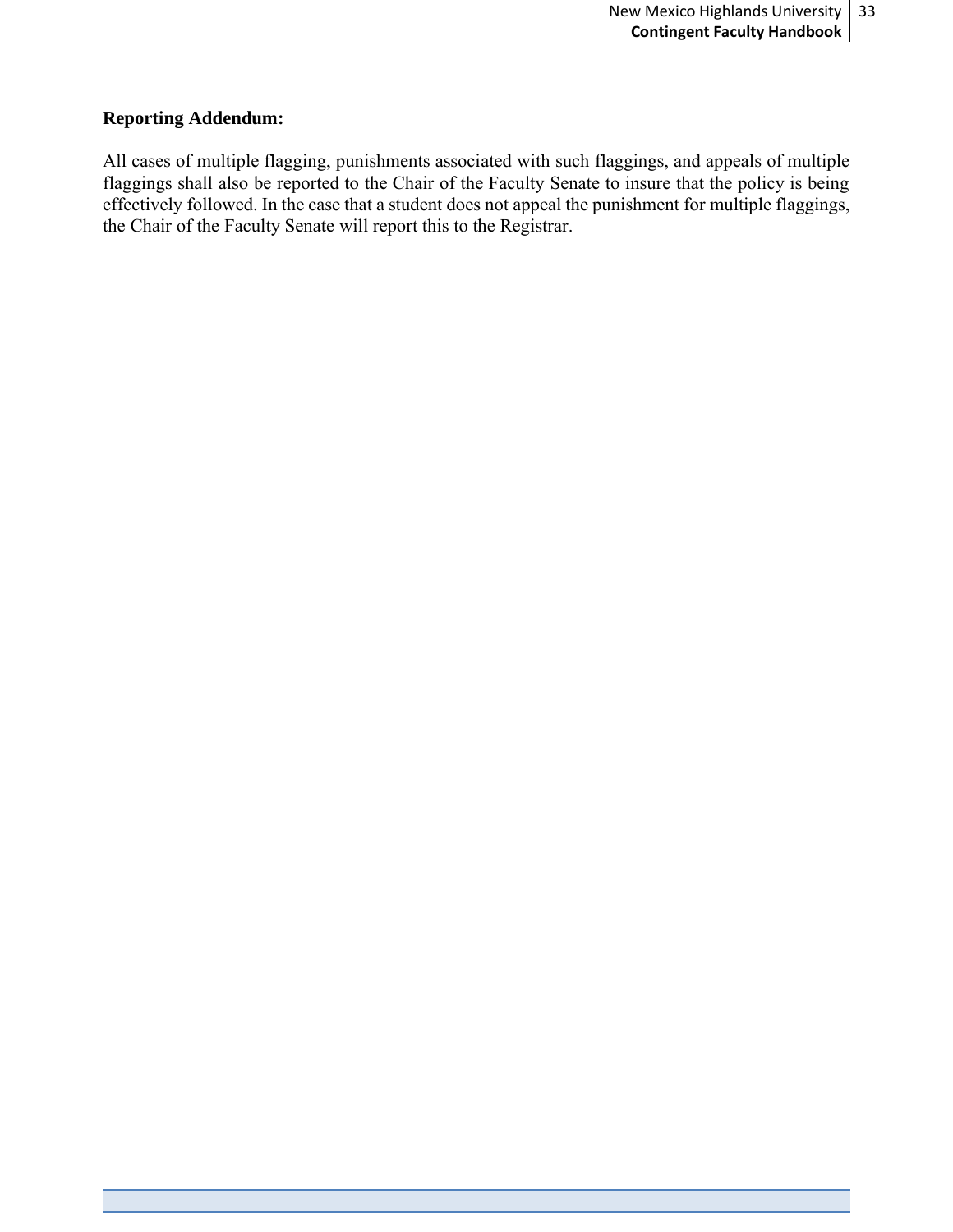#### **Reporting Addendum:**

All cases of multiple flagging, punishments associated with such flaggings, and appeals of multiple flaggings shall also be reported to the Chair of the Faculty Senate to insure that the policy is being effectively followed. In the case that a student does not appeal the punishment for multiple flaggings, the Chair of the Faculty Senate will report this to the Registrar.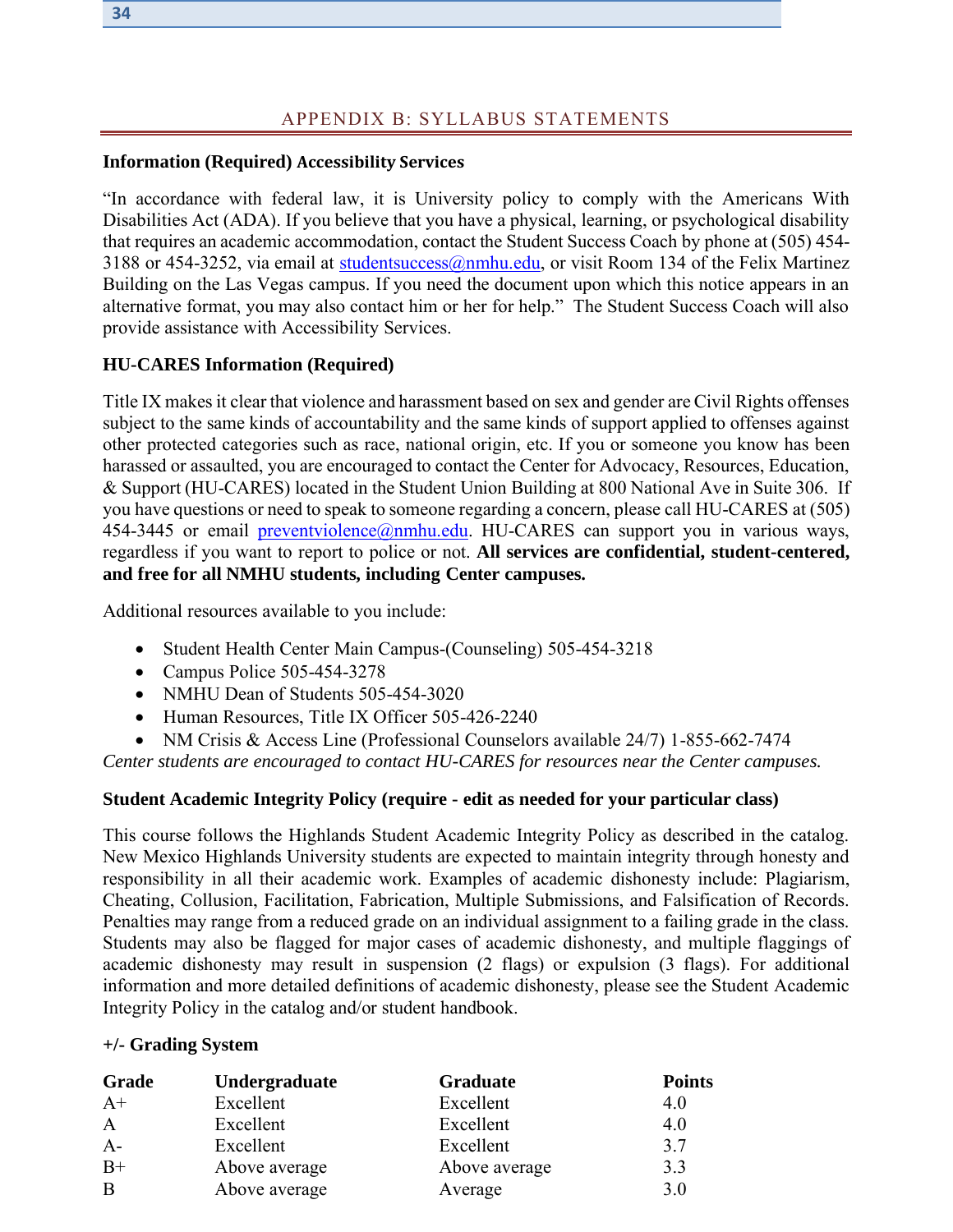# APPENDIX B: SYLLABUS STATEMENTS

#### <span id="page-33-0"></span>**Information (Required) Accessibility Services**

"In accordance with federal law, it is University policy to comply with the Americans With Disabilities Act (ADA). If you believe that you have a physical, learning, or psychological disability that requires an academic accommodation, contact the Student Success Coach by phone at (505) 454 3188 or 454-3252, via email at [studentsuccess@nmhu.edu,](mailto:studentsuccess@nmhu.edu) or visit Room 134 of the Felix Martinez Building on the Las Vegas campus. If you need the document upon which this notice appears in an alternative format, you may also contact him or her for help." The Student Success Coach will also provide assistance with Accessibility Services.

#### **HU-CARES Information (Required)**

Title IX makes it clear that violence and harassment based on sex and gender are Civil Rights offenses subject to the same kinds of accountability and the same kinds of support applied to offenses against other protected categories such as race, national origin, etc. If you or someone you know has been harassed or assaulted, you are encouraged to contact the Center for Advocacy, Resources, Education, & Support (HU-CARES) located in the Student Union Building at 800 National Ave in Suite 306. If you have questions or need to speak to someone regarding a concern, please call HU-CARES at (505) 454-3445 or email **preventviolence**@nmhu.edu. HU-CARES can support you in various ways, regardless if you want to report to police or not. **All services are confidential, student-centered, and free for all NMHU students, including Center campuses.** 

Additional resources available to you include:

- Student Health Center Main Campus-(Counseling) 505-454-3218
- Campus Police 505-454-3278
- NMHU Dean of Students 505-454-3020
- Human Resources, Title IX Officer 505-426-2240

• NM Crisis & Access Line (Professional Counselors available 24/7) 1-855-662-7474

*Center students are encouraged to contact HU-CARES for resources near the Center campuses.*

#### **Student Academic Integrity Policy (require - edit as needed for your particular class)**

This course follows the Highlands Student Academic Integrity Policy as described in the catalog. New Mexico Highlands University students are expected to maintain integrity through honesty and responsibility in all their academic work. Examples of academic dishonesty include: Plagiarism, Cheating, Collusion, Facilitation, Fabrication, Multiple Submissions, and Falsification of Records. Penalties may range from a reduced grade on an individual assignment to a failing grade in the class. Students may also be flagged for major cases of academic dishonesty, and multiple flaggings of academic dishonesty may result in suspension (2 flags) or expulsion (3 flags). For additional information and more detailed definitions of academic dishonesty, please see the Student Academic Integrity Policy in the catalog and/or student handbook.

#### **+/- Grading System**

| <b>Grade</b> | Undergraduate | Graduate      | <b>Points</b> |
|--------------|---------------|---------------|---------------|
| $A+$         | Excellent     | Excellent     | 4.0           |
| $\mathbf{A}$ | Excellent     | Excellent     | 4.0           |
| $A-$         | Excellent     | Excellent     | 3.7           |
| $B+$         | Above average | Above average | 3.3           |
| B            | Above average | Average       | 3.0           |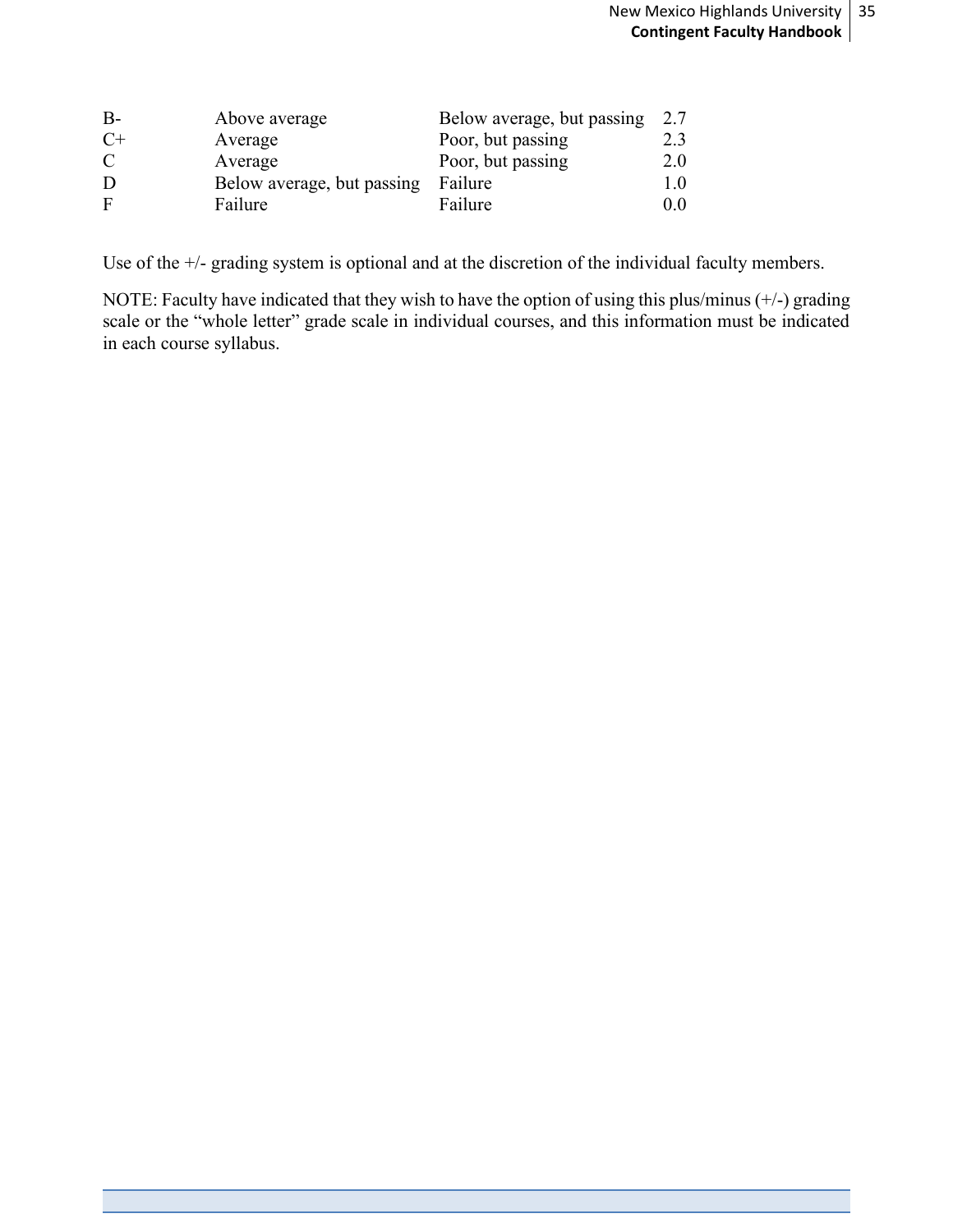| $B -$ | Above average              | Below average, but passing | 2.7     |
|-------|----------------------------|----------------------------|---------|
| $C+$  | Average                    | Poor, but passing          | 2.3     |
| C     | Average                    | Poor, but passing          | 2.0     |
| Ð     | Below average, but passing | Failure                    | $1.0\,$ |
| F     | Failure                    | Failure                    | 0.0     |

Use of the +/- grading system is optional and at the discretion of the individual faculty members.

NOTE: Faculty have indicated that they wish to have the option of using this plus/minus (+/-) grading scale or the "whole letter" grade scale in individual courses, and this information must be indicated in each course syllabus.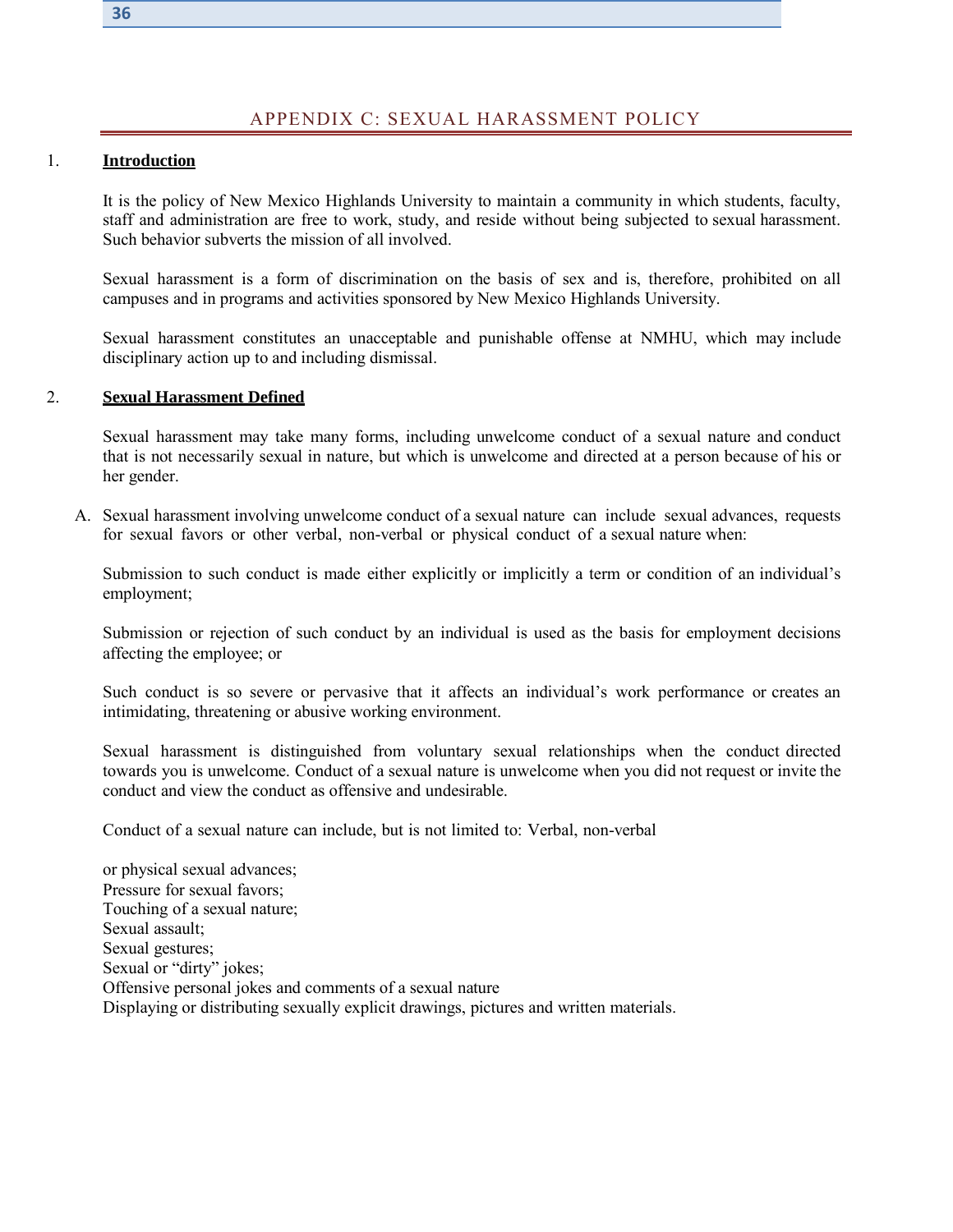#### APPENDIX C: SEXUAL HARASSMENT POLICY

#### <span id="page-35-0"></span>1. **Introduction**

It is the policy of New Mexico Highlands University to maintain a community in which students, faculty, staff and administration are free to work, study, and reside without being subjected to sexual harassment. Such behavior subverts the mission of all involved.

Sexual harassment is a form of discrimination on the basis of sex and is, therefore, prohibited on all campuses and in programs and activities sponsored by New Mexico Highlands University.

Sexual harassment constitutes an unacceptable and punishable offense at NMHU, which may include disciplinary action up to and including dismissal.

#### 2. **Sexual Harassment Defined**

Sexual harassment may take many forms, including unwelcome conduct of a sexual nature and conduct that is not necessarily sexual in nature, but which is unwelcome and directed at a person because of his or her gender.

A. Sexual harassment involving unwelcome conduct of a sexual nature can include sexual advances, requests for sexual favors or other verbal, non-verbal or physical conduct of a sexual nature when:

Submission to such conduct is made either explicitly or implicitly a term or condition of an individual's employment;

Submission or rejection of such conduct by an individual is used as the basis for employment decisions affecting the employee; or

Such conduct is so severe or pervasive that it affects an individual's work performance or creates an intimidating, threatening or abusive working environment.

Sexual harassment is distinguished from voluntary sexual relationships when the conduct directed towards you is unwelcome. Conduct of a sexual nature is unwelcome when you did not request or invite the conduct and view the conduct as offensive and undesirable.

Conduct of a sexual nature can include, but is not limited to: Verbal, non-verbal

or physical sexual advances; Pressure for sexual favors; Touching of a sexual nature; Sexual assault; Sexual gestures; Sexual or "dirty" jokes; Offensive personal jokes and comments of a sexual nature Displaying or distributing sexually explicit drawings, pictures and written materials.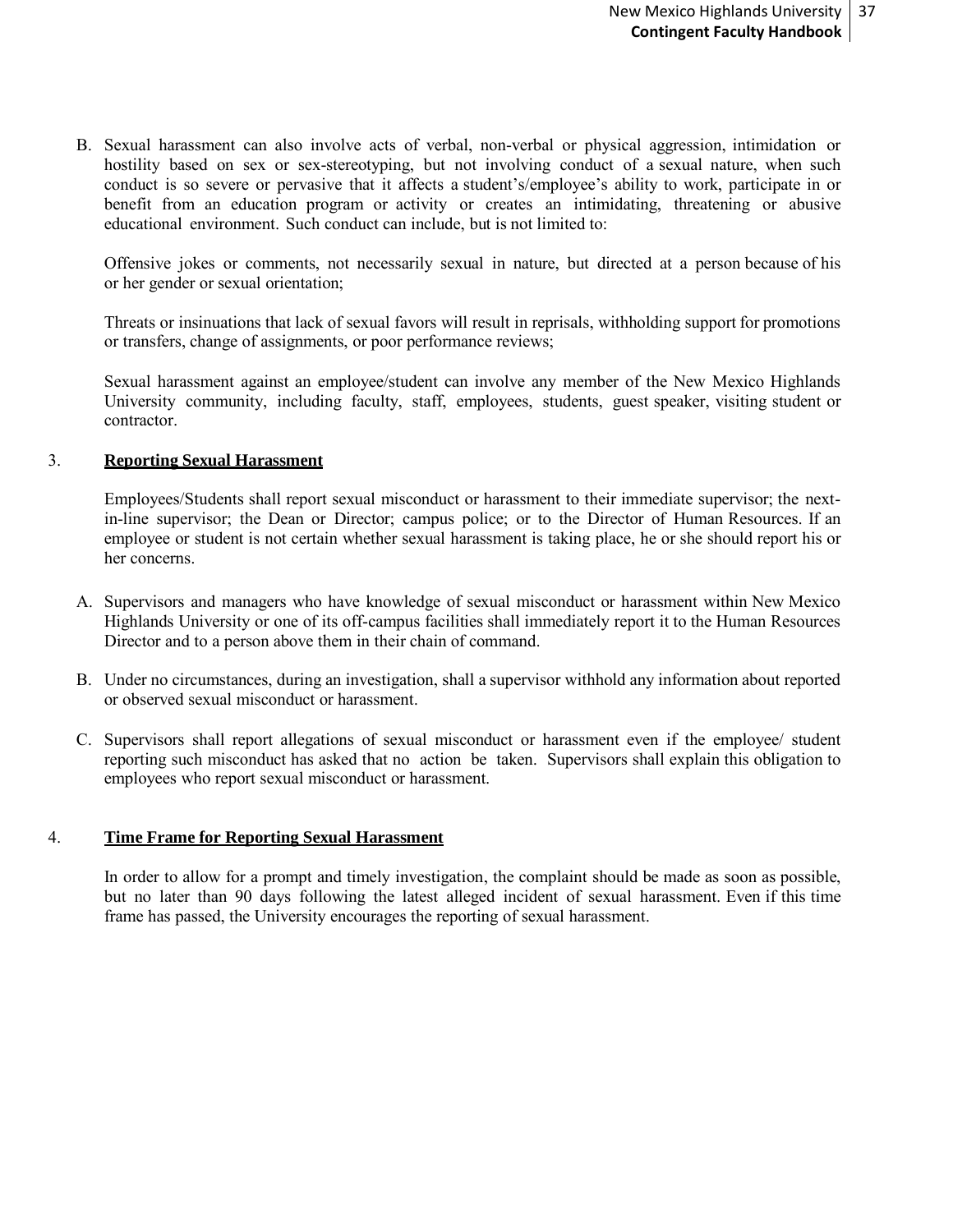B. Sexual harassment can also involve acts of verbal, non-verbal or physical aggression, intimidation or hostility based on sex or sex-stereotyping, but not involving conduct of a sexual nature, when such conduct is so severe or pervasive that it affects a student's/employee's ability to work, participate in or benefit from an education program or activity or creates an intimidating, threatening or abusive educational environment. Such conduct can include, but is not limited to:

Offensive jokes or comments, not necessarily sexual in nature, but directed at a person because of his or her gender or sexual orientation;

Threats or insinuations that lack of sexual favors will result in reprisals, withholding support for promotions or transfers, change of assignments, or poor performance reviews;

Sexual harassment against an employee/student can involve any member of the New Mexico Highlands University community, including faculty, staff, employees, students, guest speaker, visiting student or contractor.

#### 3. **Reporting Sexual Harassment**

Employees/Students shall report sexual misconduct or harassment to their immediate supervisor; the nextin-line supervisor; the Dean or Director; campus police; or to the Director of Human Resources. If an employee or student is not certain whether sexual harassment is taking place, he or she should report his or her concerns.

- A. Supervisors and managers who have knowledge of sexual misconduct or harassment within New Mexico Highlands University or one of its off-campus facilities shall immediately report it to the Human Resources Director and to a person above them in their chain of command.
- B. Under no circumstances, during an investigation, shall a supervisor withhold any information about reported or observed sexual misconduct or harassment.
- C. Supervisors shall report allegations of sexual misconduct or harassment even if the employee/ student reporting such misconduct has asked that no action be taken. Supervisors shall explain this obligation to employees who report sexual misconduct or harassment.

#### 4. **Time Frame for Reporting Sexual Harassment**

In order to allow for a prompt and timely investigation, the complaint should be made as soon as possible, but no later than 90 days following the latest alleged incident of sexual harassment. Even if this time frame has passed, the University encourages the reporting of sexual harassment.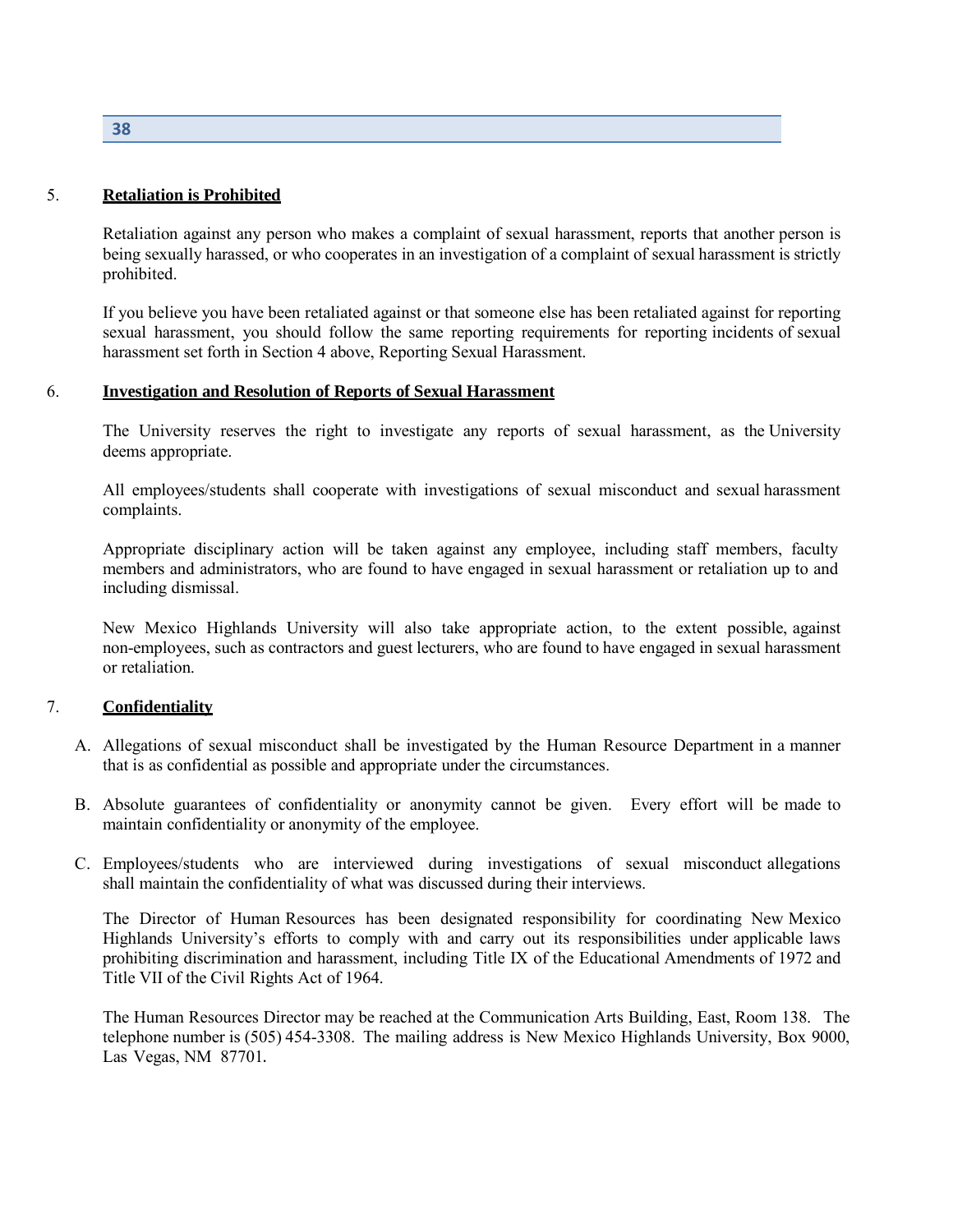**38**

#### 5. **Retaliation is Prohibited**

Retaliation against any person who makes a complaint of sexual harassment, reports that another person is being sexually harassed, or who cooperates in an investigation of a complaint of sexual harassment is strictly prohibited.

If you believe you have been retaliated against or that someone else has been retaliated against for reporting sexual harassment, you should follow the same reporting requirements for reporting incidents of sexual harassment set forth in Section 4 above, Reporting Sexual Harassment.

#### 6. **Investigation and Resolution of Reports of Sexual Harassment**

The University reserves the right to investigate any reports of sexual harassment, as the University deems appropriate.

All employees/students shall cooperate with investigations of sexual misconduct and sexual harassment complaints.

Appropriate disciplinary action will be taken against any employee, including staff members, faculty members and administrators, who are found to have engaged in sexual harassment or retaliation up to and including dismissal.

New Mexico Highlands University will also take appropriate action, to the extent possible, against non-employees, such as contractors and guest lecturers, who are found to have engaged in sexual harassment or retaliation.

#### 7. **Confidentiality**

- A. Allegations of sexual misconduct shall be investigated by the Human Resource Department in a manner that is as confidential as possible and appropriate under the circumstances.
- B. Absolute guarantees of confidentiality or anonymity cannot be given. Every effort will be made to maintain confidentiality or anonymity of the employee.
- C. Employees/students who are interviewed during investigations of sexual misconduct allegations shall maintain the confidentiality of what was discussed during their interviews.

The Director of Human Resources has been designated responsibility for coordinating New Mexico Highlands University's efforts to comply with and carry out its responsibilities under applicable laws prohibiting discrimination and harassment, including Title IX of the Educational Amendments of 1972 and Title VII of the Civil Rights Act of 1964.

The Human Resources Director may be reached at the Communication Arts Building, East, Room 138. The telephone number is (505) 454-3308. The mailing address is New Mexico Highlands University, Box 9000, Las Vegas, NM 87701.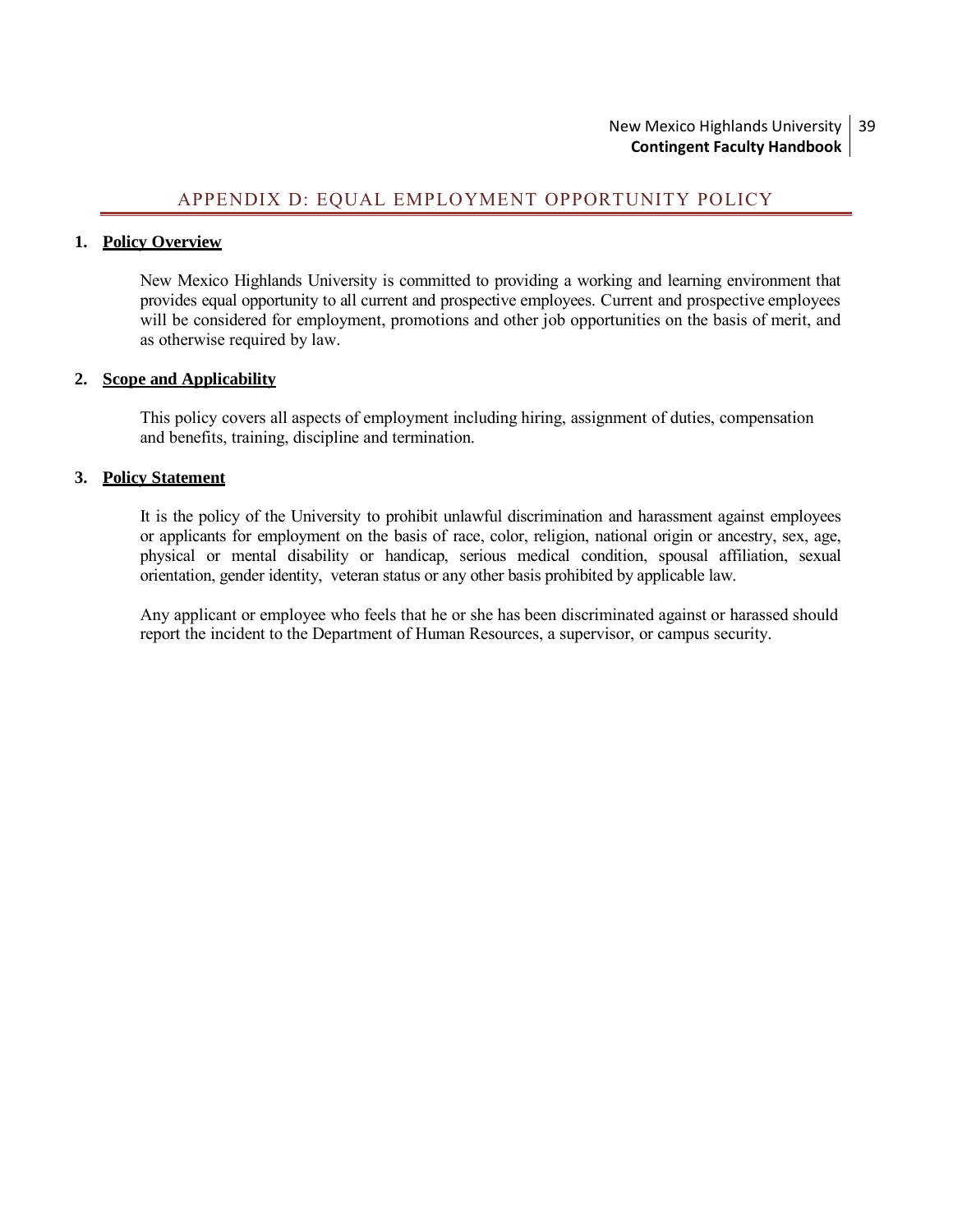#### New Mexico Highlands University **Contingent Faculty Handbook** 39

# APPENDIX D: EQUAL EMPLOYMENT OPPORTUNITY POLICY

#### <span id="page-38-0"></span>**1. Policy Overview**

New Mexico Highlands University is committed to providing a working and learning environment that provides equal opportunity to all current and prospective employees. Current and prospective employees will be considered for employment, promotions and other job opportunities on the basis of merit, and as otherwise required by law.

#### **2. Scope and Applicability**

This policy covers all aspects of employment including hiring, assignment of duties, compensation and benefits, training, discipline and termination.

#### **3. Policy Statement**

It is the policy of the University to prohibit unlawful discrimination and harassment against employees or applicants for employment on the basis of race, color, religion, national origin or ancestry, sex, age, physical or mental disability or handicap, serious medical condition, spousal affiliation, sexual orientation, gender identity, veteran status or any other basis prohibited by applicable law.

Any applicant or employee who feels that he or she has been discriminated against or harassed should report the incident to the Department of Human Resources, a supervisor, or campus security.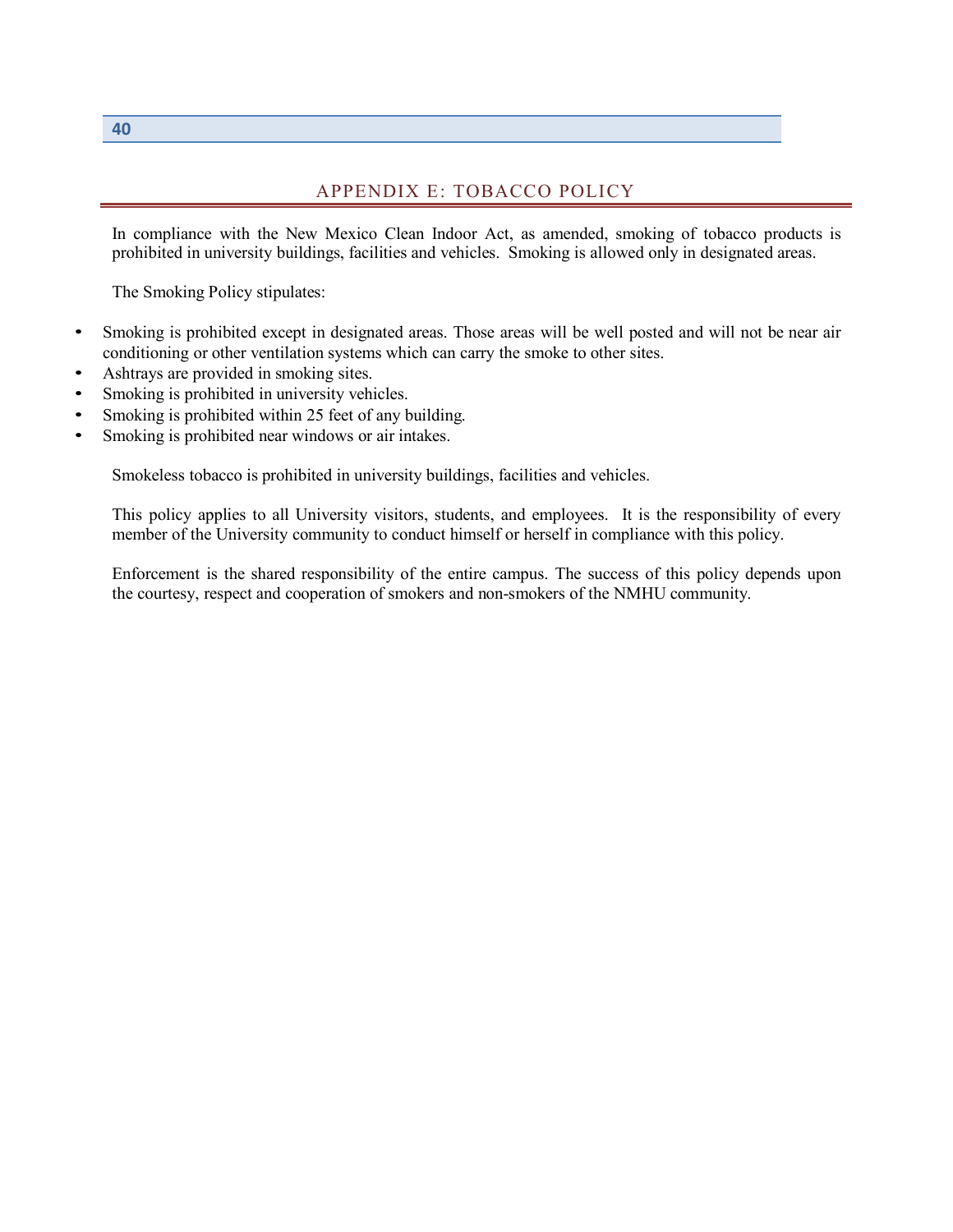#### APPENDIX E: TOBACCO POLICY

<span id="page-39-0"></span>In compliance with the New Mexico Clean Indoor Act, as amended, smoking of tobacco products is prohibited in university buildings, facilities and vehicles. Smoking is allowed only in designated areas.

The Smoking Policy stipulates:

- Smoking is prohibited except in designated areas. Those areas will be well posted and will not be near air conditioning or other ventilation systems which can carry the smoke to other sites.
- Ashtrays are provided in smoking sites.
- Smoking is prohibited in university vehicles.
- Smoking is prohibited within 25 feet of any building.
- Smoking is prohibited near windows or air intakes.

Smokeless tobacco is prohibited in university buildings, facilities and vehicles.

This policy applies to all University visitors, students, and employees. It is the responsibility of every member of the University community to conduct himself or herself in compliance with this policy.

Enforcement is the shared responsibility of the entire campus. The success of this policy depends upon the courtesy, respect and cooperation of smokers and non-smokers of the NMHU community.

**40**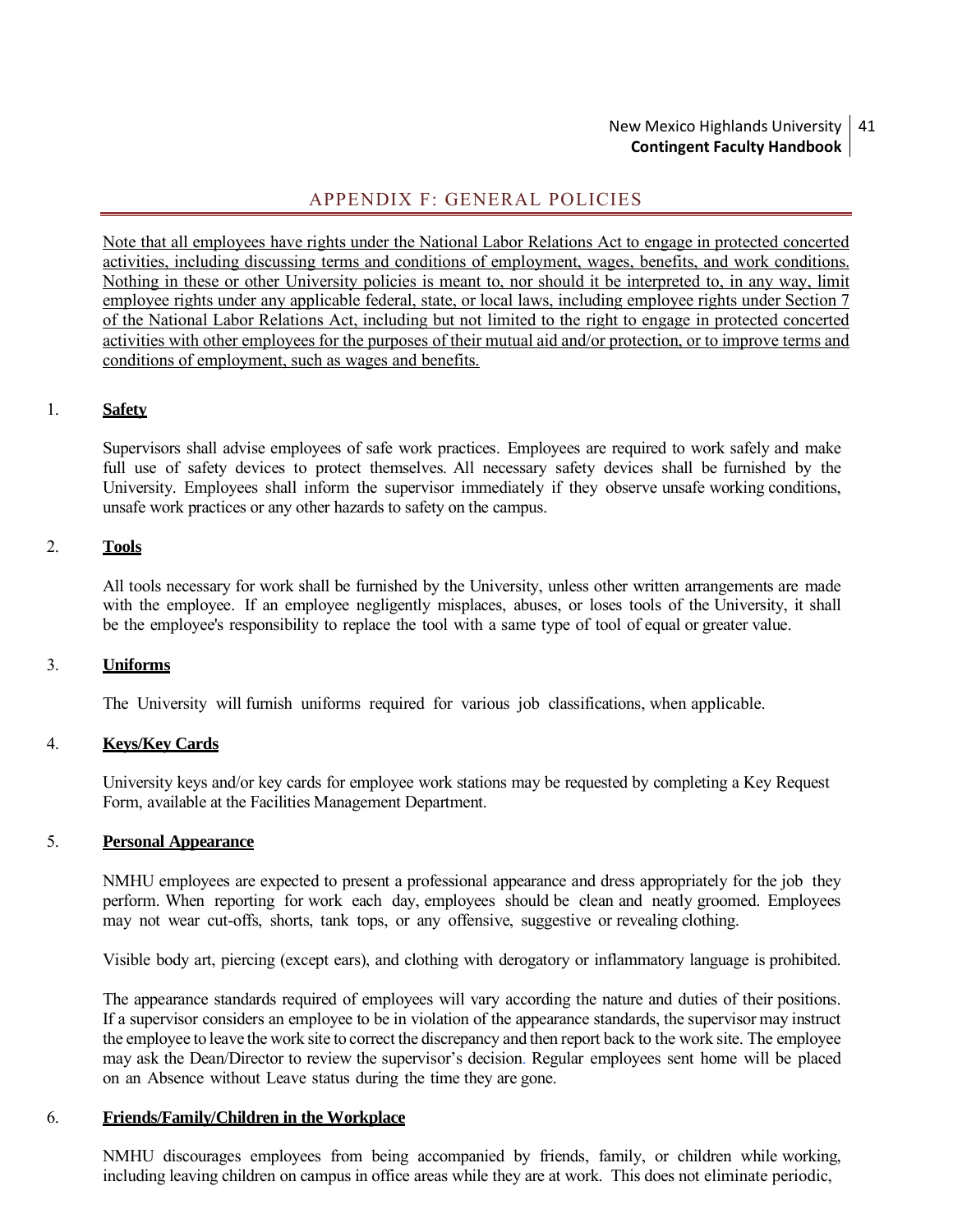#### New Mexico Highlands University 41 **Contingent Faculty Handbook**

# APPENDIX F: GENERAL POLICIES

<span id="page-40-0"></span>Note that all employees have rights under the National Labor Relations Act to engage in protected concerted activities, including discussing terms and conditions of employment, wages, benefits, and work conditions. Nothing in these or other University policies is meant to, nor should it be interpreted to, in any way, limit employee rights under any applicable federal, state, or local laws, including employee rights under Section 7 of the National Labor Relations Act, including but not limited to the right to engage in protected concerted activities with other employees for the purposes of their mutual aid and/or protection, or to improve terms and conditions of employment, such as wages and benefits.

#### 1. **Safety**

Supervisors shall advise employees of safe work practices. Employees are required to work safely and make full use of safety devices to protect themselves. All necessary safety devices shall be furnished by the University. Employees shall inform the supervisor immediately if they observe unsafe working conditions, unsafe work practices or any other hazards to safety on the campus.

#### 2. **Tools**

All tools necessary for work shall be furnished by the University, unless other written arrangements are made with the employee. If an employee negligently misplaces, abuses, or loses tools of the University, it shall be the employee's responsibility to replace the tool with a same type of tool of equal or greater value.

#### 3. **Uniforms**

The University will furnish uniforms required for various job classifications, when applicable.

#### 4. **Keys/Key Cards**

University keys and/or key cards for employee work stations may be requested by completing a Key Request Form, available at the Facilities Management Department.

#### 5. **Personal Appearance**

NMHU employees are expected to present a professional appearance and dress appropriately for the job they perform. When reporting for work each day, employees should be clean and neatly groomed. Employees may not wear cut-offs, shorts, tank tops, or any offensive, suggestive or revealing clothing.

Visible body art, piercing (except ears), and clothing with derogatory or inflammatory language is prohibited.

The appearance standards required of employees will vary according the nature and duties of their positions. If a supervisor considers an employee to be in violation of the appearance standards, the supervisor may instruct the employee to leave the work site to correct the discrepancy and then report back to the work site. The employee may ask the Dean/Director to review the supervisor's decision. Regular employees sent home will be placed on an Absence without Leave status during the time they are gone.

#### 6. **Friends/Family/Children in the Workplace**

NMHU discourages employees from being accompanied by friends, family, or children while working, including leaving children on campus in office areas while they are at work. This does not eliminate periodic,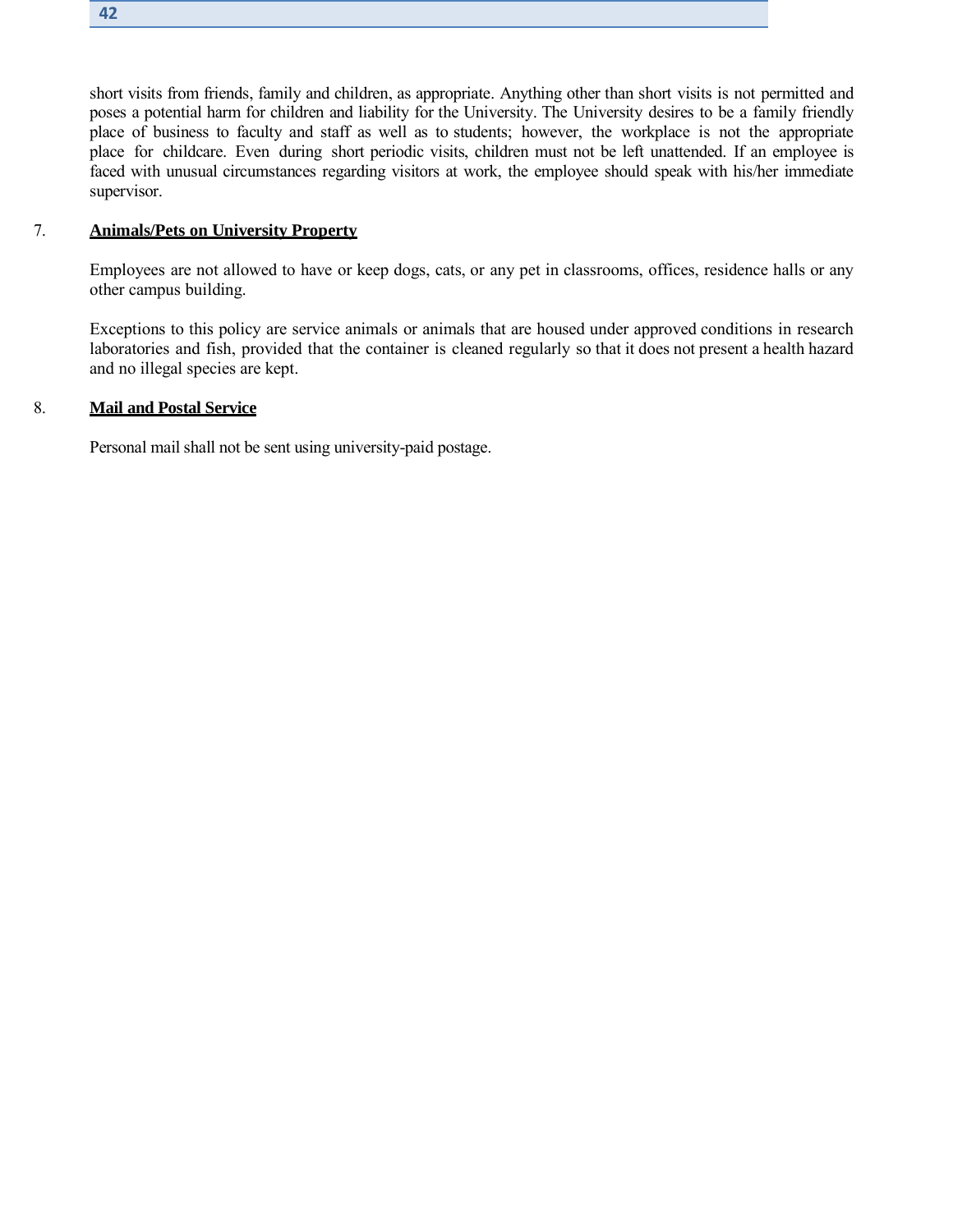short visits from friends, family and children, as appropriate. Anything other than short visits is not permitted and poses a potential harm for children and liability for the University. The University desires to be a family friendly place of business to faculty and staff as well as to students; however, the workplace is not the appropriate

place for childcare. Even during short periodic visits, children must not be left unattended. If an employee is faced with unusual circumstances regarding visitors at work, the employee should speak with his/her immediate supervisor.

#### 7. **Animals/Pets on University Property**

Employees are not allowed to have or keep dogs, cats, or any pet in classrooms, offices, residence halls or any other campus building.

Exceptions to this policy are service animals or animals that are housed under approved conditions in research laboratories and fish, provided that the container is cleaned regularly so that it does not present a health hazard and no illegal species are kept.

#### 8. **Mail and Postal Service**

Personal mail shall not be sent using university-paid postage.

**42**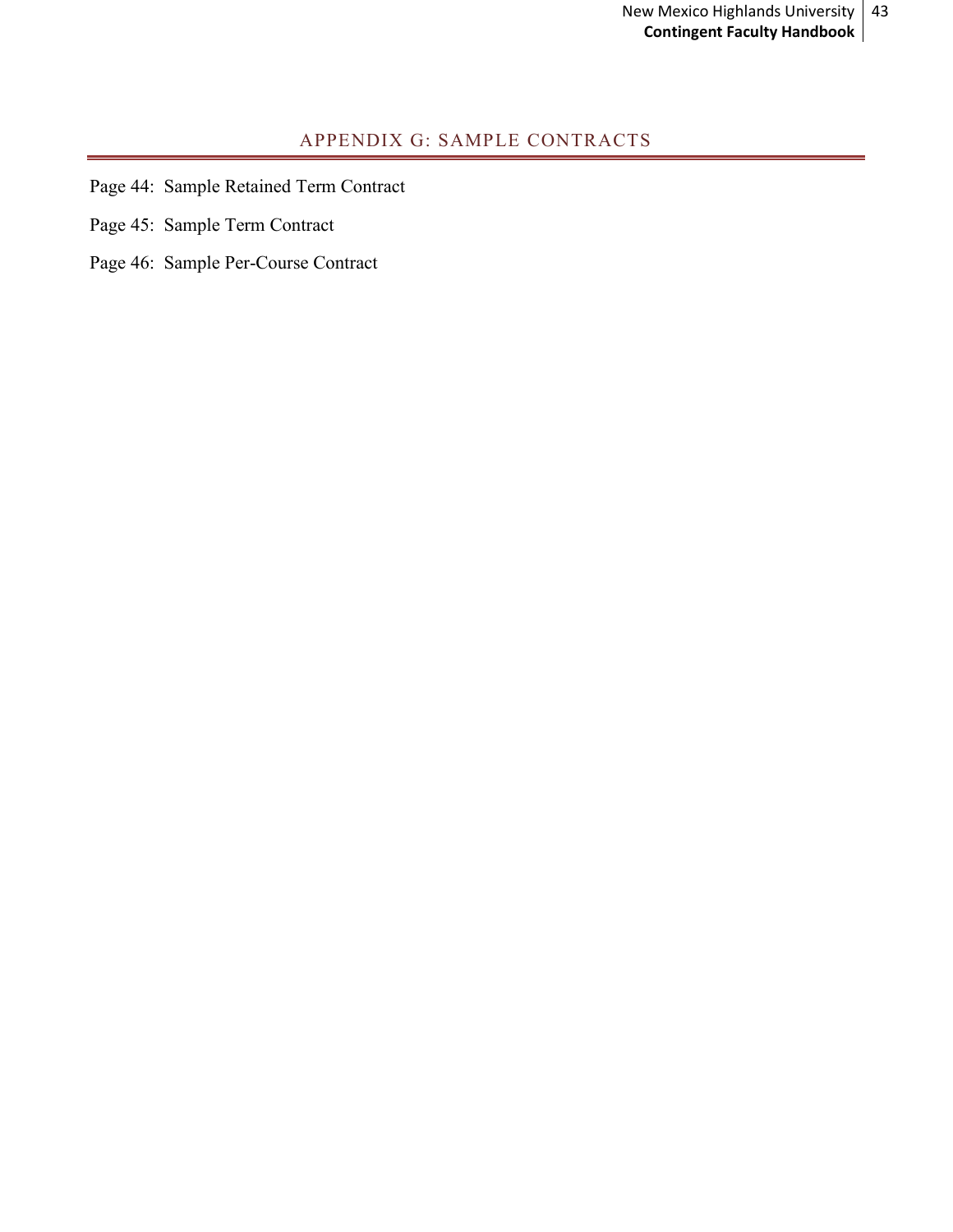# APPENDIX G: SAMPLE CONTRACTS

- <span id="page-42-0"></span>Page 44: Sample Retained Term Contract
- Page 45: Sample Term Contract
- Page 46: Sample Per-Course Contract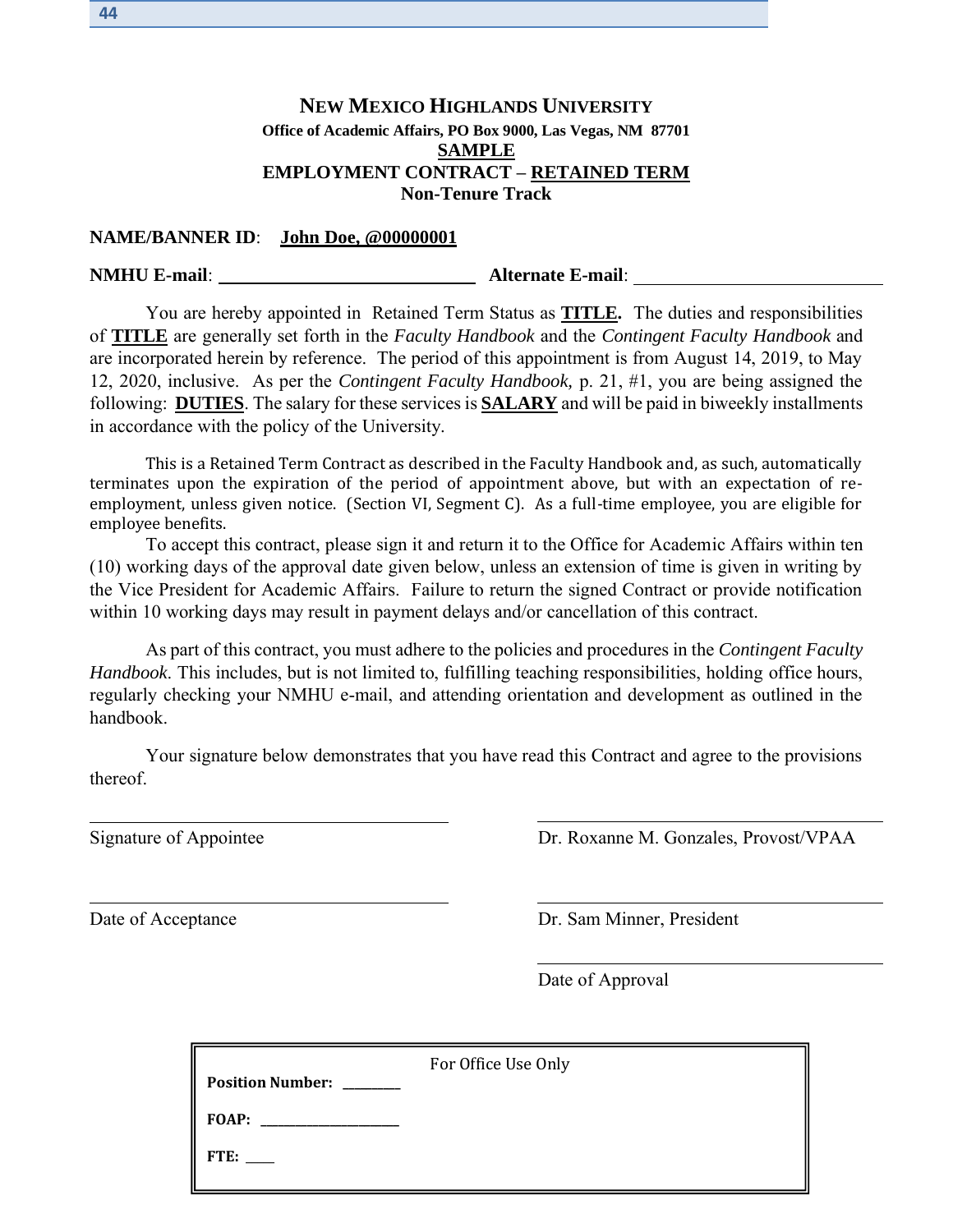# **NEW MEXICO HIGHLANDS UNIVERSITY Office of Academic Affairs, PO Box 9000, Las Vegas, NM 87701 SAMPLE EMPLOYMENT CONTRACT – RETAINED TERM Non-Tenure Track**

#### **NAME/BANNER ID**: **John Doe, @00000001**

#### **NMHU E-mail**: **Alternate E-mail**:

You are hereby appointed in Retained Term Status as **TITLE.** The duties and responsibilities of **TITLE** are generally set forth in the *Faculty Handbook* and the *Contingent Faculty Handbook* and are incorporated herein by reference. The period of this appointment is from August 14, 2019, to May 12, 2020, inclusive. As per the *Contingent Faculty Handbook,* p. 21, #1, you are being assigned the following: **DUTIES**. The salary for these services is **SALARY** and will be paid in biweekly installments in accordance with the policy of the University.

This is a Retained Term Contract as described in the Faculty Handbook and, as such, automatically terminates upon the expiration of the period of appointment above, but with an expectation of reemployment, unless given notice. (Section VI, Segment C). As a full-time employee, you are eligible for employee benefits.

To accept this contract, please sign it and return it to the Office for Academic Affairs within ten (10) working days of the approval date given below, unless an extension of time is given in writing by the Vice President for Academic Affairs. Failure to return the signed Contract or provide notification within 10 working days may result in payment delays and/or cancellation of this contract.

As part of this contract, you must adhere to the policies and procedures in the *Contingent Faculty Handbook*. This includes, but is not limited to, fulfilling teaching responsibilities, holding office hours, regularly checking your NMHU e-mail, and attending orientation and development as outlined in the handbook.

Your signature below demonstrates that you have read this Contract and agree to the provisions thereof.

Signature of Appointee Dr. Roxanne M. Gonzales, Provost/VPAA

Date of Acceptance Dr. Sam Minner, President

Date of Approval

| FOAP:<br>FTE: | Position Number: ______ | For Office Use Only |
|---------------|-------------------------|---------------------|
|               |                         |                     |
|               |                         |                     |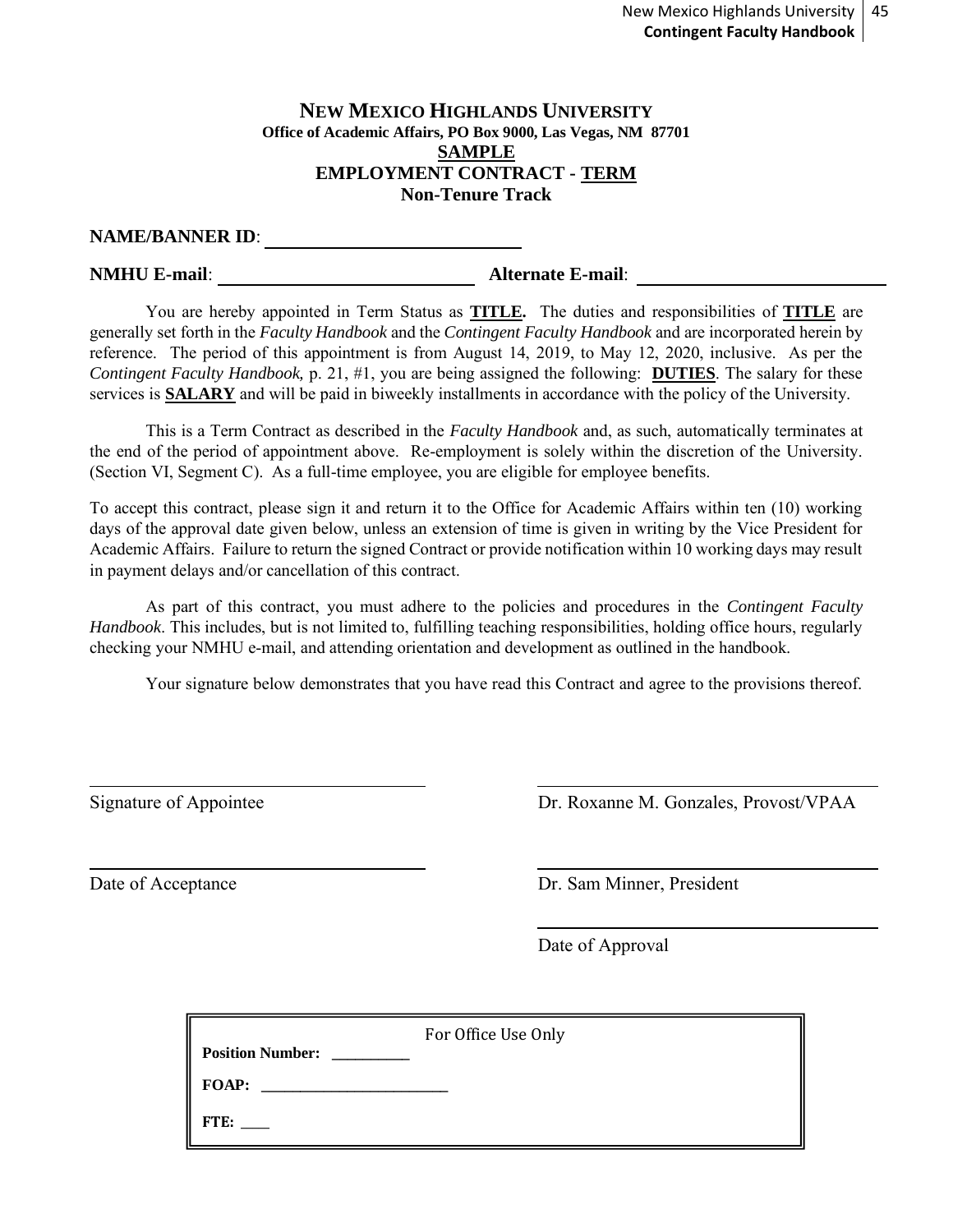#### **NEW MEXICO HIGHLANDS UNIVERSITY Office of Academic Affairs, PO Box 9000, Las Vegas, NM 87701 SAMPLE EMPLOYMENT CONTRACT - TERM Non-Tenure Track**

# **NAME/BANNER ID**:

**NMHU E-mail**: **Alternate E-mail**:

You are hereby appointed in Term Status as **TITLE.** The duties and responsibilities of **TITLE** are generally set forth in the *Faculty Handbook* and the *Contingent Faculty Handbook* and are incorporated herein by reference. The period of this appointment is from August 14, 2019, to May 12, 2020, inclusive. As per the *Contingent Faculty Handbook,* p. 21, #1, you are being assigned the following: **DUTIES**. The salary for these services is **SALARY** and will be paid in biweekly installments in accordance with the policy of the University.

This is a Term Contract as described in the *Faculty Handbook* and, as such, automatically terminates at the end of the period of appointment above. Re-employment is solely within the discretion of the University. (Section VI, Segment C). As a full-time employee, you are eligible for employee benefits.

To accept this contract, please sign it and return it to the Office for Academic Affairs within ten (10) working days of the approval date given below, unless an extension of time is given in writing by the Vice President for Academic Affairs. Failure to return the signed Contract or provide notification within 10 working days may result in payment delays and/or cancellation of this contract.

As part of this contract, you must adhere to the policies and procedures in the *Contingent Faculty Handbook*. This includes, but is not limited to, fulfilling teaching responsibilities, holding office hours, regularly checking your NMHU e-mail, and attending orientation and development as outlined in the handbook.

Your signature below demonstrates that you have read this Contract and agree to the provisions thereof.

Signature of Appointee Dr. Roxanne M. Gonzales, Provost/VPAA

Date of Acceptance Dr. Sam Minner, President

Date of Approval

| <b>Position Number:</b> | For Office Use Only |
|-------------------------|---------------------|
| <b>FOAP:</b>            |                     |
| FTE:                    |                     |